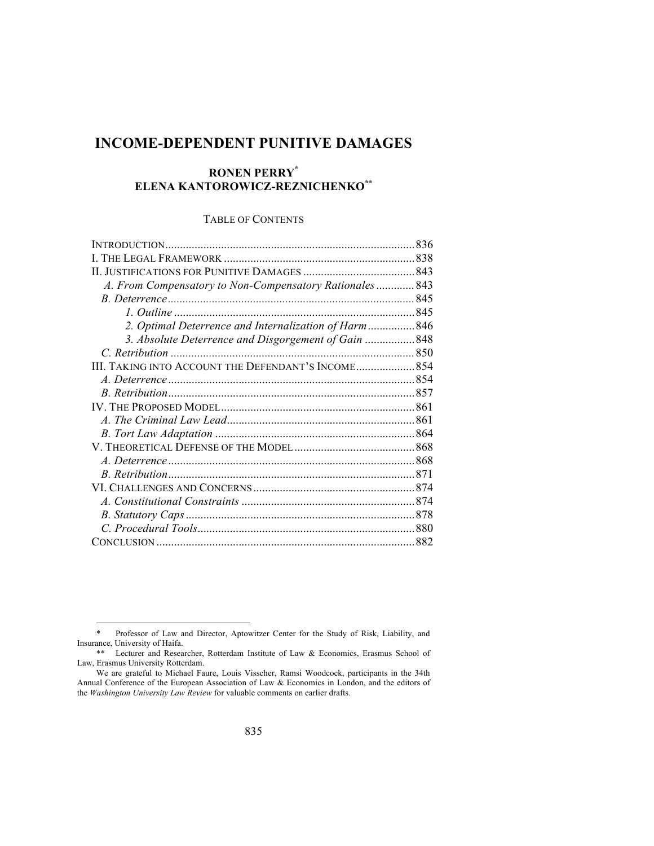# **INCOME-DEPENDENT PUNITIVE DAMAGES**

## **RONEN PERRY\* ELENA KANTOROWICZ-REZNICHENKO\*\***

## TABLE OF CONTENTS

| A. From Compensatory to Non-Compensatory Rationales 843 |  |
|---------------------------------------------------------|--|
|                                                         |  |
|                                                         |  |
| 2. Optimal Deterrence and Internalization of Harm846    |  |
| 3. Absolute Deterrence and Disgorgement of Gain  848    |  |
|                                                         |  |
| III. TAKING INTO ACCOUNT THE DEFENDANT'S INCOME 854     |  |
|                                                         |  |
|                                                         |  |
|                                                         |  |
|                                                         |  |
|                                                         |  |
|                                                         |  |
|                                                         |  |
|                                                         |  |
|                                                         |  |
|                                                         |  |
|                                                         |  |
|                                                         |  |
|                                                         |  |

 <sup>\*</sup> Professor of Law and Director, Aptowitzer Center for the Study of Risk, Liability, and Insurance, University of Haifa.

<sup>\*\*</sup> Lecturer and Researcher, Rotterdam Institute of Law & Economics, Erasmus School of Law, Erasmus University Rotterdam.

We are grateful to Michael Faure, Louis Visscher, Ramsi Woodcock, participants in the 34th Annual Conference of the European Association of Law & Economics in London, and the editors of the *Washington University Law Review* for valuable comments on earlier drafts.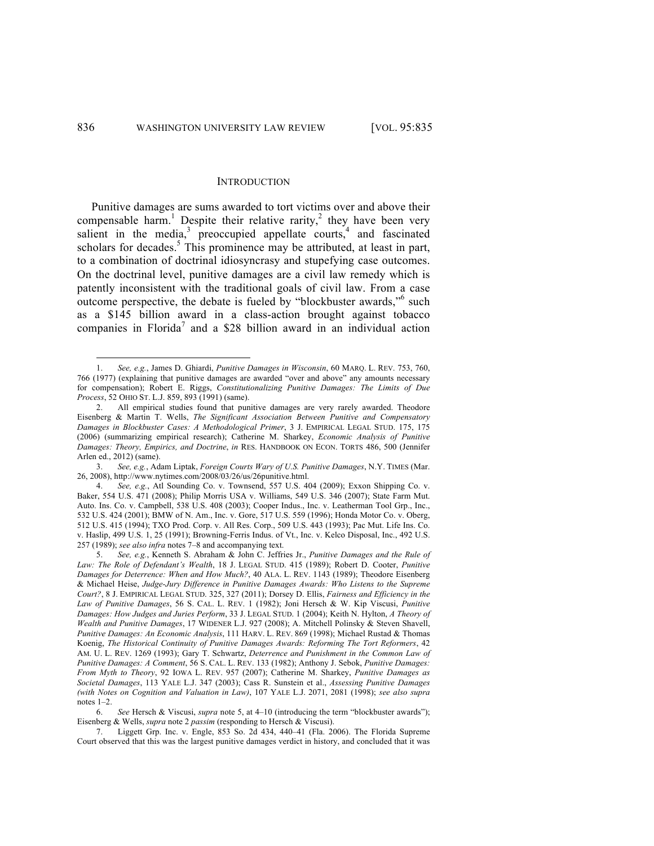#### **INTRODUCTION**

Punitive damages are sums awarded to tort victims over and above their compensable harm.<sup>1</sup> Despite their relative rarity,<sup>2</sup> they have been very salient in the media, $3$  preoccupied appellate courts, $4$  and fascinated scholars for decades.<sup>5</sup> This prominence may be attributed, at least in part, to a combination of doctrinal idiosyncrasy and stupefying case outcomes. On the doctrinal level, punitive damages are a civil law remedy which is patently inconsistent with the traditional goals of civil law. From a case outcome perspective, the debate is fueled by "blockbuster awards," such as a \$145 billion award in a class-action brought against tobacco companies in Florida<sup>7</sup> and a \$28 billion award in an individual action

 <sup>1.</sup> *See, e.g.*, James D. Ghiardi, *Punitive Damages in Wisconsin*, 60 MARQ. L. REV. 753, 760, 766 (1977) (explaining that punitive damages are awarded "over and above" any amounts necessary for compensation); Robert E. Riggs, *Constitutionalizing Punitive Damages: The Limits of Due Process*, 52 OHIO ST. L.J. 859, 893 (1991) (same).

<sup>2.</sup> All empirical studies found that punitive damages are very rarely awarded. Theodore Eisenberg & Martin T. Wells, *The Significant Association Between Punitive and Compensatory Damages in Blockbuster Cases: A Methodological Primer*, 3 J. EMPIRICAL LEGAL STUD. 175, 175 (2006) (summarizing empirical research); Catherine M. Sharkey, *Economic Analysis of Punitive Damages: Theory, Empirics, and Doctrine*, *in* RES. HANDBOOK ON ECON. TORTS 486, 500 (Jennifer Arlen ed., 2012) (same).

<sup>3.</sup> *See, e.g.*, Adam Liptak, *Foreign Courts Wary of U.S. Punitive Damages*, N.Y. TIMES (Mar. 26, 2008), http://www.nytimes.com/2008/03/26/us/26punitive.html.

<sup>4.</sup> *See, e.g.*, Atl Sounding Co. v. Townsend, 557 U.S. 404 (2009); Exxon Shipping Co. v. Baker, 554 U.S. 471 (2008); Philip Morris USA v. Williams, 549 U.S. 346 (2007); State Farm Mut. Auto. Ins. Co. v. Campbell, 538 U.S. 408 (2003); Cooper Indus., Inc. v. Leatherman Tool Grp., Inc., 532 U.S. 424 (2001); BMW of N. Am., Inc. v. Gore, 517 U.S. 559 (1996); Honda Motor Co. v. Oberg, 512 U.S. 415 (1994); TXO Prod. Corp. v. All Res. Corp., 509 U.S. 443 (1993); Pac Mut. Life Ins. Co. v. Haslip, 499 U.S. 1, 25 (1991); Browning-Ferris Indus. of Vt., Inc. v. Kelco Disposal, Inc., 492 U.S. 257 (1989); *see also infra* notes 7–8 and accompanying text.

<sup>5.</sup> *See, e.g.*, Kenneth S. Abraham & John C. Jeffries Jr., *Punitive Damages and the Rule of Law: The Role of Defendant's Wealth*, 18 J. LEGAL STUD. 415 (1989); Robert D. Cooter, *Punitive Damages for Deterrence: When and How Much?*, 40 ALA. L. REV. 1143 (1989); Theodore Eisenberg & Michael Heise, *Judge-Jury Difference in Punitive Damages Awards: Who Listens to the Supreme Court?*, 8 J. EMPIRICAL LEGAL STUD. 325, 327 (2011); Dorsey D. Ellis, *Fairness and Efficiency in the Law of Punitive Damages*, 56 S. CAL. L. REV. 1 (1982); Joni Hersch & W. Kip Viscusi, *Punitive Damages: How Judges and Juries Perform*, 33 J. LEGAL STUD. 1 (2004); Keith N. Hylton, *A Theory of Wealth and Punitive Damages*, 17 WIDENER L.J. 927 (2008); A. Mitchell Polinsky & Steven Shavell, *Punitive Damages: An Economic Analysis*, 111 HARV. L. REV. 869 (1998); Michael Rustad & Thomas Koenig, *The Historical Continuity of Punitive Damages Awards: Reforming The Tort Reformers*, 42 AM. U. L. REV. 1269 (1993); Gary T. Schwartz, *Deterrence and Punishment in the Common Law of Punitive Damages: A Comment*, 56 S. CAL. L. REV. 133 (1982); Anthony J. Sebok, *Punitive Damages: From Myth to Theory*, 92 IOWA L. REV. 957 (2007); Catherine M. Sharkey, *Punitive Damages as Societal Damages*, 113 YALE L.J. 347 (2003); Cass R. Sunstein et al., *Assessing Punitive Damages (with Notes on Cognition and Valuation in Law)*, 107 YALE L.J. 2071, 2081 (1998); *see also supra* notes 1–2.

<sup>6.</sup> *See* Hersch & Viscusi, *supra* note 5, at 4–10 (introducing the term "blockbuster awards"); Eisenberg & Wells, *supra* note 2 *passim* (responding to Hersch & Viscusi).

Liggett Grp. Inc. v. Engle, 853 So. 2d 434, 440-41 (Fla. 2006). The Florida Supreme Court observed that this was the largest punitive damages verdict in history, and concluded that it was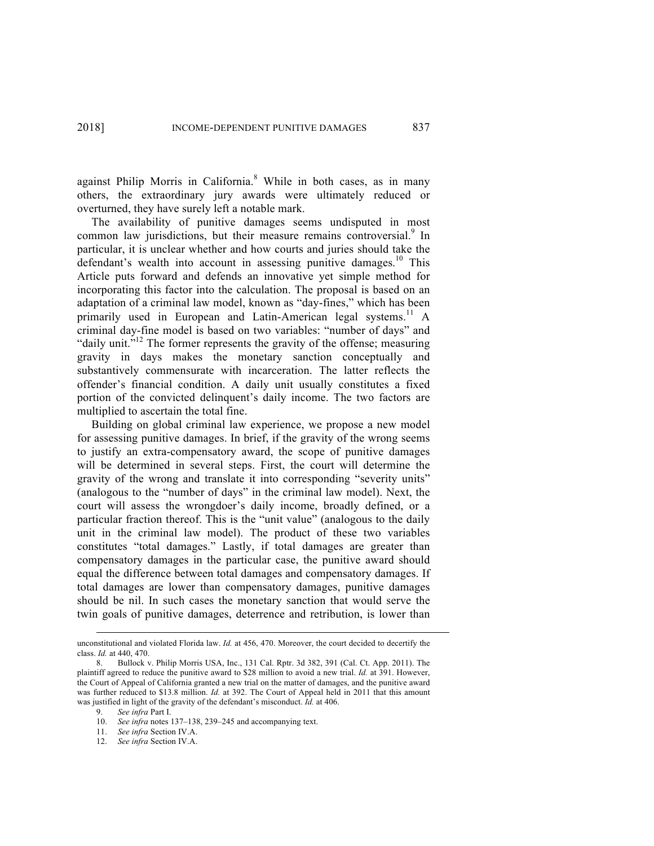against Philip Morris in California. <sup>8</sup> While in both cases, as in many others, the extraordinary jury awards were ultimately reduced or overturned, they have surely left a notable mark.

The availability of punitive damages seems undisputed in most common law jurisdictions, but their measure remains controversial.<sup>9</sup> In particular, it is unclear whether and how courts and juries should take the defendant's wealth into account in assessing punitive damages.<sup>10</sup> This Article puts forward and defends an innovative yet simple method for incorporating this factor into the calculation. The proposal is based on an adaptation of a criminal law model, known as "day-fines," which has been primarily used in European and Latin-American legal systems.<sup>11</sup> A criminal day-fine model is based on two variables: "number of days" and "daily unit."<sup>12</sup> The former represents the gravity of the offense; measuring gravity in days makes the monetary sanction conceptually and substantively commensurate with incarceration. The latter reflects the offender's financial condition. A daily unit usually constitutes a fixed portion of the convicted delinquent's daily income. The two factors are multiplied to ascertain the total fine.

Building on global criminal law experience, we propose a new model for assessing punitive damages. In brief, if the gravity of the wrong seems to justify an extra-compensatory award, the scope of punitive damages will be determined in several steps. First, the court will determine the gravity of the wrong and translate it into corresponding "severity units" (analogous to the "number of days" in the criminal law model). Next, the court will assess the wrongdoer's daily income, broadly defined, or a particular fraction thereof. This is the "unit value" (analogous to the daily unit in the criminal law model). The product of these two variables constitutes "total damages." Lastly, if total damages are greater than compensatory damages in the particular case, the punitive award should equal the difference between total damages and compensatory damages. If total damages are lower than compensatory damages, punitive damages should be nil. In such cases the monetary sanction that would serve the twin goals of punitive damages, deterrence and retribution, is lower than

unconstitutional and violated Florida law. *Id.* at 456, 470. Moreover, the court decided to decertify the class. *Id.* at 440, 470.

<sup>8.</sup> Bullock v. Philip Morris USA, Inc., 131 Cal. Rptr. 3d 382, 391 (Cal. Ct. App. 2011). The plaintiff agreed to reduce the punitive award to \$28 million to avoid a new trial. *Id.* at 391. However, the Court of Appeal of California granted a new trial on the matter of damages, and the punitive award was further reduced to \$13.8 million. *Id.* at 392. The Court of Appeal held in 2011 that this amount was justified in light of the gravity of the defendant's misconduct. *Id.* at 406.

<sup>9.</sup> *See infra* Part I.

<sup>10.</sup> *See infra* notes 137–138, 239–245 and accompanying text.

<sup>11.</sup> *See infra* Section IV.A.

<sup>12.</sup> *See infra* Section IV.A.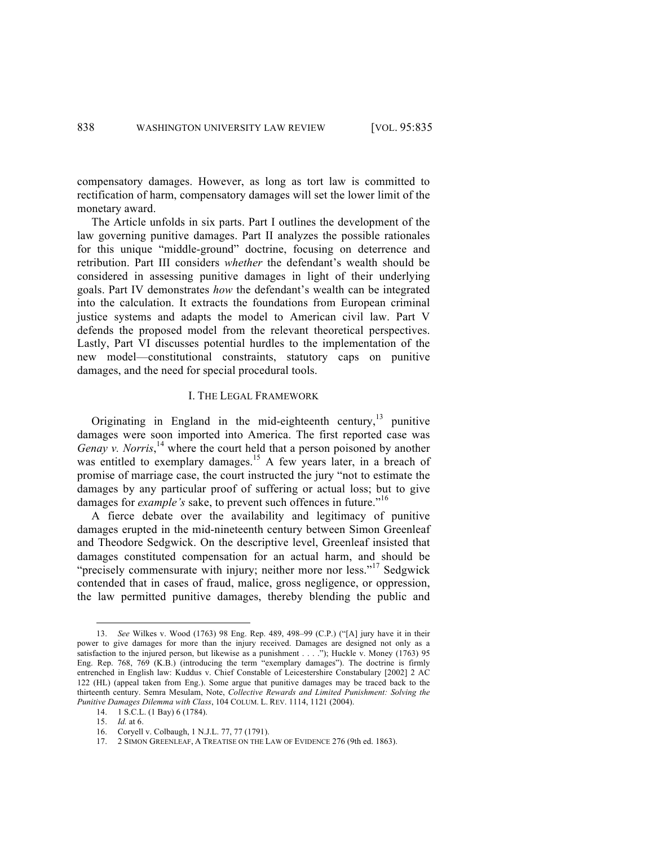compensatory damages. However, as long as tort law is committed to rectification of harm, compensatory damages will set the lower limit of the monetary award.

The Article unfolds in six parts. Part I outlines the development of the law governing punitive damages. Part II analyzes the possible rationales for this unique "middle-ground" doctrine, focusing on deterrence and retribution. Part III considers *whether* the defendant's wealth should be considered in assessing punitive damages in light of their underlying goals. Part IV demonstrates *how* the defendant's wealth can be integrated into the calculation. It extracts the foundations from European criminal justice systems and adapts the model to American civil law. Part V defends the proposed model from the relevant theoretical perspectives. Lastly, Part VI discusses potential hurdles to the implementation of the new model—constitutional constraints, statutory caps on punitive damages, and the need for special procedural tools.

## I. THE LEGAL FRAMEWORK

Originating in England in the mid-eighteenth century, $^{13}$  punitive damages were soon imported into America. The first reported case was Genay v. Norris,<sup>14</sup> where the court held that a person poisoned by another was entitled to exemplary damages.<sup>15</sup> A few years later, in a breach of promise of marriage case, the court instructed the jury "not to estimate the damages by any particular proof of suffering or actual loss; but to give damages for *example's* sake, to prevent such offences in future."<sup>16</sup>

A fierce debate over the availability and legitimacy of punitive damages erupted in the mid-nineteenth century between Simon Greenleaf and Theodore Sedgwick. On the descriptive level, Greenleaf insisted that damages constituted compensation for an actual harm, and should be "precisely commensurate with injury; neither more nor less."<sup>17</sup> Sedgwick contended that in cases of fraud, malice, gross negligence, or oppression, the law permitted punitive damages, thereby blending the public and

 <sup>13.</sup> *See* Wilkes v. Wood (1763) 98 Eng. Rep. 489, 498–99 (C.P.) ("[A] jury have it in their power to give damages for more than the injury received. Damages are designed not only as a satisfaction to the injured person, but likewise as a punishment . . . ."); Huckle v. Money (1763) 95 Eng. Rep. 768, 769 (K.B.) (introducing the term "exemplary damages"). The doctrine is firmly entrenched in English law: Kuddus v. Chief Constable of Leicestershire Constabulary [2002] 2 AC 122 (HL) (appeal taken from Eng.). Some argue that punitive damages may be traced back to the thirteenth century. Semra Mesulam, Note, *Collective Rewards and Limited Punishment: Solving the Punitive Damages Dilemma with Class*, 104 COLUM. L. REV. 1114, 1121 (2004).

<sup>14.</sup> 1 S.C.L. (1 Bay) 6 (1784).

<sup>15.</sup> *Id.* at 6.

<sup>16.</sup> Coryell v. Colbaugh, 1 N.J.L. 77, 77 (1791).

<sup>17.</sup> 2 SIMON GREENLEAF, A TREATISE ON THE LAW OF EVIDENCE 276 (9th ed. 1863).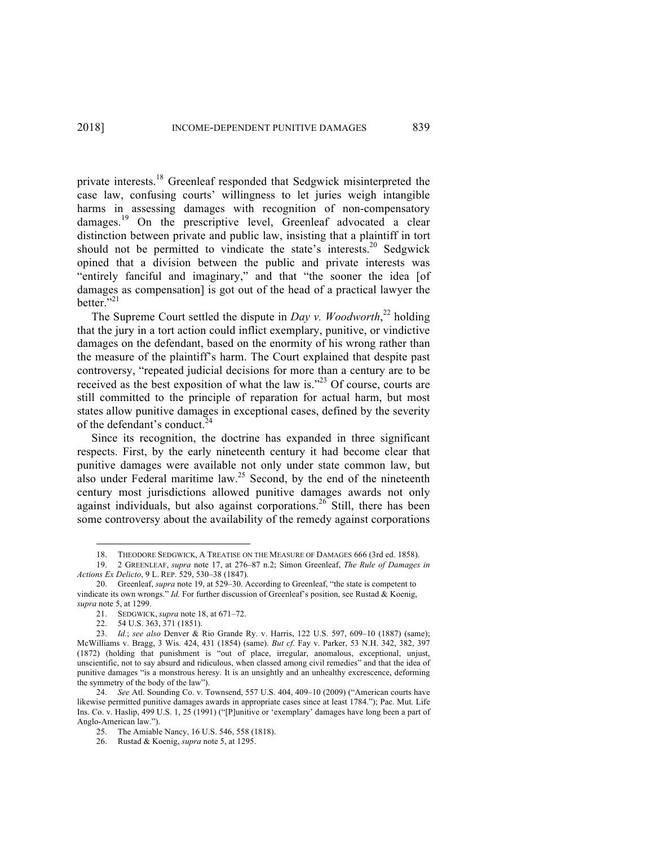private interests.<sup>18</sup> Greenleaf responded that Sedgwick misinterpreted the case law, confusing courts' willingness to let juries weigh intangible harms in assessing damages with recognition of non-compensatory  $damages.<sup>19</sup>$  On the prescriptive level, Greenleaf advocated a clear distinction between private and public law, insisting that a plaintiff in tort should not be permitted to vindicate the state's interests.<sup>20</sup> Sedgwick opined that a division between the public and private interests was "entirely fanciful and imaginary," and that "the sooner the idea [of damages as compensation] is got out of the head of a practical lawyer the better. $5,21$ 

The Supreme Court settled the dispute in *Day v. Woodworth*<sup>22</sup> holding that the jury in a tort action could inflict exemplary, punitive, or vindictive damages on the defendant, based on the enormity of his wrong rather than the measure of the plaintiff's harm. The Court explained that despite past controversy, "repeated judicial decisions for more than a century are to be received as the best exposition of what the law is."<sup>23</sup> Of course, courts are still committed to the principle of reparation for actual harm, but most states allow punitive damages in exceptional cases, defined by the severity of the defendant's conduct.<sup>24</sup>

Since its recognition, the doctrine has expanded in three significant respects. First, by the early nineteenth century it had become clear that punitive damages were available not only under state common law, but also under Federal maritime law.<sup>25</sup> Second, by the end of the nineteenth century most jurisdictions allowed punitive damages awards not only against individuals, but also against corporations.<sup>26</sup> Still, there has been some controversy about the availability of the remedy against corporations

 <sup>18.</sup> THEODORE SEDGWICK, <sup>A</sup> TREATISE ON THE MEASURE OF DAMAGES 666 (3rd ed. 1858).

<sup>19.</sup> 2 GREENLEAF, *supra* note 17, at 276–87 n.2; Simon Greenleaf, *The Rule of Damages in Actions Ex Delicto*, 9 L. REP. 529, 530–38 (1847).

<sup>20.</sup> Greenleaf, *supra* note 19, at 529–30. According to Greenleaf, "the state is competent to vindicate its own wrongs." *Id.* For further discussion of Greenleaf's position, see Rustad & Koenig, *supra* note 5, at 1299.

<sup>21.</sup> SEDGWICK, *supra* note 18, at 671–72.

<sup>22.</sup> 54 U.S. 363, 371 (1851).

<sup>23.</sup> *Id.*; *see also* Denver & Rio Grande Ry. v. Harris, 122 U.S. 597, 609–10 (1887) (same); McWilliams v. Bragg, 3 Wis. 424, 431 (1854) (same). *But cf*. Fay v. Parker, 53 N.H. 342, 382, 397 (1872) (holding that punishment is "out of place, irregular, anomalous, exceptional, unjust, unscientific, not to say absurd and ridiculous, when classed among civil remedies" and that the idea of punitive damages "is a monstrous heresy. It is an unsightly and an unhealthy excrescence, deforming the symmetry of the body of the law").

<sup>24.</sup> *See* Atl. Sounding Co. v. Townsend, 557 U.S. 404, 409–10 (2009) ("American courts have likewise permitted punitive damages awards in appropriate cases since at least 1784."); Pac. Mut. Life Ins. Co. v. Haslip, 499 U.S. 1, 25 (1991) ("[P]unitive or 'exemplary' damages have long been a part of Anglo-American law.").

<sup>25.</sup> The Amiable Nancy, 16 U.S. 546, 558 (1818).

<sup>26.</sup> Rustad & Koenig, *supra* note 5, at 1295.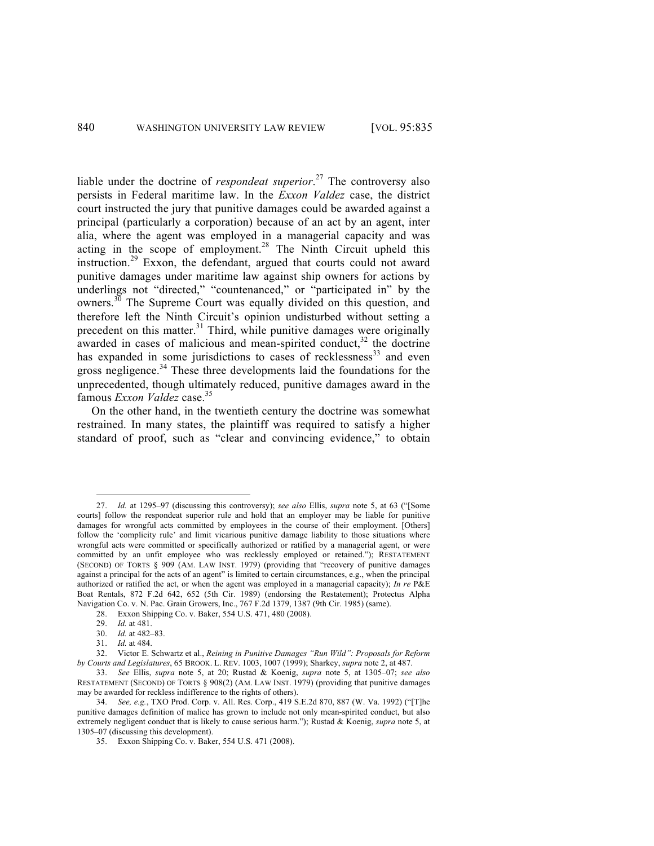liable under the doctrine of *respondeat superior*. <sup>27</sup> The controversy also persists in Federal maritime law. In the *Exxon Valdez* case, the district court instructed the jury that punitive damages could be awarded against a principal (particularly a corporation) because of an act by an agent, inter alia, where the agent was employed in a managerial capacity and was acting in the scope of employment.<sup>28</sup> The Ninth Circuit upheld this instruction. <sup>29</sup> Exxon, the defendant, argued that courts could not award punitive damages under maritime law against ship owners for actions by underlings not "directed," "countenanced," or "participated in" by the owners. $30$  The Supreme Court was equally divided on this question, and therefore left the Ninth Circuit's opinion undisturbed without setting a precedent on this matter.<sup>31</sup> Third, while punitive damages were originally awarded in cases of malicious and mean-spirited conduct,<sup>32</sup> the doctrine has expanded in some jurisdictions to cases of recklessness<sup>33</sup> and even gross negligence.<sup>34</sup> These three developments laid the foundations for the unprecedented, though ultimately reduced, punitive damages award in the famous *Exxon Valdez* case.<sup>35</sup>

On the other hand, in the twentieth century the doctrine was somewhat restrained. In many states, the plaintiff was required to satisfy a higher standard of proof, such as "clear and convincing evidence," to obtain

 <sup>27.</sup> *Id.* at 1295–97 (discussing this controversy); *see also* Ellis, *supra* note 5, at 63 ("[Some courts] follow the respondeat superior rule and hold that an employer may be liable for punitive damages for wrongful acts committed by employees in the course of their employment. [Others] follow the 'complicity rule' and limit vicarious punitive damage liability to those situations where wrongful acts were committed or specifically authorized or ratified by a managerial agent, or were committed by an unfit employee who was recklessly employed or retained."); RESTATEMENT (SECOND) OF TORTS § 909 (AM. LAW INST. 1979) (providing that "recovery of punitive damages against a principal for the acts of an agent" is limited to certain circumstances, e.g., when the principal authorized or ratified the act, or when the agent was employed in a managerial capacity); *In re* P&E Boat Rentals, 872 F.2d 642, 652 (5th Cir. 1989) (endorsing the Restatement); Protectus Alpha Navigation Co. v. N. Pac. Grain Growers, Inc., 767 F.2d 1379, 1387 (9th Cir. 1985) (same).

<sup>28.</sup> Exxon Shipping Co. v. Baker, 554 U.S. 471, 480 (2008).

<sup>29.</sup> *Id.* at 481.

<sup>30.</sup> *Id.* at 482–83.

<sup>31.</sup> *Id.* at 484.

<sup>32.</sup> Victor E. Schwartz et al., *Reining in Punitive Damages "Run Wild": Proposals for Reform by Courts and Legislatures*, 65 BROOK. L. REV. 1003, 1007 (1999); Sharkey, *supra* note 2, at 487.

<sup>33.</sup> *See* Ellis, *supra* note 5, at 20; Rustad & Koenig, *supra* note 5, at 1305–07; *see also* RESTATEMENT (SECOND) OF TORTS § 908(2) (AM. LAW INST. 1979) (providing that punitive damages may be awarded for reckless indifference to the rights of others).

<sup>34.</sup> *See, e.g.*, TXO Prod. Corp. v. All. Res. Corp., 419 S.E.2d 870, 887 (W. Va. 1992) ("[T]he punitive damages definition of malice has grown to include not only mean-spirited conduct, but also extremely negligent conduct that is likely to cause serious harm."); Rustad & Koenig, *supra* note 5, at 1305–07 (discussing this development).

<sup>35.</sup> Exxon Shipping Co. v. Baker, 554 U.S. 471 (2008).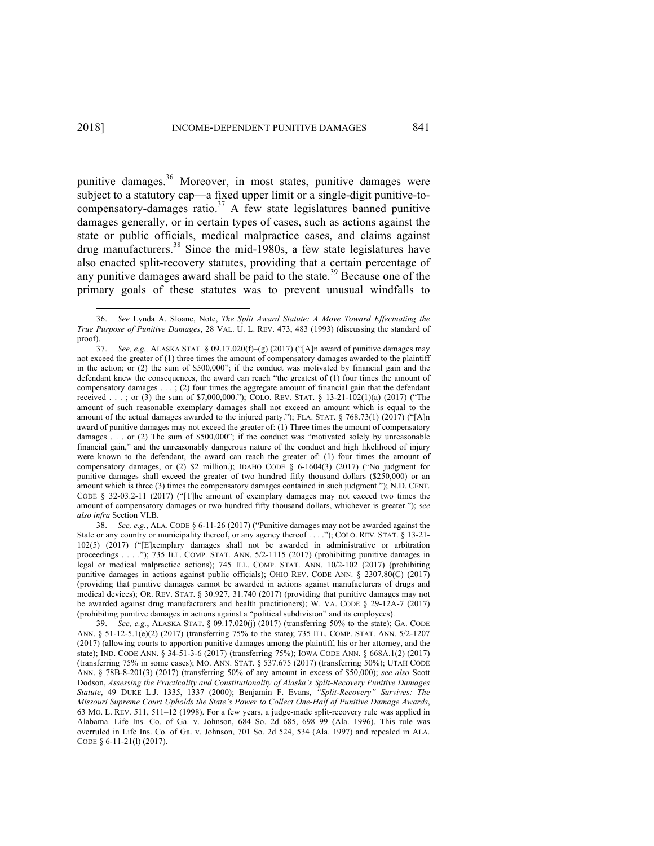punitive damages.<sup>36</sup> Moreover, in most states, punitive damages were subject to a statutory cap—a fixed upper limit or a single-digit punitive-tocompensatory-damages ratio. <sup>37</sup> A few state legislatures banned punitive damages generally, or in certain types of cases, such as actions against the state or public officials, medical malpractice cases, and claims against drug manufacturers.<sup>38</sup> Since the mid-1980s, a few state legislatures have also enacted split-recovery statutes, providing that a certain percentage of any punitive damages award shall be paid to the state.<sup>39</sup> Because one of the primary goals of these statutes was to prevent unusual windfalls to

 <sup>36.</sup> *See* Lynda A. Sloane, Note, *The Split Award Statute: A Move Toward Effectuating the True Purpose of Punitive Damages*, 28 VAL. U. L. REV. 473, 483 (1993) (discussing the standard of proof).

<sup>37.</sup> *See, e.g.,* ALASKA STAT. § 09.17.020(f)–(g) (2017) ("[A]n award of punitive damages may not exceed the greater of (1) three times the amount of compensatory damages awarded to the plaintiff in the action; or (2) the sum of \$500,000"; if the conduct was motivated by financial gain and the defendant knew the consequences, the award can reach "the greatest of (1) four times the amount of compensatory damages . . . ; (2) four times the aggregate amount of financial gain that the defendant received . . . ; or (3) the sum of \$7,000,000."); COLO. REV. STAT. § 13-21-102(1)(a) (2017) ("The amount of such reasonable exemplary damages shall not exceed an amount which is equal to the amount of the actual damages awarded to the injured party."); FLA. STAT. § 768.73(1) (2017) ("[A]n award of punitive damages may not exceed the greater of: (1) Three times the amount of compensatory damages . . . or (2) The sum of \$500,000"; if the conduct was "motivated solely by unreasonable financial gain," and the unreasonably dangerous nature of the conduct and high likelihood of injury were known to the defendant, the award can reach the greater of: (1) four times the amount of compensatory damages, or (2) \$2 million.); IDAHO CODE  $\S$  6-1604(3) (2017) ("No judgment for punitive damages shall exceed the greater of two hundred fifty thousand dollars (\$250,000) or an amount which is three (3) times the compensatory damages contained in such judgment."); N.D. CENT. CODE § 32-03.2-11 (2017) ("[T]he amount of exemplary damages may not exceed two times the amount of compensatory damages or two hundred fifty thousand dollars, whichever is greater."); *see also infra* Section VI.B.

<sup>38.</sup> *See, e.g.*, ALA. CODE § 6-11-26 (2017) ("Punitive damages may not be awarded against the State or any country or municipality thereof, or any agency thereof . . . ."); COLO. REV. STAT. § 13-21-102(5) (2017) ("[E]xemplary damages shall not be awarded in administrative or arbitration proceedings . . . ."); 735 ILL. COMP. STAT. ANN. 5/2-1115 (2017) (prohibiting punitive damages in legal or medical malpractice actions); 745 ILL. COMP. STAT. ANN. 10/2-102 (2017) (prohibiting punitive damages in actions against public officials); OHIO REV. CODE ANN. § 2307.80(C) (2017) (providing that punitive damages cannot be awarded in actions against manufacturers of drugs and medical devices); OR. REV. STAT. § 30.927, 31.740 (2017) (providing that punitive damages may not be awarded against drug manufacturers and health practitioners); W. VA. CODE § 29-12A-7 (2017) (prohibiting punitive damages in actions against a "political subdivision" and its employees).

<sup>39.</sup> *See, e.g.*, ALASKA STAT. § 09.17.020(j) (2017) (transferring 50% to the state); GA. CODE ANN. § 51-12-5.1(e)(2) (2017) (transferring 75% to the state); 735 ILL. COMP. STAT. ANN. 5/2-1207 (2017) (allowing courts to apportion punitive damages among the plaintiff, his or her attorney, and the state); IND. CODE ANN. § 34-51-3-6 (2017) (transferring 75%); IOWA CODE ANN. § 668A.1(2) (2017) (transferring 75% in some cases); MO. ANN. STAT. § 537.675 (2017) (transferring 50%); UTAH CODE ANN. § 78B-8-201(3) (2017) (transferring 50% of any amount in excess of \$50,000); *see also* Scott Dodson, *Assessing the Practicality and Constitutionality of Alaska's Split-Recovery Punitive Damages Statute*, 49 DUKE L.J. 1335, 1337 (2000); Benjamin F. Evans, *"Split-Recovery" Survives: The Missouri Supreme Court Upholds the State's Power to Collect One-Half of Punitive Damage Awards*, 63 MO. L. REV. 511, 511–12 (1998). For a few years, a judge-made split-recovery rule was applied in Alabama. Life Ins. Co. of Ga. v. Johnson, 684 So. 2d 685, 698–99 (Ala. 1996). This rule was overruled in Life Ins. Co. of Ga. v. Johnson, 701 So. 2d 524, 534 (Ala. 1997) and repealed in ALA. CODE § 6-11-21(l) (2017).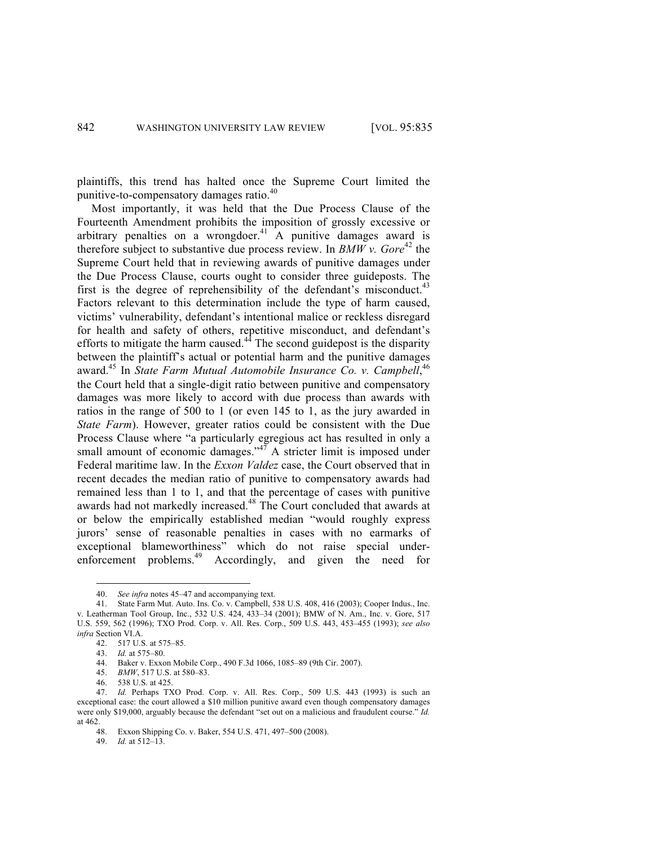plaintiffs, this trend has halted once the Supreme Court limited the punitive-to-compensatory damages ratio.<sup>40</sup>

Most importantly, it was held that the Due Process Clause of the Fourteenth Amendment prohibits the imposition of grossly excessive or arbitrary penalties on a wrongdoer.<sup>41</sup> A punitive damages award is therefore subject to substantive due process review. In *BMW v. Gore*<sup>42</sup> the Supreme Court held that in reviewing awards of punitive damages under the Due Process Clause, courts ought to consider three guideposts. The first is the degree of reprehensibility of the defendant's misconduct.<sup>43</sup> Factors relevant to this determination include the type of harm caused, victims' vulnerability, defendant's intentional malice or reckless disregard for health and safety of others, repetitive misconduct, and defendant's efforts to mitigate the harm caused. $44$  The second guidepost is the disparity between the plaintiff's actual or potential harm and the punitive damages award.45 In *State Farm Mutual Automobile Insurance Co. v. Campbell*, 46 the Court held that a single-digit ratio between punitive and compensatory damages was more likely to accord with due process than awards with ratios in the range of 500 to 1 (or even 145 to 1, as the jury awarded in *State Farm*). However, greater ratios could be consistent with the Due Process Clause where "a particularly egregious act has resulted in only a small amount of economic damages."<sup>47</sup> A stricter limit is imposed under Federal maritime law. In the *Exxon Valdez* case, the Court observed that in recent decades the median ratio of punitive to compensatory awards had remained less than 1 to 1, and that the percentage of cases with punitive awards had not markedly increased. <sup>48</sup> The Court concluded that awards at or below the empirically established median "would roughly express jurors' sense of reasonable penalties in cases with no earmarks of exceptional blameworthiness" which do not raise special underenforcement problems.<sup>49</sup> Accordingly, and given the need for

49. *Id.* at 512–13.

<sup>40.</sup> *See infra* notes 45–47 and accompanying text.<br>41 State Farm Mut. Auto Ins. Co. y. Campbell, 5

State Farm Mut. Auto. Ins. Co. v. Campbell, 538 U.S. 408, 416 (2003); Cooper Indus., Inc. v. Leatherman Tool Group, Inc., 532 U.S. 424, 433–34 (2001); BMW of N. Am., Inc. v. Gore, 517 U.S. 559, 562 (1996); TXO Prod. Corp. v. All. Res. Corp., 509 U.S. 443, 453–455 (1993); *see also infra* Section VI.A.

<sup>42.</sup> 517 U.S. at 575–85.

<sup>43.</sup> *Id.* at 575–80.

<sup>44.</sup> Baker v. Exxon Mobile Corp., 490 F.3d 1066, 1085–89 (9th Cir. 2007).

<sup>45.</sup> *BMW*, 517 U.S. at 580–83.

<sup>46.</sup> 538 U.S. at 425.

<sup>46.</sup> *556 U.S. at 425.*<br>47. *Id.* Perhaps TXO Prod. Corp. v. All. Res. Corp., 509 U.S. 443 (1993) is such an exceptional case: the court allowed a \$10 million punitive award even though compensatory damages were only \$19,000, arguably because the defendant "set out on a malicious and fraudulent course." *Id.* at 462.

<sup>48.</sup> Exxon Shipping Co. v. Baker, 554 U.S. 471, 497–500 (2008).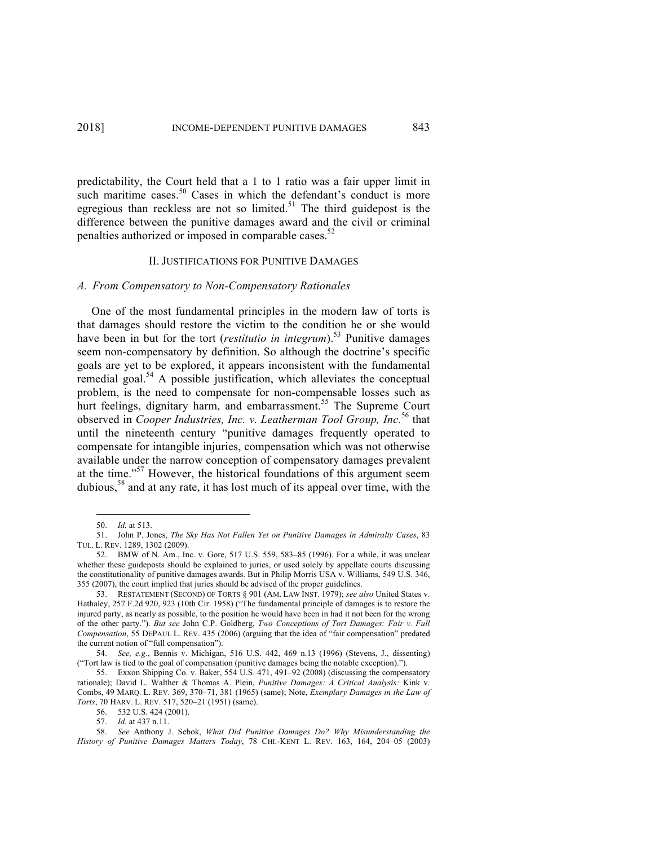predictability, the Court held that a 1 to 1 ratio was a fair upper limit in such maritime cases.<sup>50</sup> Cases in which the defendant's conduct is more egregious than reckless are not so limited.<sup>51</sup> The third guidepost is the difference between the punitive damages award and the civil or criminal penalties authorized or imposed in comparable cases.<sup>52</sup>

## II. JUSTIFICATIONS FOR PUNITIVE DAMAGES

#### *A. From Compensatory to Non-Compensatory Rationales*

One of the most fundamental principles in the modern law of torts is that damages should restore the victim to the condition he or she would have been in but for the tort (*restitutio in integrum*).<sup>53</sup> Punitive damages seem non-compensatory by definition. So although the doctrine's specific goals are yet to be explored, it appears inconsistent with the fundamental remedial goal.<sup>54</sup> A possible justification, which alleviates the conceptual problem, is the need to compensate for non-compensable losses such as hurt feelings, dignitary harm, and embarrassment.<sup>55</sup> The Supreme Court observed in *Cooper Industries, Inc. v. Leatherman Tool Group, Inc.*<sup>56</sup> that until the nineteenth century "punitive damages frequently operated to compensate for intangible injuries, compensation which was not otherwise available under the narrow conception of compensatory damages prevalent at the time."57 However, the historical foundations of this argument seem dubious, <sup>58</sup> and at any rate, it has lost much of its appeal over time, with the

 <sup>50.</sup> *Id.* at 513.

<sup>51.</sup> John P. Jones, *The Sky Has Not Fallen Yet on Punitive Damages in Admiralty Cases*, 83 TUL. L. REV. 1289, 1302 (2009).

<sup>52.</sup> BMW of N. Am., Inc. v. Gore, 517 U.S. 559, 583–85 (1996). For a while, it was unclear whether these guideposts should be explained to juries, or used solely by appellate courts discussing the constitutionality of punitive damages awards. But in Philip Morris USA v. Williams, 549 U.S. 346, 355 (2007), the court implied that juries should be advised of the proper guidelines.

<sup>53.</sup> RESTATEMENT (SECOND) OF TORTS § 901 (AM. LAW INST. 1979); *see also* United States v. Hathaley, 257 F.2d 920, 923 (10th Cir. 1958) ("The fundamental principle of damages is to restore the injured party, as nearly as possible, to the position he would have been in had it not been for the wrong of the other party."). *But see* John C.P. Goldberg, *Two Conceptions of Tort Damages: Fair v. Full Compensation*, 55 DEPAUL L. REV. 435 (2006) (arguing that the idea of "fair compensation" predated the current notion of "full compensation").

<sup>54.</sup> *See, e.g.*, Bennis v. Michigan, 516 U.S. 442, 469 n.13 (1996) (Stevens, J., dissenting) ("Tort law is tied to the goal of compensation (punitive damages being the notable exception).").

<sup>55.</sup> Exxon Shipping Co. v. Baker, 554 U.S. 471, 491–92 (2008) (discussing the compensatory rationale); David L. Walther & Thomas A. Plein, *Punitive Damages: A Critical Analysis:* Kink v. Combs, 49 MARQ. L. REV. 369, 370–71, 381 (1965) (same); Note, *Exemplary Damages in the Law of Torts*, 70 HARV. L. REV. 517, 520–21 (1951) (same).

<sup>56.</sup> 532 U.S. 424 (2001).

<sup>57.</sup> *Id.* at 437 n.11.

<sup>58.</sup> *See* Anthony J. Sebok, *What Did Punitive Damages Do? Why Misunderstanding the History of Punitive Damages Matters Today*, 78 CHI.-KENT L. REV. 163, 164, 204–05 (2003)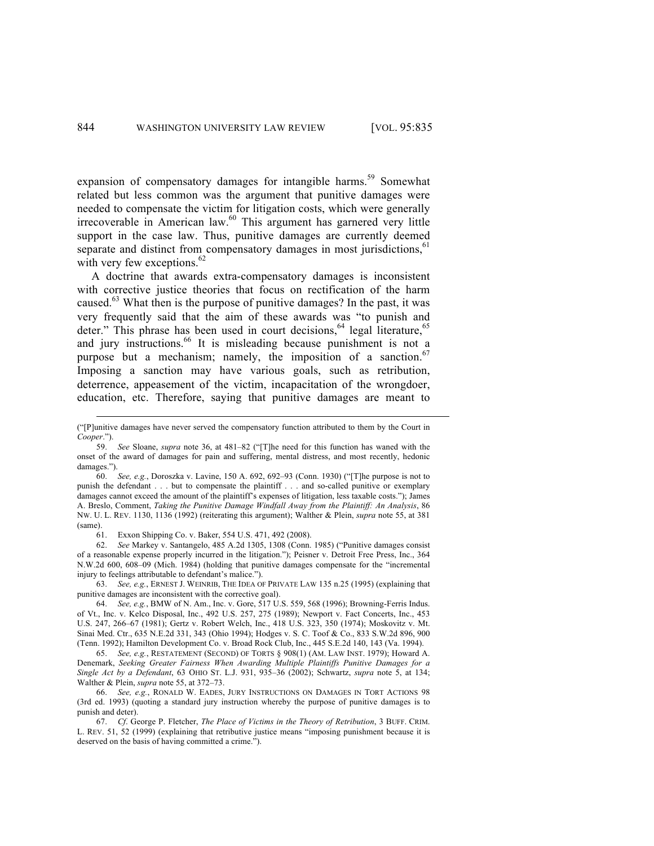expansion of compensatory damages for intangible harms.<sup>59</sup> Somewhat related but less common was the argument that punitive damages were needed to compensate the victim for litigation costs, which were generally irrecoverable in American law.<sup>60</sup> This argument has garnered very little support in the case law. Thus, punitive damages are currently deemed separate and distinct from compensatory damages in most jurisdictions, $61$ with very few exceptions. $62$ 

A doctrine that awards extra-compensatory damages is inconsistent with corrective justice theories that focus on rectification of the harm caused.<sup>63</sup> What then is the purpose of punitive damages? In the past, it was very frequently said that the aim of these awards was "to punish and deter." This phrase has been used in court decisions,  $64$  legal literature,  $65$ and jury instructions.<sup>66</sup> It is misleading because punishment is not a purpose but a mechanism; namely, the imposition of a sanction.<sup>67</sup> Imposing a sanction may have various goals, such as retribution, deterrence, appeasement of the victim, incapacitation of the wrongdoer, education, etc. Therefore, saying that punitive damages are meant to

 <sup>(&</sup>quot;[P]unitive damages have never served the compensatory function attributed to them by the Court in *Cooper*.").

<sup>59.</sup> *See* Sloane, *supra* note 36, at 481–82 ("[T]he need for this function has waned with the onset of the award of damages for pain and suffering, mental distress, and most recently, hedonic damages.").

<sup>60.</sup> *See, e.g.*, Doroszka v. Lavine, 150 A. 692, 692–93 (Conn. 1930) ("[T]he purpose is not to punish the defendant . . . but to compensate the plaintiff . . . and so-called punitive or exemplary damages cannot exceed the amount of the plaintiff's expenses of litigation, less taxable costs."); James A. Breslo, Comment, *Taking the Punitive Damage Windfall Away from the Plaintiff: An Analysis*, 86 NW. U. L. REV. 1130, 1136 (1992) (reiterating this argument); Walther & Plein, *supra* note 55, at 381 (same).

<sup>61.</sup> Exxon Shipping Co. v. Baker, 554 U.S. 471, 492 (2008).

<sup>62.</sup> *See* Markey v. Santangelo, 485 A.2d 1305, 1308 (Conn. 1985) ("Punitive damages consist of a reasonable expense properly incurred in the litigation."); Peisner v. Detroit Free Press, Inc., 364 N.W.2d 600, 608–09 (Mich. 1984) (holding that punitive damages compensate for the "incremental injury to feelings attributable to defendant's malice.").

<sup>63.</sup> *See, e.g.*, ERNEST J. WEINRIB, THE IDEA OF PRIVATE LAW 135 n.25 (1995) (explaining that punitive damages are inconsistent with the corrective goal).

<sup>64.</sup> *See, e.g.*, BMW of N. Am., Inc. v. Gore, 517 U.S. 559, 568 (1996); Browning-Ferris Indus. of Vt., Inc. v. Kelco Disposal, Inc., 492 U.S. 257, 275 (1989); Newport v. Fact Concerts, Inc., 453 U.S. 247, 266–67 (1981); Gertz v. Robert Welch, Inc., 418 U.S. 323, 350 (1974); Moskovitz v. Mt. Sinai Med. Ctr., 635 N.E.2d 331, 343 (Ohio 1994); Hodges v. S. C. Toof & Co., 833 S.W.2d 896, 900 (Tenn. 1992); Hamilton Development Co. v. Broad Rock Club, Inc., 445 S.E.2d 140, 143 (Va. 1994).

<sup>65.</sup> *See, e.g.*, RESTATEMENT (SECOND) OF TORTS § 908(1) (AM. LAW INST. 1979); Howard A. Denemark, *Seeking Greater Fairness When Awarding Multiple Plaintiffs Punitive Damages for a Single Act by a Defendant*, 63 OHIO ST. L.J. 931, 935–36 (2002); Schwartz, *supra* note 5, at 134; Walther & Plein, *supra* note 55, at 372–73.

<sup>66.</sup> *See, e.g.*, RONALD W. EADES, JURY INSTRUCTIONS ON DAMAGES IN TORT ACTIONS 98 (3rd ed. 1993) (quoting a standard jury instruction whereby the purpose of punitive damages is to punish and deter).

<sup>67.</sup> *Cf*. George P. Fletcher, *The Place of Victims in the Theory of Retribution*, 3 BUFF. CRIM. L. REV. 51, 52 (1999) (explaining that retributive justice means "imposing punishment because it is deserved on the basis of having committed a crime.").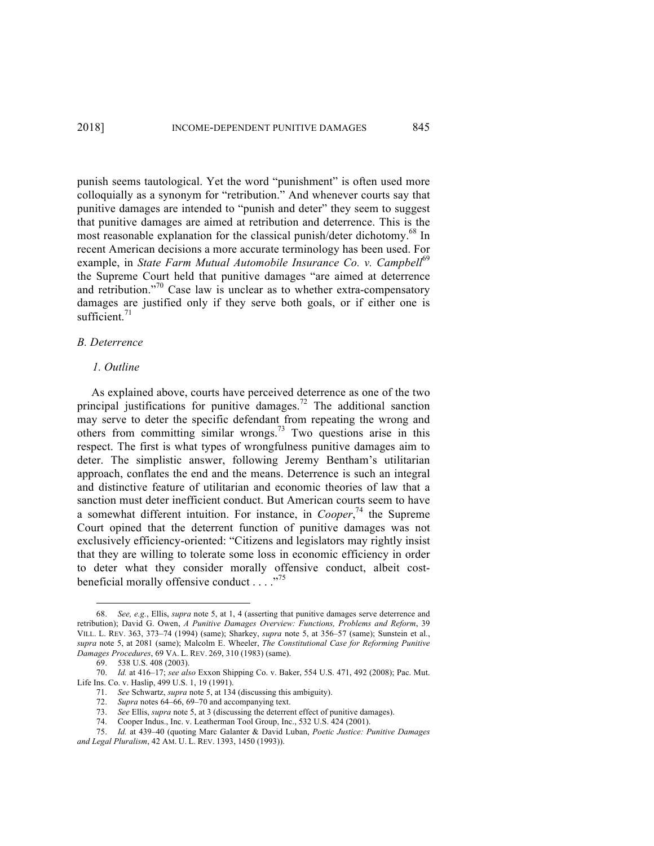punish seems tautological. Yet the word "punishment" is often used more colloquially as a synonym for "retribution." And whenever courts say that punitive damages are intended to "punish and deter" they seem to suggest that punitive damages are aimed at retribution and deterrence. This is the most reasonable explanation for the classical punish/deter dichotomy.<sup>68</sup> In recent American decisions a more accurate terminology has been used. For example, in *State Farm Mutual Automobile Insurance Co. v. Campbell*<sup>69</sup> the Supreme Court held that punitive damages "are aimed at deterrence and retribution."<sup>70</sup> Case law is unclear as to whether extra-compensatory damages are justified only if they serve both goals, or if either one is sufficient.<sup>71</sup>

## *B. Deterrence*

## *1. Outline*

As explained above, courts have perceived deterrence as one of the two principal justifications for punitive damages.<sup>72</sup> The additional sanction may serve to deter the specific defendant from repeating the wrong and others from committing similar wrongs.<sup>73</sup> Two questions arise in this respect. The first is what types of wrongfulness punitive damages aim to deter. The simplistic answer, following Jeremy Bentham's utilitarian approach, conflates the end and the means. Deterrence is such an integral and distinctive feature of utilitarian and economic theories of law that a sanction must deter inefficient conduct. But American courts seem to have a somewhat different intuition. For instance, in *Cooper*, <sup>74</sup> the Supreme Court opined that the deterrent function of punitive damages was not exclusively efficiency-oriented: "Citizens and legislators may rightly insist that they are willing to tolerate some loss in economic efficiency in order to deter what they consider morally offensive conduct, albeit costbeneficial morally offensive conduct  $\ldots$ ."<sup>75</sup>

 <sup>68.</sup> *See, e.g.*, Ellis, *supra* note 5, at 1, 4 (asserting that punitive damages serve deterrence and retribution); David G. Owen, *A Punitive Damages Overview: Functions, Problems and Reform*, 39 VILL. L. REV. 363, 373–74 (1994) (same); Sharkey, *supra* note 5, at 356–57 (same); Sunstein et al., *supra* note 5, at 2081 (same); Malcolm E. Wheeler, *The Constitutional Case for Reforming Punitive Damages Procedures*, 69 VA. L. REV. 269, 310 (1983) (same).

<sup>69.</sup> 538 U.S. 408 (2003).

<sup>70.</sup> *Id.* at 416–17; *see also* Exxon Shipping Co. v. Baker, 554 U.S. 471, 492 (2008); Pac. Mut. Life Ins. Co. v. Haslip, 499 U.S. 1, 19 (1991).

<sup>71.</sup> *See* Schwartz, *supra* note 5, at 134 (discussing this ambiguity).

<sup>72.</sup> *Supra* notes 64–66, 69–70 and accompanying text.

<sup>73.</sup> *See* Ellis, *supra* note 5, at 3 (discussing the deterrent effect of punitive damages).

<sup>74.</sup> Cooper Indus., Inc. v. Leatherman Tool Group, Inc., 532 U.S. 424 (2001).

<sup>75.</sup> *Id.* at 439–40 (quoting Marc Galanter & David Luban, *Poetic Justice: Punitive Damages and Legal Pluralism*, 42 AM. U. L. REV. 1393, 1450 (1993)).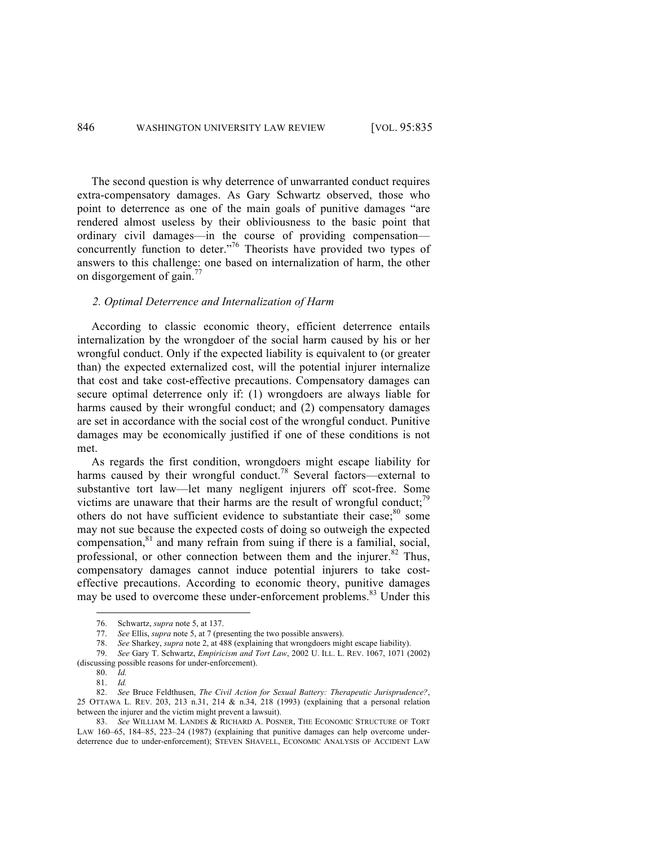The second question is why deterrence of unwarranted conduct requires extra-compensatory damages. As Gary Schwartz observed, those who point to deterrence as one of the main goals of punitive damages "are rendered almost useless by their obliviousness to the basic point that ordinary civil damages—in the course of providing compensation concurrently function to deter."<sup>76</sup> Theorists have provided two types of answers to this challenge: one based on internalization of harm, the other on disgorgement of gain.<sup>77</sup>

## *2. Optimal Deterrence and Internalization of Harm*

According to classic economic theory, efficient deterrence entails internalization by the wrongdoer of the social harm caused by his or her wrongful conduct. Only if the expected liability is equivalent to (or greater than) the expected externalized cost, will the potential injurer internalize that cost and take cost-effective precautions. Compensatory damages can secure optimal deterrence only if: (1) wrongdoers are always liable for harms caused by their wrongful conduct; and (2) compensatory damages are set in accordance with the social cost of the wrongful conduct. Punitive damages may be economically justified if one of these conditions is not met.

As regards the first condition, wrongdoers might escape liability for harms caused by their wrongful conduct.<sup>78</sup> Several factors—external to substantive tort law—let many negligent injurers off scot-free. Some victims are unaware that their harms are the result of wrongful conduct; $^{79}$ others do not have sufficient evidence to substantiate their case; $80 \text{ some}$ may not sue because the expected costs of doing so outweigh the expected compensation, <sup>81</sup> and many refrain from suing if there is a familial, social, professional, or other connection between them and the injurer. $82$  Thus, compensatory damages cannot induce potential injurers to take costeffective precautions. According to economic theory, punitive damages may be used to overcome these under-enforcement problems.<sup>83</sup> Under this

 <sup>76.</sup> Schwartz, *supra* note 5, at 137. See Ellis, *supra* note 5, at 7 (presenting the two possible answers).

<sup>78.</sup> *See* Sharkey, *supra* note 2, at 488 (explaining that wrongdoers might escape liability).

<sup>79.</sup> *See* Gary T. Schwartz, *Empiricism and Tort Law*, 2002 U. ILL. L. REV. 1067, 1071 (2002) (discussing possible reasons for under-enforcement).

<sup>80.</sup> *Id.*

<sup>81.</sup> *Id.*

<sup>82.</sup> *See* Bruce Feldthusen, *The Civil Action for Sexual Battery: Therapeutic Jurisprudence?*, 25 OTTAWA L. REV. 203, 213 n.31, 214 & n.34, 218 (1993) (explaining that a personal relation between the injurer and the victim might prevent a lawsuit).

<sup>83.</sup> *See* WILLIAM M. LANDES & RICHARD A. POSNER, THE ECONOMIC STRUCTURE OF TORT LAW 160–65, 184–85, 223–24 (1987) (explaining that punitive damages can help overcome underdeterrence due to under-enforcement); STEVEN SHAVELL, ECONOMIC ANALYSIS OF ACCIDENT LAW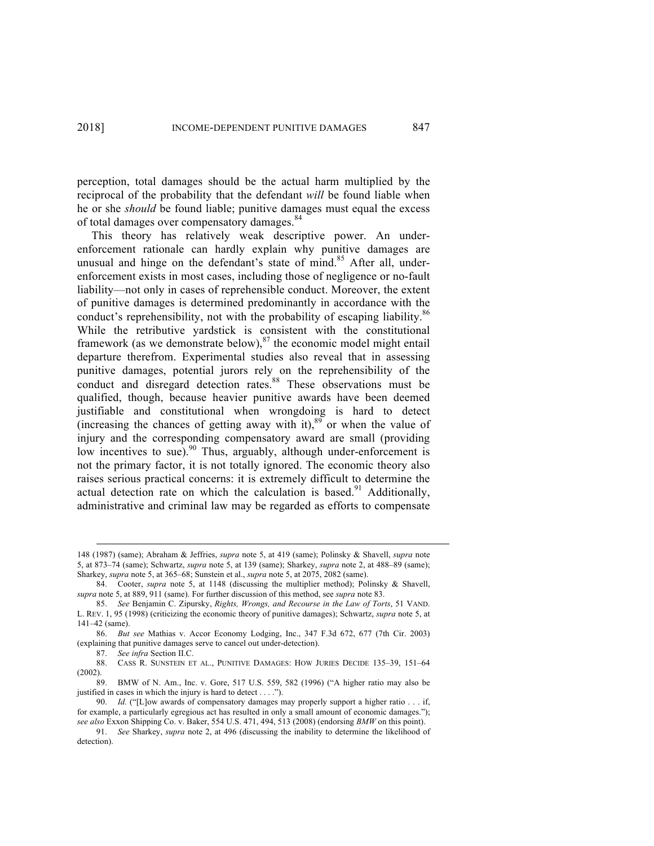perception, total damages should be the actual harm multiplied by the reciprocal of the probability that the defendant *will* be found liable when he or she *should* be found liable; punitive damages must equal the excess of total damages over compensatory damages.<sup>84</sup>

This theory has relatively weak descriptive power. An underenforcement rationale can hardly explain why punitive damages are unusual and hinge on the defendant's state of mind.<sup>85</sup> After all, underenforcement exists in most cases, including those of negligence or no-fault liability—not only in cases of reprehensible conduct. Moreover, the extent of punitive damages is determined predominantly in accordance with the conduct's reprehensibility, not with the probability of escaping liability.<sup>86</sup> While the retributive yardstick is consistent with the constitutional framework (as we demonstrate below), $^{87}$  the economic model might entail departure therefrom. Experimental studies also reveal that in assessing punitive damages, potential jurors rely on the reprehensibility of the conduct and disregard detection rates.<sup>88</sup> These observations must be qualified, though, because heavier punitive awards have been deemed justifiable and constitutional when wrongdoing is hard to detect (increasing the chances of getting away with it),<sup>89</sup> or when the value of injury and the corresponding compensatory award are small (providing low incentives to sue).<sup>90</sup> Thus, arguably, although under-enforcement is not the primary factor, it is not totally ignored. The economic theory also raises serious practical concerns: it is extremely difficult to determine the actual detection rate on which the calculation is based.<sup>91</sup> Additionally, administrative and criminal law may be regarded as efforts to compensate

87. *See infra* Section II.C.

 <sup>148 (1987) (</sup>same); Abraham & Jeffries, *supra* note 5, at 419 (same); Polinsky & Shavell, *supra* note 5, at 873–74 (same); Schwartz, *supra* note 5, at 139 (same); Sharkey, *supra* note 2, at 488–89 (same); Sharkey, *supra* note 5, at 365–68; Sunstein et al., *supra* note 5, at 2075, 2082 (same).

<sup>84.</sup> Cooter, *supra* note 5, at 1148 (discussing the multiplier method); Polinsky & Shavell, *supra* note 5, at 889, 911 (same). For further discussion of this method, see *supra* note 83.

<sup>85.</sup> *See* Benjamin C. Zipursky, *Rights, Wrongs, and Recourse in the Law of Torts*, 51 VAND. L. REV. 1, 95 (1998) (criticizing the economic theory of punitive damages); Schwartz, *supra* note 5, at 141–42 (same).

<sup>86.</sup> *But see* Mathias v. Accor Economy Lodging, Inc., 347 F.3d 672, 677 (7th Cir. 2003) (explaining that punitive damages serve to cancel out under-detection).

<sup>88.</sup> CASS R. SUNSTEIN ET AL., PUNITIVE DAMAGES: HOW JURIES DECIDE 135–39, 151–64 (2002).

<sup>89.</sup> BMW of N. Am., Inc. v. Gore, 517 U.S. 559, 582 (1996) ("A higher ratio may also be justified in cases in which the injury is hard to detect . . . .").

<sup>90.</sup> *Id.* ("[L]ow awards of compensatory damages may properly support a higher ratio . . . if, for example, a particularly egregious act has resulted in only a small amount of economic damages."); *see also* Exxon Shipping Co. v. Baker, 554 U.S. 471, 494, 513 (2008) (endorsing *BMW* on this point).

<sup>91.</sup> *See* Sharkey, *supra* note 2, at 496 (discussing the inability to determine the likelihood of detection).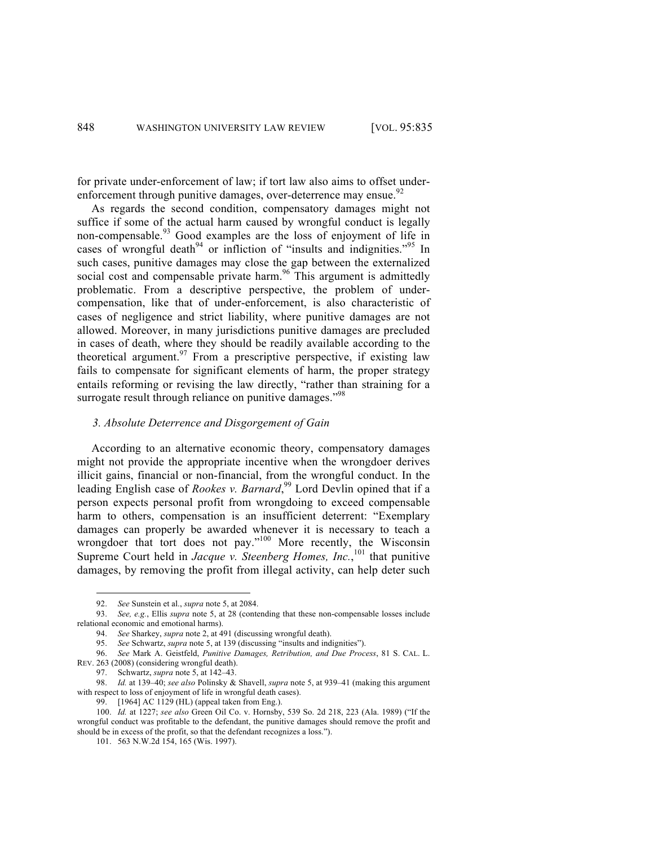for private under-enforcement of law; if tort law also aims to offset underenforcement through punitive damages, over-deterrence may ensue.<sup>92</sup>

As regards the second condition, compensatory damages might not suffice if some of the actual harm caused by wrongful conduct is legally non-compensable. $93$  Good examples are the loss of enjoyment of life in cases of wrongful death<sup>94</sup> or infliction of "insults and indignities."<sup>95</sup> In such cases, punitive damages may close the gap between the externalized social cost and compensable private harm.<sup>96</sup> This argument is admittedly problematic. From a descriptive perspective, the problem of undercompensation, like that of under-enforcement, is also characteristic of cases of negligence and strict liability, where punitive damages are not allowed. Moreover, in many jurisdictions punitive damages are precluded in cases of death, where they should be readily available according to the theoretical argument.<sup>97</sup> From a prescriptive perspective, if existing law fails to compensate for significant elements of harm, the proper strategy entails reforming or revising the law directly, "rather than straining for a surrogate result through reliance on punitive damages."<sup>98</sup>

### *3. Absolute Deterrence and Disgorgement of Gain*

According to an alternative economic theory, compensatory damages might not provide the appropriate incentive when the wrongdoer derives illicit gains, financial or non-financial, from the wrongful conduct. In the leading English case of *Rookes v. Barnard*,<sup>99</sup> Lord Devlin opined that if a person expects personal profit from wrongdoing to exceed compensable harm to others, compensation is an insufficient deterrent: "Exemplary damages can properly be awarded whenever it is necessary to teach a wrongdoer that tort does not pay."<sup>100</sup> More recently, the Wisconsin Supreme Court held in *Jacque v. Steenberg Homes, Inc.*,<sup>101</sup> that punitive damages, by removing the profit from illegal activity, can help deter such

 <sup>92.</sup> *See* Sunstein et al., *supra* note 5, at 2084.

<sup>93.</sup> *See, e.g.*, Ellis *supra* note 5, at 28 (contending that these non-compensable losses include relational economic and emotional harms).

<sup>94.</sup> *See* Sharkey, *supra* note 2, at 491 (discussing wrongful death).

<sup>95.</sup> *See* Schwartz, *supra* note 5, at 139 (discussing "insults and indignities").

<sup>96.</sup> *See* Mark A. Geistfeld, *Punitive Damages, Retribution, and Due Process*, 81 S. CAL. L. REV. 263 (2008) (considering wrongful death).

<sup>97.</sup> Schwartz, *supra* note 5, at 142–43.

<sup>98.</sup> *Id.* at 139–40; *see also* Polinsky & Shavell, *supra* note 5, at 939–41 (making this argument with respect to loss of enjoyment of life in wrongful death cases).

<sup>99.</sup> [1964] AC 1129 (HL) (appeal taken from Eng.).

<sup>100.</sup> *Id.* at 1227; *see also* Green Oil Co. v. Hornsby, 539 So. 2d 218, 223 (Ala. 1989) ("If the wrongful conduct was profitable to the defendant, the punitive damages should remove the profit and should be in excess of the profit, so that the defendant recognizes a loss.").

<sup>101.</sup> 563 N.W.2d 154, 165 (Wis. 1997).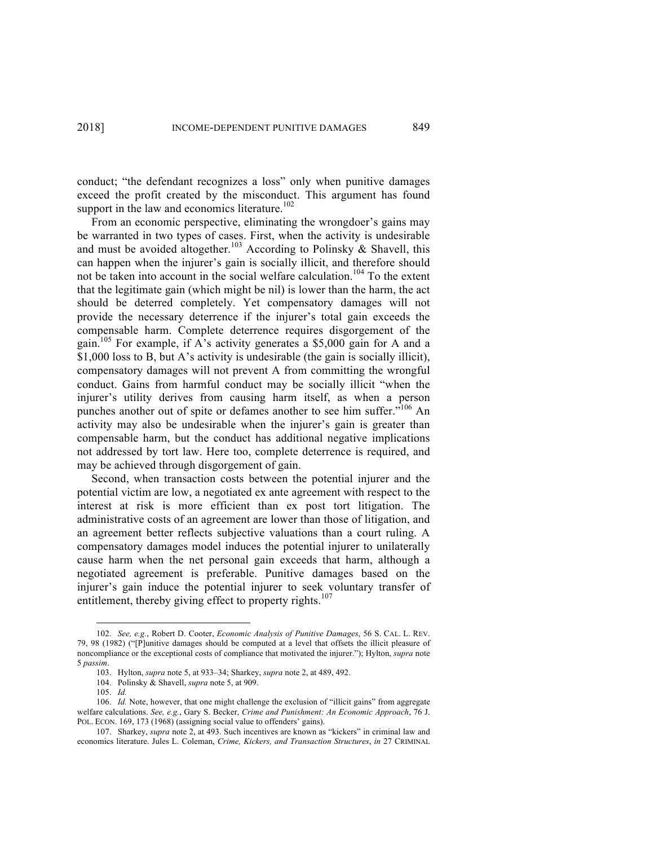conduct; "the defendant recognizes a loss" only when punitive damages exceed the profit created by the misconduct. This argument has found support in the law and economics literature.<sup>102</sup>

From an economic perspective, eliminating the wrongdoer's gains may be warranted in two types of cases. First, when the activity is undesirable and must be avoided altogether.<sup>103</sup> According to Polinsky  $\&$  Shavell, this can happen when the injurer's gain is socially illicit, and therefore should not be taken into account in the social welfare calculation.<sup>104</sup> To the extent that the legitimate gain (which might be nil) is lower than the harm, the act should be deterred completely. Yet compensatory damages will not provide the necessary deterrence if the injurer's total gain exceeds the compensable harm. Complete deterrence requires disgorgement of the gain.<sup>105</sup> For example, if A's activity generates a \$5,000 gain for A and a \$1,000 loss to B, but A's activity is undesirable (the gain is socially illicit), compensatory damages will not prevent A from committing the wrongful conduct. Gains from harmful conduct may be socially illicit "when the injurer's utility derives from causing harm itself, as when a person punches another out of spite or defames another to see him suffer."<sup>106</sup> An activity may also be undesirable when the injurer's gain is greater than compensable harm, but the conduct has additional negative implications not addressed by tort law. Here too, complete deterrence is required, and may be achieved through disgorgement of gain.

Second, when transaction costs between the potential injurer and the potential victim are low, a negotiated ex ante agreement with respect to the interest at risk is more efficient than ex post tort litigation. The administrative costs of an agreement are lower than those of litigation, and an agreement better reflects subjective valuations than a court ruling. A compensatory damages model induces the potential injurer to unilaterally cause harm when the net personal gain exceeds that harm, although a negotiated agreement is preferable. Punitive damages based on the injurer's gain induce the potential injurer to seek voluntary transfer of entitlement, thereby giving effect to property rights.<sup>107</sup>

 <sup>102.</sup> *See, e.g.*, Robert D. Cooter, *Economic Analysis of Punitive Damages*, 56 S. CAL. L. REV. 79, 98 (1982) ("[P]unitive damages should be computed at a level that offsets the illicit pleasure of noncompliance or the exceptional costs of compliance that motivated the injurer."); Hylton, *supra* note 5 *passim*.

<sup>103.</sup> Hylton, *supra* note 5, at 933–34; Sharkey, *supra* note 2, at 489, 492.

<sup>104.</sup> Polinsky & Shavell, *supra* note 5, at 909.

<sup>105.</sup> *Id.*

<sup>106.</sup> *Id.* Note, however, that one might challenge the exclusion of "illicit gains" from aggregate welfare calculations. *See, e.g.*, Gary S. Becker, *Crime and Punishment: An Economic Approach*, 76 J. POL. ECON. 169, 173 (1968) (assigning social value to offenders' gains).

<sup>107.</sup> Sharkey, *supra* note 2, at 493. Such incentives are known as "kickers" in criminal law and economics literature. Jules L. Coleman, *Crime, Kickers, and Transaction Structures*, *in* 27 CRIMINAL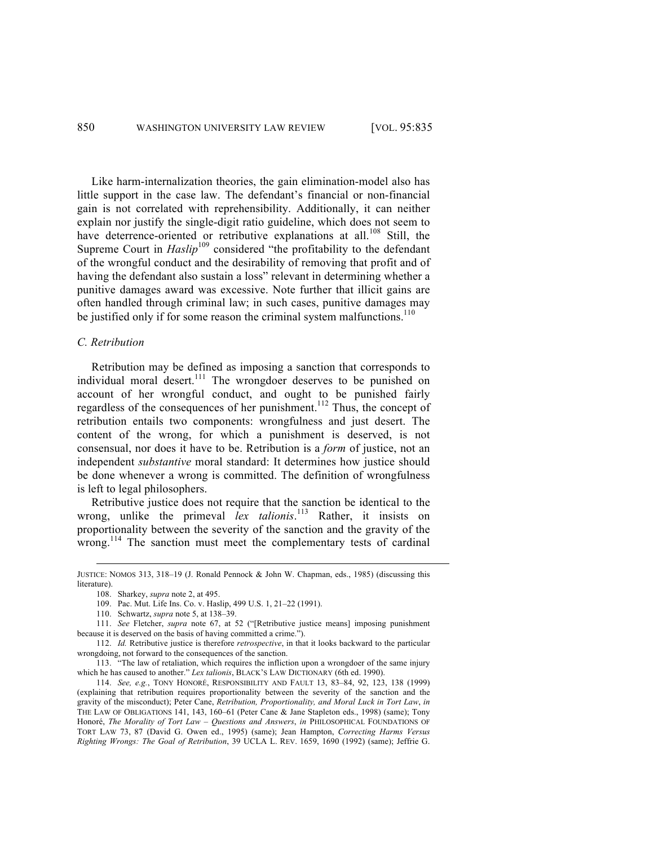Like harm-internalization theories, the gain elimination-model also has little support in the case law. The defendant's financial or non-financial gain is not correlated with reprehensibility. Additionally, it can neither explain nor justify the single-digit ratio guideline, which does not seem to have deterrence-oriented or retributive explanations at all.<sup>108</sup> Still, the Supreme Court in *Haslip*<sup>109</sup> considered "the profitability to the defendant of the wrongful conduct and the desirability of removing that profit and of having the defendant also sustain a loss" relevant in determining whether a punitive damages award was excessive. Note further that illicit gains are often handled through criminal law; in such cases, punitive damages may be justified only if for some reason the criminal system malfunctions.<sup>110</sup>

## *C. Retribution*

Retribution may be defined as imposing a sanction that corresponds to individual moral desert.<sup>111</sup> The wrongdoer deserves to be punished on account of her wrongful conduct, and ought to be punished fairly regardless of the consequences of her punishment.<sup>112</sup> Thus, the concept of retribution entails two components: wrongfulness and just desert. The content of the wrong, for which a punishment is deserved, is not consensual, nor does it have to be. Retribution is a *form* of justice, not an independent *substantive* moral standard: It determines how justice should be done whenever a wrong is committed. The definition of wrongfulness is left to legal philosophers.

Retributive justice does not require that the sanction be identical to the wrong, unlike the primeval *lex talionis*. <sup>113</sup> Rather, it insists on proportionality between the severity of the sanction and the gravity of the wrong.<sup>114</sup> The sanction must meet the complementary tests of cardinal

JUSTICE: NOMOS 313, 318–19 (J. Ronald Pennock & John W. Chapman, eds., 1985) (discussing this literature).

<sup>108.</sup> Sharkey, *supra* note 2, at 495.

<sup>109.</sup> Pac. Mut. Life Ins. Co. v. Haslip, 499 U.S. 1, 21–22 (1991).

<sup>110.</sup> Schwartz, *supra* note 5, at 138–39.

<sup>111.</sup> *See* Fletcher, *supra* note 67, at 52 ("[Retributive justice means] imposing punishment because it is deserved on the basis of having committed a crime.").

<sup>112.</sup> *Id.* Retributive justice is therefore *retrospective*, in that it looks backward to the particular wrongdoing, not forward to the consequences of the sanction.

<sup>113.</sup> "The law of retaliation, which requires the infliction upon a wrongdoer of the same injury which he has caused to another." *Lex talionis*, BLACK'S LAW DICTIONARY (6th ed. 1990).

<sup>114.</sup> *See, e.g.*, TONY HONORÉ, RESPONSIBILITY AND FAULT 13, 83–84, 92, 123, 138 (1999) (explaining that retribution requires proportionality between the severity of the sanction and the gravity of the misconduct); Peter Cane, *Retribution, Proportionality, and Moral Luck in Tort Law*, *in* THE LAW OF OBLIGATIONS 141, 143, 160–61 (Peter Cane & Jane Stapleton eds., 1998) (same); Tony Honoré, *The Morality of Tort Law – Questions and Answers*, *in* PHILOSOPHICAL FOUNDATIONS OF TORT LAW 73, 87 (David G. Owen ed., 1995) (same); Jean Hampton, *Correcting Harms Versus Righting Wrongs: The Goal of Retribution*, 39 UCLA L. REV. 1659, 1690 (1992) (same); Jeffrie G.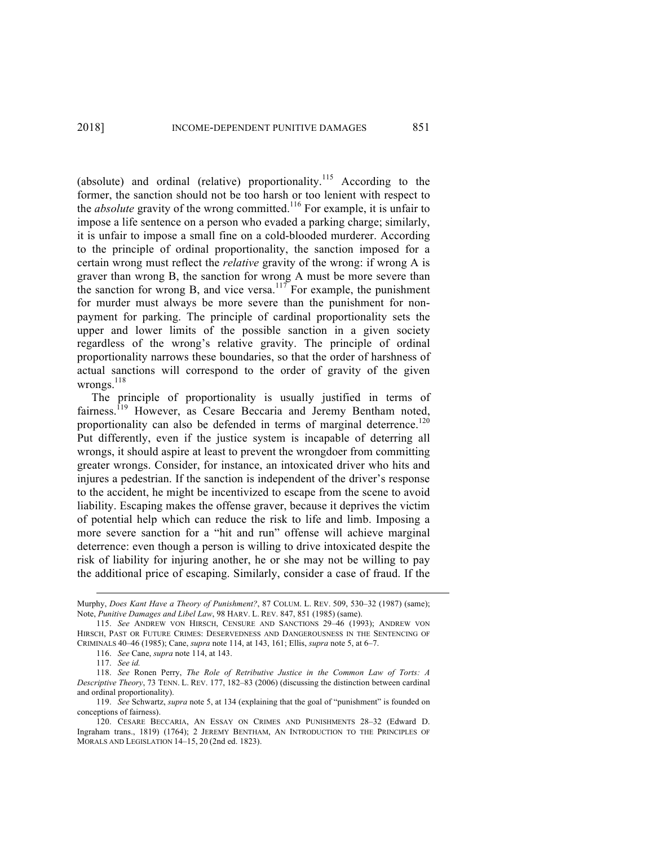(absolute) and ordinal (relative) proportionality.<sup>115</sup> According to the former, the sanction should not be too harsh or too lenient with respect to the *absolute* gravity of the wrong committed.<sup>116</sup> For example, it is unfair to impose a life sentence on a person who evaded a parking charge; similarly, it is unfair to impose a small fine on a cold-blooded murderer. According to the principle of ordinal proportionality, the sanction imposed for a certain wrong must reflect the *relative* gravity of the wrong: if wrong A is graver than wrong B, the sanction for wrong A must be more severe than the sanction for wrong B, and vice versa.<sup>117</sup> For example, the punishment for murder must always be more severe than the punishment for nonpayment for parking. The principle of cardinal proportionality sets the upper and lower limits of the possible sanction in a given society regardless of the wrong's relative gravity. The principle of ordinal proportionality narrows these boundaries, so that the order of harshness of actual sanctions will correspond to the order of gravity of the given wrongs. $^{118}$ 

The principle of proportionality is usually justified in terms of fairness.<sup>119</sup> However, as Cesare Beccaria and Jeremy Bentham noted, proportionality can also be defended in terms of marginal deterrence.<sup>120</sup> Put differently, even if the justice system is incapable of deterring all wrongs, it should aspire at least to prevent the wrongdoer from committing greater wrongs. Consider, for instance, an intoxicated driver who hits and injures a pedestrian. If the sanction is independent of the driver's response to the accident, he might be incentivized to escape from the scene to avoid liability. Escaping makes the offense graver, because it deprives the victim of potential help which can reduce the risk to life and limb. Imposing a more severe sanction for a "hit and run" offense will achieve marginal deterrence: even though a person is willing to drive intoxicated despite the risk of liability for injuring another, he or she may not be willing to pay the additional price of escaping. Similarly, consider a case of fraud. If the

Murphy, *Does Kant Have a Theory of Punishment?*, 87 COLUM. L. REV. 509, 530–32 (1987) (same); Note, *Punitive Damages and Libel Law*, 98 HARV. L. REV. 847, 851 (1985) (same).

<sup>115.</sup> *See* ANDREW VON HIRSCH, CENSURE AND SANCTIONS 29–46 (1993); ANDREW VON HIRSCH, PAST OR FUTURE CRIMES: DESERVEDNESS AND DANGEROUSNESS IN THE SENTENCING OF CRIMINALS 40–46 (1985); Cane, *supra* note 114, at 143, 161; Ellis, *supra* note 5, at 6–7.

<sup>116.</sup> *See* Cane, *supra* note 114, at 143.

<sup>117.</sup> *See id.*

<sup>118.</sup> *See* Ronen Perry, *The Role of Retributive Justice in the Common Law of Torts: A Descriptive Theory*, 73 TENN. L. REV. 177, 182–83 (2006) (discussing the distinction between cardinal and ordinal proportionality).

<sup>119.</sup> *See* Schwartz, *supra* note 5, at 134 (explaining that the goal of "punishment" is founded on conceptions of fairness).

<sup>120.</sup> CESARE BECCARIA, AN ESSAY ON CRIMES AND PUNISHMENTS 28–32 (Edward D. Ingraham trans., 1819) (1764); 2 JEREMY BENTHAM, AN INTRODUCTION TO THE PRINCIPLES OF MORALS AND LEGISLATION 14–15, 20 (2nd ed. 1823).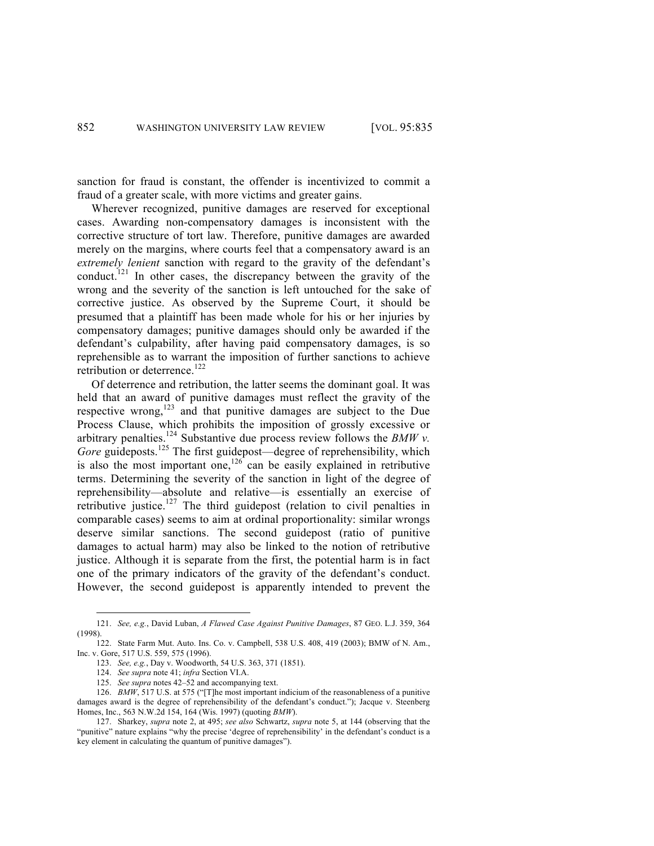sanction for fraud is constant, the offender is incentivized to commit a fraud of a greater scale, with more victims and greater gains.

Wherever recognized, punitive damages are reserved for exceptional cases. Awarding non-compensatory damages is inconsistent with the corrective structure of tort law. Therefore, punitive damages are awarded merely on the margins, where courts feel that a compensatory award is an *extremely lenient* sanction with regard to the gravity of the defendant's conduct.<sup>121</sup> In other cases, the discrepancy between the gravity of the wrong and the severity of the sanction is left untouched for the sake of corrective justice. As observed by the Supreme Court, it should be presumed that a plaintiff has been made whole for his or her injuries by compensatory damages; punitive damages should only be awarded if the defendant's culpability, after having paid compensatory damages, is so reprehensible as to warrant the imposition of further sanctions to achieve retribution or deterrence.<sup>122</sup>

Of deterrence and retribution, the latter seems the dominant goal. It was held that an award of punitive damages must reflect the gravity of the respective wrong,<sup>123</sup> and that punitive damages are subject to the Due Process Clause, which prohibits the imposition of grossly excessive or arbitrary penalties.<sup>124</sup> Substantive due process review follows the *BMW v*. *Gore* guideposts.<sup>125</sup> The first guidepost—degree of reprehensibility, which is also the most important one,<sup>126</sup> can be easily explained in retributive terms. Determining the severity of the sanction in light of the degree of reprehensibility—absolute and relative—is essentially an exercise of retributive justice.<sup>127</sup> The third guidepost (relation to civil penalties in comparable cases) seems to aim at ordinal proportionality: similar wrongs deserve similar sanctions. The second guidepost (ratio of punitive damages to actual harm) may also be linked to the notion of retributive justice. Although it is separate from the first, the potential harm is in fact one of the primary indicators of the gravity of the defendant's conduct. However, the second guidepost is apparently intended to prevent the

 <sup>121.</sup> *See, e.g.*, David Luban, *<sup>A</sup> Flawed Case Against Punitive Damages*, 87 GEO. L.J. 359, 364 (1998).

<sup>122.</sup> State Farm Mut. Auto. Ins. Co. v. Campbell, 538 U.S. 408, 419 (2003); BMW of N. Am., Inc. v. Gore, 517 U.S. 559, 575 (1996).

<sup>123.</sup> *See, e.g.*, Day v. Woodworth, 54 U.S. 363, 371 (1851).

<sup>124.</sup> *See supra* note 41; *infra* Section VI.A.

<sup>125.</sup> *See supra* notes 42–52 and accompanying text.

<sup>126.</sup> *BMW*, 517 U.S. at 575 ("[T]he most important indicium of the reasonableness of a punitive damages award is the degree of reprehensibility of the defendant's conduct."); Jacque v. Steenberg Homes, Inc., 563 N.W.2d 154, 164 (Wis. 1997) (quoting *BMW*).

<sup>127.</sup> Sharkey, *supra* note 2, at 495; *see also* Schwartz, *supra* note 5, at 144 (observing that the "punitive" nature explains "why the precise 'degree of reprehensibility' in the defendant's conduct is a key element in calculating the quantum of punitive damages").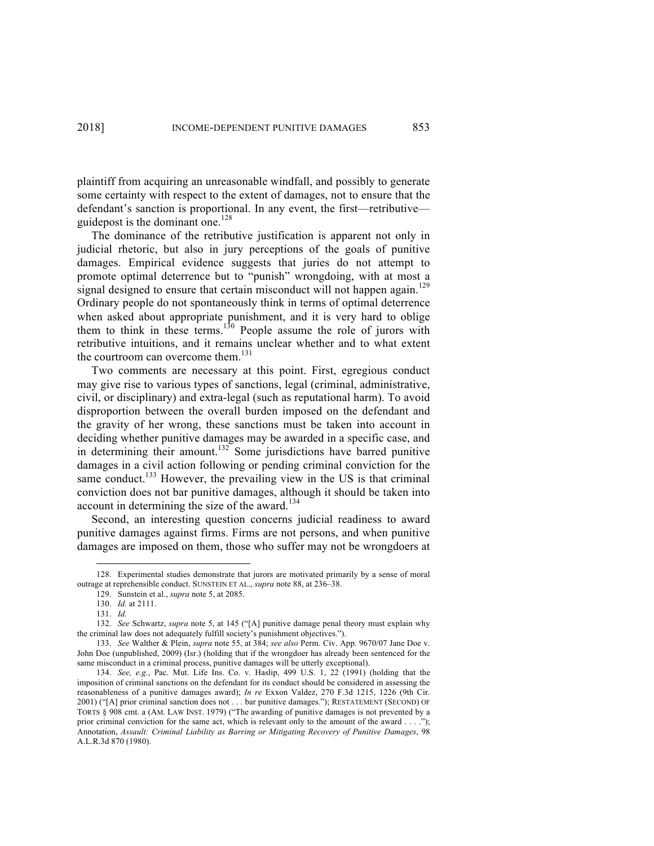plaintiff from acquiring an unreasonable windfall, and possibly to generate some certainty with respect to the extent of damages, not to ensure that the defendant's sanction is proportional. In any event, the first—retributive guidepost is the dominant one.<sup>128</sup>

The dominance of the retributive justification is apparent not only in judicial rhetoric, but also in jury perceptions of the goals of punitive damages. Empirical evidence suggests that juries do not attempt to promote optimal deterrence but to "punish" wrongdoing, with at most a signal designed to ensure that certain misconduct will not happen again.<sup>129</sup> Ordinary people do not spontaneously think in terms of optimal deterrence when asked about appropriate punishment, and it is very hard to oblige them to think in these terms.<sup>130</sup> People assume the role of jurors with retributive intuitions, and it remains unclear whether and to what extent the courtroom can overcome them.<sup>131</sup>

Two comments are necessary at this point. First, egregious conduct may give rise to various types of sanctions, legal (criminal, administrative, civil, or disciplinary) and extra-legal (such as reputational harm). To avoid disproportion between the overall burden imposed on the defendant and the gravity of her wrong, these sanctions must be taken into account in deciding whether punitive damages may be awarded in a specific case, and in determining their amount.<sup>132</sup> Some jurisdictions have barred punitive damages in a civil action following or pending criminal conviction for the same conduct.<sup>133</sup> However, the prevailing view in the US is that criminal conviction does not bar punitive damages, although it should be taken into account in determining the size of the award.<sup>134</sup>

Second, an interesting question concerns judicial readiness to award punitive damages against firms. Firms are not persons, and when punitive damages are imposed on them, those who suffer may not be wrongdoers at

 <sup>128.</sup> Experimental studies demonstrate that jurors are motivated primarily by a sense of moral outrage at reprehensible conduct. SUNSTEIN ET AL., *supra* note 88, at 236–38.

<sup>129.</sup> Sunstein et al., *supra* note 5, at 2085.

<sup>130.</sup> *Id.* at 2111.

<sup>131.</sup> *Id.*

<sup>132.</sup> *See* Schwartz, *supra* note 5, at 145 ("[A] punitive damage penal theory must explain why the criminal law does not adequately fulfill society's punishment objectives.").

<sup>133.</sup> *See* Walther & Plein, *supra* note 55, at 384; *see also* Perm. Civ. App. 9670/07 Jane Doe v. John Doe (unpublished, 2009) (Isr.) (holding that if the wrongdoer has already been sentenced for the same misconduct in a criminal process, punitive damages will be utterly exceptional).

<sup>134.</sup> *See, e.g.*, Pac. Mut. Life Ins. Co. v. Haslip, 499 U.S. 1, 22 (1991) (holding that the imposition of criminal sanctions on the defendant for its conduct should be considered in assessing the reasonableness of a punitive damages award); *In re* Exxon Valdez, 270 F.3d 1215, 1226 (9th Cir. 2001) ("[A] prior criminal sanction does not . . . bar punitive damages."); RESTATEMENT (SECOND) OF TORTS § 908 cmt. a (AM. LAW INST. 1979) ("The awarding of punitive damages is not prevented by a prior criminal conviction for the same act, which is relevant only to the amount of the award . . . ."); Annotation, *Assault: Criminal Liability as Barring or Mitigating Recovery of Punitive Damages*, 98 A.L.R.3d 870 (1980).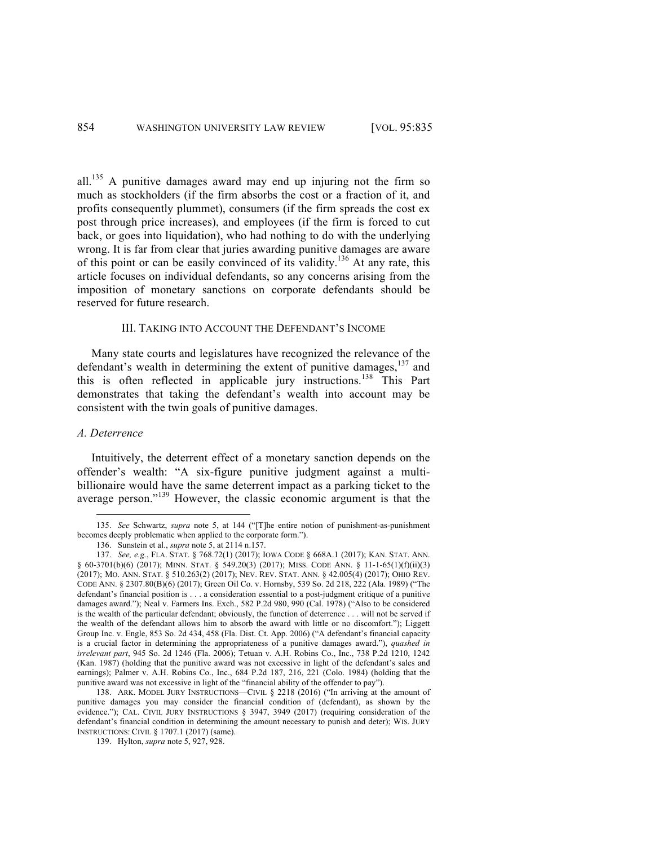all.<sup>135</sup> A punitive damages award may end up injuring not the firm so much as stockholders (if the firm absorbs the cost or a fraction of it, and profits consequently plummet), consumers (if the firm spreads the cost ex post through price increases), and employees (if the firm is forced to cut back, or goes into liquidation), who had nothing to do with the underlying wrong. It is far from clear that juries awarding punitive damages are aware of this point or can be easily convinced of its validity.<sup>136</sup> At any rate, this article focuses on individual defendants, so any concerns arising from the imposition of monetary sanctions on corporate defendants should be reserved for future research.

## III. TAKING INTO ACCOUNT THE DEFENDANT'S INCOME

Many state courts and legislatures have recognized the relevance of the defendant's wealth in determining the extent of punitive damages, <sup>137</sup> and this is often reflected in applicable jury instructions.<sup>138</sup> This Part demonstrates that taking the defendant's wealth into account may be consistent with the twin goals of punitive damages.

#### *A. Deterrence*

Intuitively, the deterrent effect of a monetary sanction depends on the offender's wealth: "A six-figure punitive judgment against a multibillionaire would have the same deterrent impact as a parking ticket to the average person."<sup>139</sup> However, the classic economic argument is that the

 <sup>135.</sup> *See* Schwartz, *supra* note 5, at 144 ("[T]he entire notion of punishment-as-punishment becomes deeply problematic when applied to the corporate form.").

<sup>136.</sup> Sunstein et al., *supra* note 5, at 2114 n.157.

<sup>137.</sup> *See, e.g.*, FLA. STAT. § 768.72(1) (2017); IOWA CODE § 668A.1 (2017); KAN. STAT. ANN. § 60-3701(b)(6) (2017); MINN. STAT. § 549.20(3) (2017); MISS. CODE ANN. § 11-1-65(1)(f)(ii)(3) (2017); MO. ANN. STAT. § 510.263(2) (2017); NEV. REV. STAT. ANN. § 42.005(4) (2017); OHIO REV. CODE ANN. § 2307.80(B)(6) (2017); Green Oil Co. v. Hornsby, 539 So. 2d 218, 222 (Ala. 1989) ("The defendant's financial position is . . . a consideration essential to a post-judgment critique of a punitive damages award."); Neal v. Farmers Ins. Exch., 582 P.2d 980, 990 (Cal. 1978) ("Also to be considered is the wealth of the particular defendant; obviously, the function of deterrence . . . will not be served if the wealth of the defendant allows him to absorb the award with little or no discomfort."); Liggett Group Inc. v. Engle, 853 So. 2d 434, 458 (Fla. Dist. Ct. App. 2006) ("A defendant's financial capacity is a crucial factor in determining the appropriateness of a punitive damages award."), *quashed in irrelevant part*, 945 So. 2d 1246 (Fla. 2006); Tetuan v. A.H. Robins Co., Inc., 738 P.2d 1210, 1242 (Kan. 1987) (holding that the punitive award was not excessive in light of the defendant's sales and earnings); Palmer v. A.H. Robins Co., Inc., 684 P.2d 187, 216, 221 (Colo. 1984) (holding that the punitive award was not excessive in light of the "financial ability of the offender to pay").

<sup>138.</sup> ARK. MODEL JURY INSTRUCTIONS—CIVIL § 2218 (2016) ("In arriving at the amount of punitive damages you may consider the financial condition of (defendant), as shown by the evidence."); CAL. CIVIL JURY INSTRUCTIONS § 3947, 3949 (2017) (requiring consideration of the defendant's financial condition in determining the amount necessary to punish and deter); WIS. JURY INSTRUCTIONS: CIVIL § 1707.1 (2017) (same).

<sup>139.</sup> Hylton, *supra* note 5, 927, 928.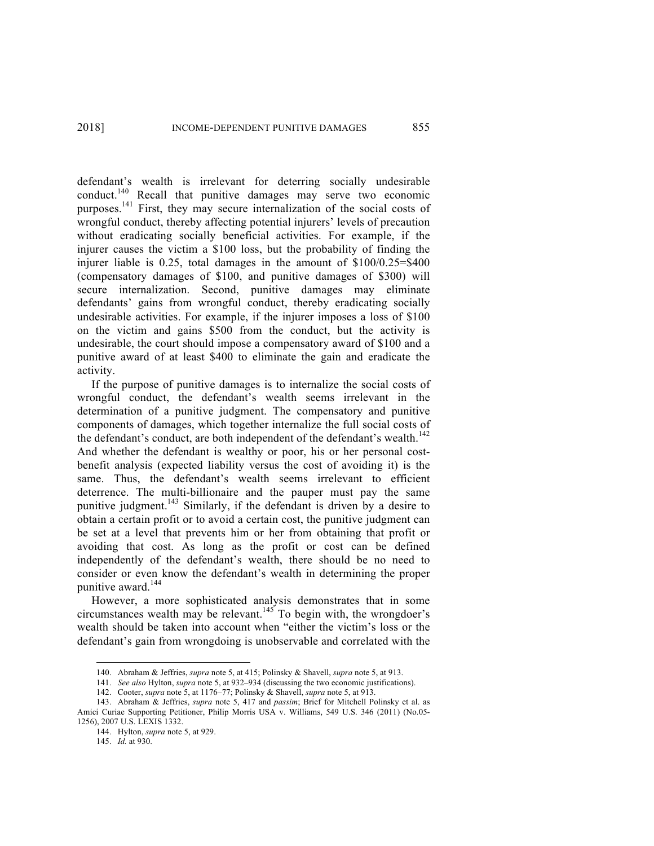defendant's wealth is irrelevant for deterring socially undesirable conduct.<sup>140</sup> Recall that punitive damages may serve two economic purposes.<sup>141</sup> First, they may secure internalization of the social costs of wrongful conduct, thereby affecting potential injurers' levels of precaution without eradicating socially beneficial activities. For example, if the injurer causes the victim a \$100 loss, but the probability of finding the injurer liable is 0.25, total damages in the amount of \$100/0.25=\$400 (compensatory damages of \$100, and punitive damages of \$300) will secure internalization. Second, punitive damages may eliminate defendants' gains from wrongful conduct, thereby eradicating socially undesirable activities. For example, if the injurer imposes a loss of \$100 on the victim and gains \$500 from the conduct, but the activity is undesirable, the court should impose a compensatory award of \$100 and a punitive award of at least \$400 to eliminate the gain and eradicate the activity.

If the purpose of punitive damages is to internalize the social costs of wrongful conduct, the defendant's wealth seems irrelevant in the determination of a punitive judgment. The compensatory and punitive components of damages, which together internalize the full social costs of the defendant's conduct, are both independent of the defendant's wealth.<sup>142</sup> And whether the defendant is wealthy or poor, his or her personal costbenefit analysis (expected liability versus the cost of avoiding it) is the same. Thus, the defendant's wealth seems irrelevant to efficient deterrence. The multi-billionaire and the pauper must pay the same punitive judgment.<sup>143</sup> Similarly, if the defendant is driven by a desire to obtain a certain profit or to avoid a certain cost, the punitive judgment can be set at a level that prevents him or her from obtaining that profit or avoiding that cost. As long as the profit or cost can be defined independently of the defendant's wealth, there should be no need to consider or even know the defendant's wealth in determining the proper punitive award. 144

However, a more sophisticated analysis demonstrates that in some circumstances wealth may be relevant.<sup>145</sup> To begin with, the wrongdoer's wealth should be taken into account when "either the victim's loss or the defendant's gain from wrongdoing is unobservable and correlated with the

 <sup>140.</sup> Abraham & Jeffries, *supra* note 5, at 415; Polinsky & Shavell, *supra* note 5, at 913.

<sup>141.</sup> *See also* Hylton, *supra* note 5, at 932–934 (discussing the two economic justifications).

<sup>142.</sup> Cooter, *supra* note 5, at 1176–77; Polinsky & Shavell, *supra* note 5, at 913.

<sup>143.</sup> Abraham & Jeffries, *supra* note 5, 417 and *passim*; Brief for Mitchell Polinsky et al. as Amici Curiae Supporting Petitioner, Philip Morris USA v. Williams, 549 U.S. 346 (2011) (No.05- 1256), 2007 U.S. LEXIS 1332.

<sup>144.</sup> Hylton, *supra* note 5, at 929.

<sup>145.</sup> *Id.* at 930.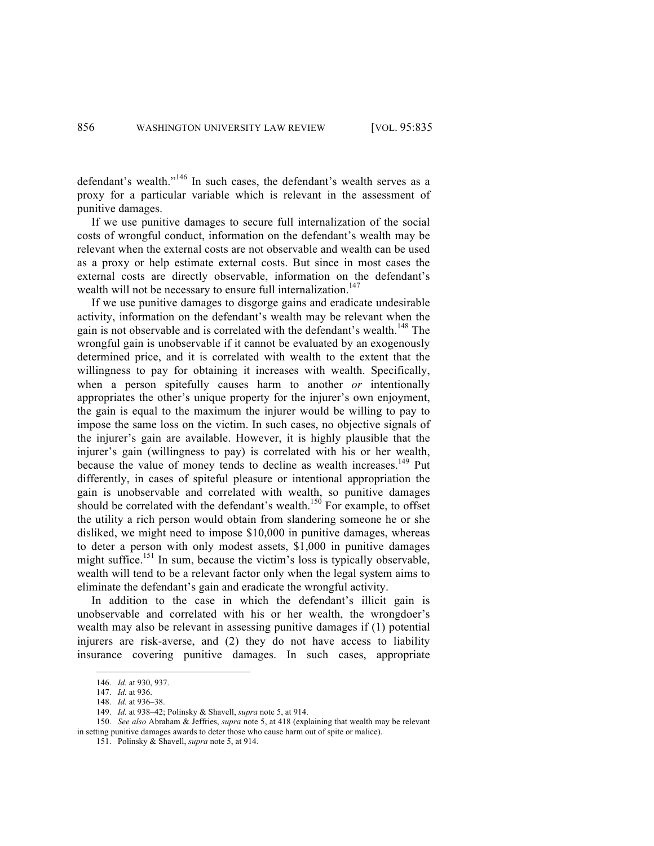defendant's wealth."<sup>146</sup> In such cases, the defendant's wealth serves as a proxy for a particular variable which is relevant in the assessment of punitive damages.

If we use punitive damages to secure full internalization of the social costs of wrongful conduct, information on the defendant's wealth may be relevant when the external costs are not observable and wealth can be used as a proxy or help estimate external costs. But since in most cases the external costs are directly observable, information on the defendant's wealth will not be necessary to ensure full internalization.<sup>147</sup>

If we use punitive damages to disgorge gains and eradicate undesirable activity, information on the defendant's wealth may be relevant when the gain is not observable and is correlated with the defendant's wealth.<sup>148</sup> The wrongful gain is unobservable if it cannot be evaluated by an exogenously determined price, and it is correlated with wealth to the extent that the willingness to pay for obtaining it increases with wealth. Specifically, when a person spitefully causes harm to another *or* intentionally appropriates the other's unique property for the injurer's own enjoyment, the gain is equal to the maximum the injurer would be willing to pay to impose the same loss on the victim. In such cases, no objective signals of the injurer's gain are available. However, it is highly plausible that the injurer's gain (willingness to pay) is correlated with his or her wealth, because the value of money tends to decline as wealth increases.<sup>149</sup> Put differently, in cases of spiteful pleasure or intentional appropriation the gain is unobservable and correlated with wealth, so punitive damages should be correlated with the defendant's wealth.<sup>150</sup> For example, to offset the utility a rich person would obtain from slandering someone he or she disliked, we might need to impose \$10,000 in punitive damages, whereas to deter a person with only modest assets, \$1,000 in punitive damages might suffice.<sup>151</sup> In sum, because the victim's loss is typically observable, wealth will tend to be a relevant factor only when the legal system aims to eliminate the defendant's gain and eradicate the wrongful activity.

In addition to the case in which the defendant's illicit gain is unobservable and correlated with his or her wealth, the wrongdoer's wealth may also be relevant in assessing punitive damages if (1) potential injurers are risk-averse, and (2) they do not have access to liability insurance covering punitive damages. In such cases, appropriate

 <sup>146.</sup> *Id.* at 930, 937.

<sup>147.</sup> *Id.* at 936.

<sup>148.</sup> *Id.* at 936–38.

<sup>149.</sup> *Id.* at 938–42; Polinsky & Shavell, *supra* note 5, at 914.

<sup>150.</sup> *See also* Abraham & Jeffries, *supra* note 5, at 418 (explaining that wealth may be relevant in setting punitive damages awards to deter those who cause harm out of spite or malice).

<sup>151.</sup> Polinsky & Shavell, *supra* note 5, at 914.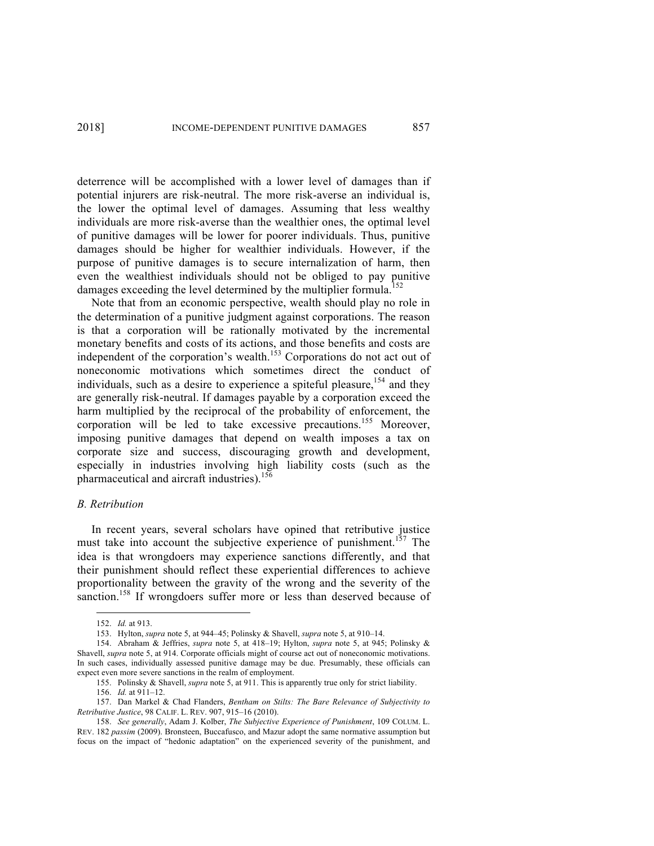deterrence will be accomplished with a lower level of damages than if potential injurers are risk-neutral. The more risk-averse an individual is, the lower the optimal level of damages. Assuming that less wealthy individuals are more risk-averse than the wealthier ones, the optimal level of punitive damages will be lower for poorer individuals. Thus, punitive damages should be higher for wealthier individuals. However, if the purpose of punitive damages is to secure internalization of harm, then even the wealthiest individuals should not be obliged to pay punitive damages exceeding the level determined by the multiplier formula.<sup>152</sup>

Note that from an economic perspective, wealth should play no role in the determination of a punitive judgment against corporations. The reason is that a corporation will be rationally motivated by the incremental monetary benefits and costs of its actions, and those benefits and costs are independent of the corporation's wealth.<sup>153</sup> Corporations do not act out of noneconomic motivations which sometimes direct the conduct of individuals, such as a desire to experience a spiteful pleasure, <sup>154</sup> and they are generally risk-neutral. If damages payable by a corporation exceed the harm multiplied by the reciprocal of the probability of enforcement, the corporation will be led to take excessive precautions.<sup>155</sup> Moreover, imposing punitive damages that depend on wealth imposes a tax on corporate size and success, discouraging growth and development, especially in industries involving high liability costs (such as the pharmaceutical and aircraft industries).<sup>156</sup>

#### *B. Retribution*

In recent years, several scholars have opined that retributive justice must take into account the subjective experience of punishment.<sup>157</sup> The idea is that wrongdoers may experience sanctions differently, and that their punishment should reflect these experiential differences to achieve proportionality between the gravity of the wrong and the severity of the sanction.<sup>158</sup> If wrongdoers suffer more or less than deserved because of

 <sup>152.</sup> *Id.* at 913.

<sup>153.</sup> Hylton, *supra* note 5, at 944–45; Polinsky & Shavell, *supra* note 5, at 910–14.

<sup>154.</sup> Abraham & Jeffries, *supra* note 5, at 418–19; Hylton, *supra* note 5, at 945; Polinsky & Shavell, *supra* note 5, at 914. Corporate officials might of course act out of noneconomic motivations. In such cases, individually assessed punitive damage may be due. Presumably, these officials can expect even more severe sanctions in the realm of employment.

<sup>155.</sup> Polinsky & Shavell, *supra* note 5, at 911. This is apparently true only for strict liability.

<sup>156.</sup> *Id.* at 911–12.

<sup>157.</sup> Dan Markel & Chad Flanders, *Bentham on Stilts: The Bare Relevance of Subjectivity to Retributive Justice*, 98 CALIF. L. REV. 907, 915–16 (2010).

<sup>158.</sup> *See generally*, Adam J. Kolber, *The Subjective Experience of Punishment*, 109 COLUM. L. REV. 182 *passim* (2009). Bronsteen, Buccafusco, and Mazur adopt the same normative assumption but focus on the impact of "hedonic adaptation" on the experienced severity of the punishment, and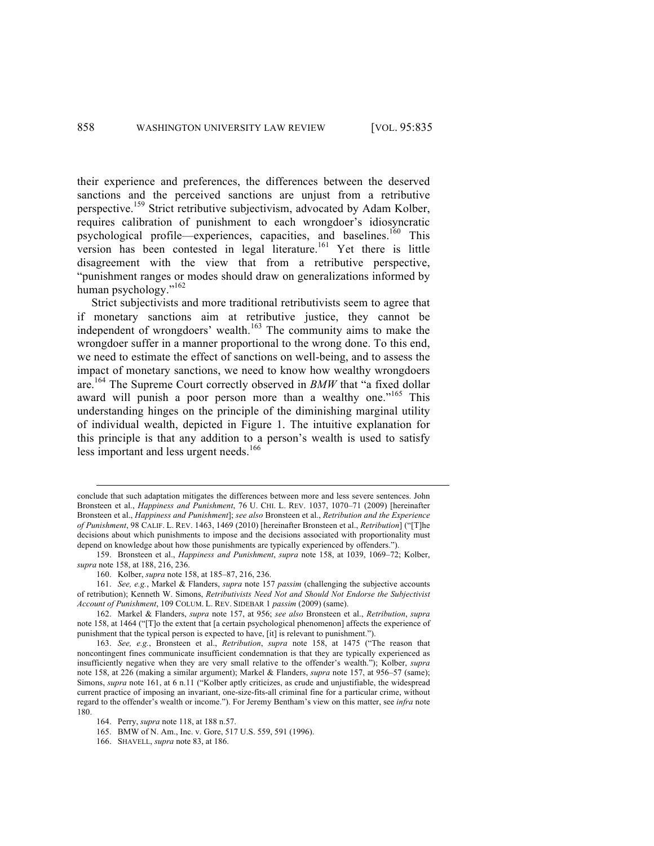their experience and preferences, the differences between the deserved sanctions and the perceived sanctions are unjust from a retributive perspective.<sup>159</sup> Strict retributive subjectivism, advocated by Adam Kolber, requires calibration of punishment to each wrongdoer's idiosyncratic psychological profile—experiences, capacities, and baselines.<sup>160</sup> This version has been contested in legal literature. <sup>161</sup> Yet there is little disagreement with the view that from a retributive perspective, "punishment ranges or modes should draw on generalizations informed by human psychology."<sup>162</sup>

Strict subjectivists and more traditional retributivists seem to agree that if monetary sanctions aim at retributive justice, they cannot be independent of wrongdoers' wealth. $\frac{163}{163}$  The community aims to make the wrongdoer suffer in a manner proportional to the wrong done. To this end, we need to estimate the effect of sanctions on well-being, and to assess the impact of monetary sanctions, we need to know how wealthy wrongdoers are.<sup>164</sup> The Supreme Court correctly observed in *BMW* that "a fixed dollar award will punish a poor person more than a wealthy one."<sup>165</sup> This understanding hinges on the principle of the diminishing marginal utility of individual wealth, depicted in Figure 1. The intuitive explanation for this principle is that any addition to a person's wealth is used to satisfy less important and less urgent needs.<sup>166</sup>

conclude that such adaptation mitigates the differences between more and less severe sentences. John Bronsteen et al., *Happiness and Punishment*, 76 U. CHI. L. REV. 1037, 1070–71 (2009) [hereinafter Bronsteen et al., *Happiness and Punishment*]; *see also* Bronsteen et al., *Retribution and the Experience of Punishment*, 98 CALIF. L. REV. 1463, 1469 (2010) [hereinafter Bronsteen et al., *Retribution*] ("[T]he decisions about which punishments to impose and the decisions associated with proportionality must depend on knowledge about how those punishments are typically experienced by offenders.").

<sup>159.</sup> Bronsteen et al., *Happiness and Punishment*, *supra* note 158, at 1039, 1069–72; Kolber, *supra* note 158, at 188, 216, 236.

<sup>160.</sup> Kolber, *supra* note 158, at 185–87, 216, 236.

<sup>161.</sup> *See, e.g.*, Markel & Flanders, *supra* note 157 *passim* (challenging the subjective accounts of retribution); Kenneth W. Simons, *Retributivists Need Not and Should Not Endorse the Subjectivist Account of Punishment*, 109 COLUM. L. REV. SIDEBAR 1 *passim* (2009) (same).

<sup>162.</sup> Markel & Flanders, *supra* note 157, at 956; *see also* Bronsteen et al., *Retribution*, *supra*  note 158, at 1464 ("[T]o the extent that [a certain psychological phenomenon] affects the experience of punishment that the typical person is expected to have, [it] is relevant to punishment.").

<sup>163.</sup> *See, e.g.*, Bronsteen et al., *Retribution*, *supra* note 158, at 1475 ("The reason that noncontingent fines communicate insufficient condemnation is that they are typically experienced as insufficiently negative when they are very small relative to the offender's wealth."); Kolber, *supra* note 158, at 226 (making a similar argument); Markel & Flanders, *supra* note 157, at 956–57 (same); Simons, *supra* note 161, at 6 n.11 ("Kolber aptly criticizes, as crude and unjustifiable, the widespread current practice of imposing an invariant, one-size-fits-all criminal fine for a particular crime, without regard to the offender's wealth or income."). For Jeremy Bentham's view on this matter, see *infra* note 180.

<sup>164.</sup> Perry, *supra* note 118, at 188 n.57.

<sup>165.</sup> BMW of N. Am., Inc. v. Gore, 517 U.S. 559, 591 (1996).

<sup>166.</sup> SHAVELL, *supra* note 83, at 186.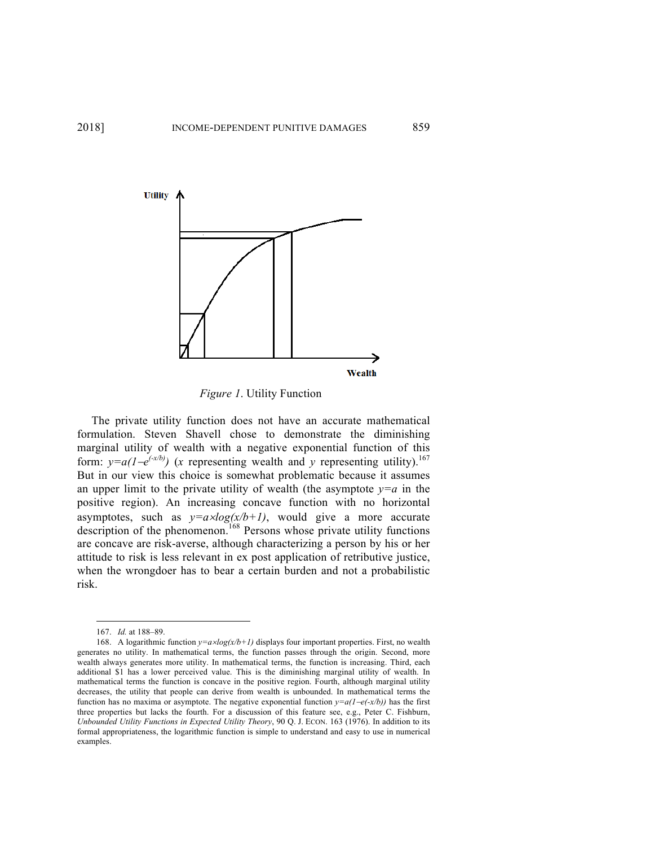

*Figure 1*. Utility Function

The private utility function does not have an accurate mathematical formulation. Steven Shavell chose to demonstrate the diminishing marginal utility of wealth with a negative exponential function of this form:  $y=a(1-e^{(-x/b)})$  (*x* representing wealth and *y* representing utility).<sup>167</sup> But in our view this choice is somewhat problematic because it assumes an upper limit to the private utility of wealth (the asymptote  $y=a$  in the positive region). An increasing concave function with no horizontal asymptotes, such as  $y=a \times log(x/b+1)$ , would give a more accurate description of the phenomenon.<sup>168</sup> Persons whose private utility functions are concave are risk-averse, although characterizing a person by his or her attitude to risk is less relevant in ex post application of retributive justice, when the wrongdoer has to bear a certain burden and not a probabilistic risk.

 <sup>167.</sup> *Id.* at 188–89.

<sup>168.</sup> A logarithmic function  $y=a \times log(x/b+1)$  displays four important properties. First, no wealth generates no utility. In mathematical terms, the function passes through the origin. Second, more wealth always generates more utility. In mathematical terms, the function is increasing. Third, each additional \$1 has a lower perceived value. This is the diminishing marginal utility of wealth. In mathematical terms the function is concave in the positive region. Fourth, although marginal utility decreases, the utility that people can derive from wealth is unbounded. In mathematical terms the function has no maxima or asymptote. The negative exponential function  $y=a(1-e(-x/b))$  has the first three properties but lacks the fourth. For a discussion of this feature see, e.g., Peter C. Fishburn, *Unbounded Utility Functions in Expected Utility Theory*, 90 Q. J. ECON. 163 (1976). In addition to its formal appropriateness, the logarithmic function is simple to understand and easy to use in numerical examples.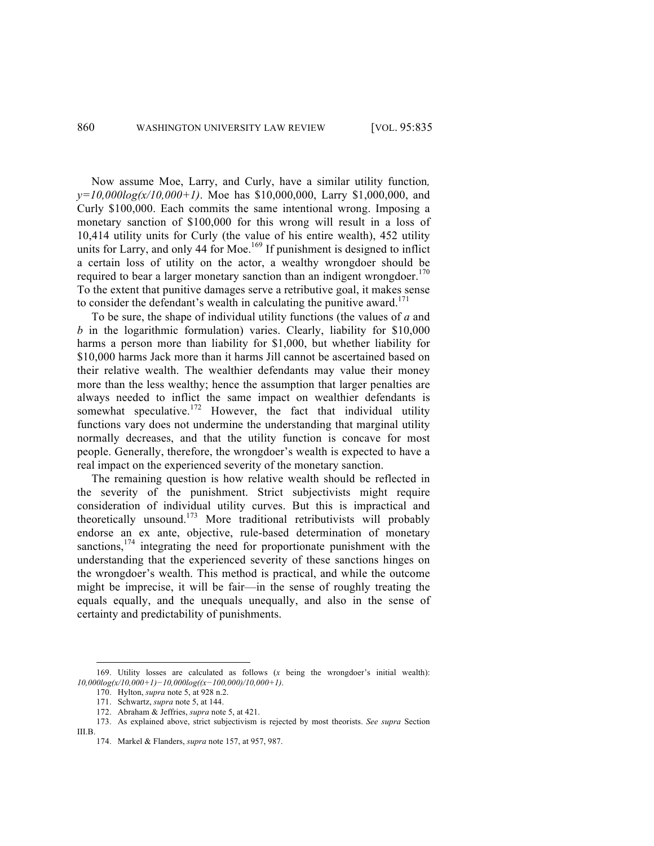Now assume Moe, Larry, and Curly, have a similar utility function*,*  $y=10,000\log(x/10,000+1)$ . Moe has \$10,000,000, Larry \$1,000,000, and Curly \$100,000. Each commits the same intentional wrong. Imposing a monetary sanction of \$100,000 for this wrong will result in a loss of 10,414 utility units for Curly (the value of his entire wealth), 452 utility units for Larry, and only 44 for Moe.<sup>169</sup> If punishment is designed to inflict a certain loss of utility on the actor, a wealthy wrongdoer should be required to bear a larger monetary sanction than an indigent wrongdoer.<sup>170</sup> To the extent that punitive damages serve a retributive goal, it makes sense to consider the defendant's wealth in calculating the punitive award.<sup>171</sup>

To be sure, the shape of individual utility functions (the values of *a* and *b* in the logarithmic formulation) varies. Clearly, liability for \$10,000 harms a person more than liability for \$1,000, but whether liability for \$10,000 harms Jack more than it harms Jill cannot be ascertained based on their relative wealth. The wealthier defendants may value their money more than the less wealthy; hence the assumption that larger penalties are always needed to inflict the same impact on wealthier defendants is somewhat speculative.<sup>172</sup> However, the fact that individual utility functions vary does not undermine the understanding that marginal utility normally decreases, and that the utility function is concave for most people. Generally, therefore, the wrongdoer's wealth is expected to have a real impact on the experienced severity of the monetary sanction.

The remaining question is how relative wealth should be reflected in the severity of the punishment. Strict subjectivists might require consideration of individual utility curves. But this is impractical and theoretically unsound.<sup>173</sup> More traditional retributivists will probably endorse an ex ante, objective, rule-based determination of monetary sanctions, $174$  integrating the need for proportionate punishment with the understanding that the experienced severity of these sanctions hinges on the wrongdoer's wealth. This method is practical, and while the outcome might be imprecise, it will be fair—in the sense of roughly treating the equals equally, and the unequals unequally, and also in the sense of certainty and predictability of punishments.

 <sup>169.</sup> Utility losses are calculated as follows (*<sup>x</sup>* being the wrongdoer's initial wealth): *10,000log(x/10,000+1)−10,000log((x−100,000)/10,000+1)*.

<sup>170.</sup> Hylton, *supra* note 5, at 928 n.2.

<sup>171.</sup> Schwartz, *supra* note 5, at 144.

<sup>172.</sup> Abraham & Jeffries, *supra* note 5, at 421.

<sup>173.</sup> As explained above, strict subjectivism is rejected by most theorists. *See supra* Section III.B.

<sup>174.</sup> Markel & Flanders, *supra* note 157, at 957, 987.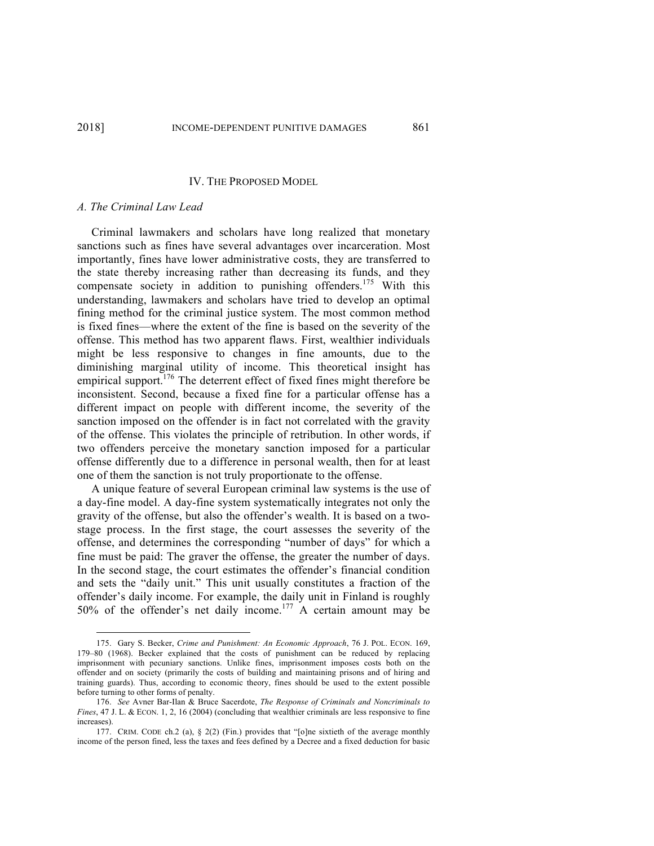## IV. THE PROPOSED MODEL

## *A. The Criminal Law Lead*

Criminal lawmakers and scholars have long realized that monetary sanctions such as fines have several advantages over incarceration. Most importantly, fines have lower administrative costs, they are transferred to the state thereby increasing rather than decreasing its funds, and they compensate society in addition to punishing offenders.<sup>175</sup> With this understanding, lawmakers and scholars have tried to develop an optimal fining method for the criminal justice system. The most common method is fixed fines—where the extent of the fine is based on the severity of the offense. This method has two apparent flaws. First, wealthier individuals might be less responsive to changes in fine amounts, due to the diminishing marginal utility of income. This theoretical insight has empirical support.<sup>176</sup> The deterrent effect of fixed fines might therefore be inconsistent. Second, because a fixed fine for a particular offense has a different impact on people with different income, the severity of the sanction imposed on the offender is in fact not correlated with the gravity of the offense. This violates the principle of retribution. In other words, if two offenders perceive the monetary sanction imposed for a particular offense differently due to a difference in personal wealth, then for at least one of them the sanction is not truly proportionate to the offense.

A unique feature of several European criminal law systems is the use of a day-fine model. A day-fine system systematically integrates not only the gravity of the offense, but also the offender's wealth. It is based on a twostage process. In the first stage, the court assesses the severity of the offense, and determines the corresponding "number of days" for which a fine must be paid: The graver the offense, the greater the number of days. In the second stage, the court estimates the offender's financial condition and sets the "daily unit." This unit usually constitutes a fraction of the offender's daily income. For example, the daily unit in Finland is roughly 50% of the offender's net daily income. <sup>177</sup> A certain amount may be

 <sup>175.</sup> Gary S. Becker, *Crime and Punishment: An Economic Approach*, 76 J. POL. ECON. 169, 179–80 (1968). Becker explained that the costs of punishment can be reduced by replacing imprisonment with pecuniary sanctions. Unlike fines, imprisonment imposes costs both on the offender and on society (primarily the costs of building and maintaining prisons and of hiring and training guards). Thus, according to economic theory, fines should be used to the extent possible before turning to other forms of penalty.

<sup>176.</sup> *See* Avner Bar-Ilan & Bruce Sacerdote, *The Response of Criminals and Noncriminals to Fines*, 47 J. L. & ECON. 1, 2, 16 (2004) (concluding that wealthier criminals are less responsive to fine increases).

<sup>177.</sup> CRIM. CODE ch.2 (a), § 2(2) (Fin.) provides that "[o]ne sixtieth of the average monthly income of the person fined, less the taxes and fees defined by a Decree and a fixed deduction for basic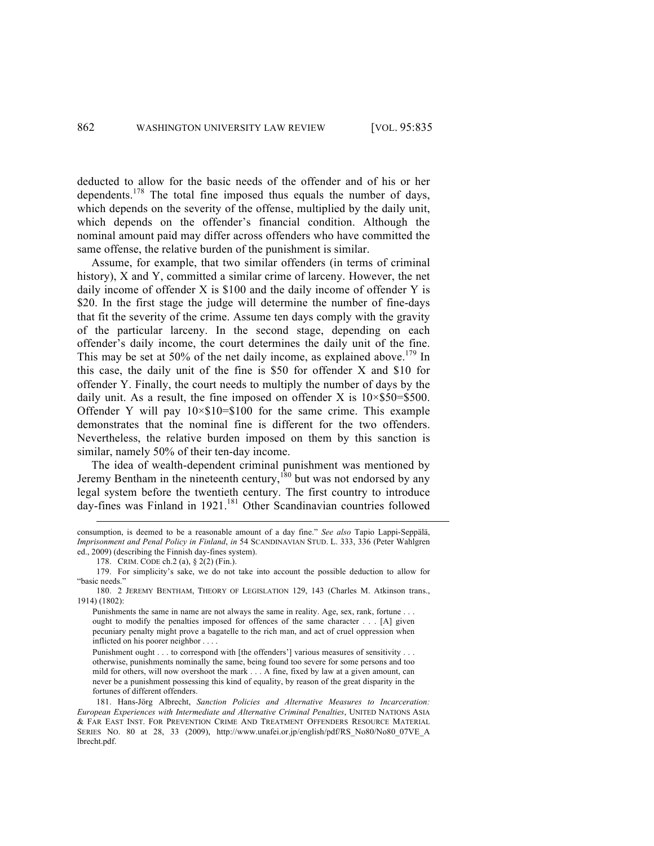deducted to allow for the basic needs of the offender and of his or her dependents.<sup>178</sup> The total fine imposed thus equals the number of days, which depends on the severity of the offense, multiplied by the daily unit, which depends on the offender's financial condition. Although the nominal amount paid may differ across offenders who have committed the same offense, the relative burden of the punishment is similar.

Assume, for example, that two similar offenders (in terms of criminal history), X and Y, committed a similar crime of larceny. However, the net daily income of offender X is \$100 and the daily income of offender Y is \$20. In the first stage the judge will determine the number of fine-days that fit the severity of the crime. Assume ten days comply with the gravity of the particular larceny. In the second stage, depending on each offender's daily income, the court determines the daily unit of the fine. This may be set at 50% of the net daily income, as explained above.<sup>179</sup> In this case, the daily unit of the fine is \$50 for offender X and \$10 for offender Y. Finally, the court needs to multiply the number of days by the daily unit. As a result, the fine imposed on offender X is  $10\times\$50=\$500$ . Offender Y will pay  $10 \times $10 = $100$  for the same crime. This example demonstrates that the nominal fine is different for the two offenders. Nevertheless, the relative burden imposed on them by this sanction is similar, namely 50% of their ten-day income.

The idea of wealth-dependent criminal punishment was mentioned by Jeremy Bentham in the nineteenth century,  $180$  but was not endorsed by any legal system before the twentieth century. The first country to introduce day-fines was Finland in 1921.<sup>181</sup> Other Scandinavian countries followed

consumption, is deemed to be a reasonable amount of a day fine." *See also* Tapio Lappi-Seppälä, *Imprisonment and Penal Policy in Finland*, *in* 54 SCANDINAVIAN STUD. L. 333, 336 (Peter Wahlgren ed., 2009) (describing the Finnish day-fines system).

<sup>178.</sup> CRIM. CODE ch.2 (a), § 2(2) (Fin.).

<sup>179.</sup> For simplicity's sake, we do not take into account the possible deduction to allow for "basic needs."

<sup>180.</sup> 2 JEREMY BENTHAM, THEORY OF LEGISLATION 129, 143 (Charles M. Atkinson trans., 1914) (1802):

Punishments the same in name are not always the same in reality. Age, sex, rank, fortune . . . ought to modify the penalties imposed for offences of the same character . . . [A] given pecuniary penalty might prove a bagatelle to the rich man, and act of cruel oppression when inflicted on his poorer neighbor . . . .

Punishment ought . . . to correspond with [the offenders'] various measures of sensitivity . . . otherwise, punishments nominally the same, being found too severe for some persons and too mild for others, will now overshoot the mark . . . A fine, fixed by law at a given amount, can never be a punishment possessing this kind of equality, by reason of the great disparity in the fortunes of different offenders.

<sup>181.</sup> Hans-Jörg Albrecht, *Sanction Policies and Alternative Measures to Incarceration: European Experiences with Intermediate and Alternative Criminal Penalties*, UNITED NATIONS ASIA & FAR EAST INST. FOR PREVENTION CRIME AND TREATMENT OFFENDERS RESOURCE MATERIAL SERIES NO. 80 at 28, 33 (2009), http://www.unafei.or.jp/english/pdf/RS\_No80/No80\_07VE\_A lbrecht.pdf.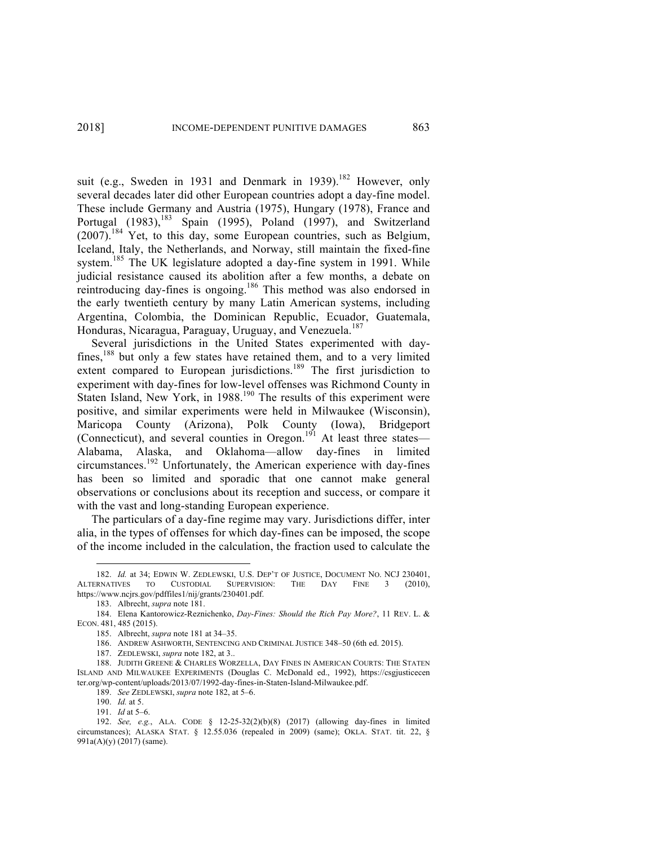suit (e.g., Sweden in 1931 and Denmark in 1939).<sup>182</sup> However, only several decades later did other European countries adopt a day-fine model. These include Germany and Austria (1975), Hungary (1978), France and Portugal (1983),<sup>183</sup> Spain (1995), Poland (1997), and Switzerland  $(2007)$ <sup>184</sup> Yet, to this day, some European countries, such as Belgium, Iceland, Italy, the Netherlands, and Norway, still maintain the fixed-fine system.<sup>185</sup> The UK legislature adopted a day-fine system in 1991. While judicial resistance caused its abolition after a few months, a debate on reintroducing day-fines is ongoing.<sup>186</sup> This method was also endorsed in the early twentieth century by many Latin American systems, including Argentina, Colombia, the Dominican Republic, Ecuador, Guatemala, Honduras, Nicaragua, Paraguay, Uruguay, and Venezuela.<sup>187</sup>

Several jurisdictions in the United States experimented with dayfines,<sup>188</sup> but only a few states have retained them, and to a very limited extent compared to European jurisdictions.<sup>189</sup> The first jurisdiction to experiment with day-fines for low-level offenses was Richmond County in Staten Island, New York, in 1988.<sup>190</sup> The results of this experiment were positive, and similar experiments were held in Milwaukee (Wisconsin), Maricopa County (Arizona), Polk County (Iowa), Bridgeport (Connecticut), and several counties in Oregon.<sup>191</sup> At least three states— Alabama, Alaska, and Oklahoma—allow day-fines in limited circumstances. <sup>192</sup> Unfortunately, the American experience with day-fines has been so limited and sporadic that one cannot make general observations or conclusions about its reception and success, or compare it with the vast and long-standing European experience.

The particulars of a day-fine regime may vary. Jurisdictions differ, inter alia, in the types of offenses for which day-fines can be imposed, the scope of the income included in the calculation, the fraction used to calculate the

 <sup>182.</sup> *Id.* at 34; EDWIN W. ZEDLEWSKI, U.S. DEP'T OF JUSTICE, DOCUMENT NO. NCJ 230401, ALTERNATIVES TO CUSTODIAL SUPERVISION: THE DAY FINE 3 (2010), https://www.ncjrs.gov/pdffiles1/nij/grants/230401.pdf.

<sup>183.</sup> Albrecht, *supra* note 181.

<sup>184.</sup> Elena Kantorowicz-Reznichenko, *Day-Fines: Should the Rich Pay More?*, 11 REV. L. & ECON. 481, 485 (2015).

<sup>185.</sup> Albrecht, *supra* note 181 at 34–35.

<sup>186.</sup> ANDREW ASHWORTH, SENTENCING AND CRIMINAL JUSTICE 348–50 (6th ed. 2015).

<sup>187.</sup> ZEDLEWSKI, *supra* note 182, at 3..

<sup>188.</sup> JUDITH GREENE & CHARLES WORZELLA, DAY FINES IN AMERICAN COURTS: THE STATEN ISLAND AND MILWAUKEE EXPERIMENTS (Douglas C. McDonald ed., 1992), https://csgjusticecen ter.org/wp-content/uploads/2013/07/1992-day-fines-in-Staten-Island-Milwaukee.pdf.

<sup>189.</sup> *See* ZEDLEWSKI, *supra* note 182, at 5–6.

<sup>190.</sup> *Id.* at 5.

<sup>191.</sup> *Id* at 5–6.

<sup>192.</sup> *See, e.g.*, ALA. CODE § 12-25-32(2)(b)(8) (2017) (allowing day-fines in limited circumstances); ALASKA STAT. § 12.55.036 (repealed in 2009) (same); OKLA. STAT. tit. 22, § 991a(A)(y) (2017) (same).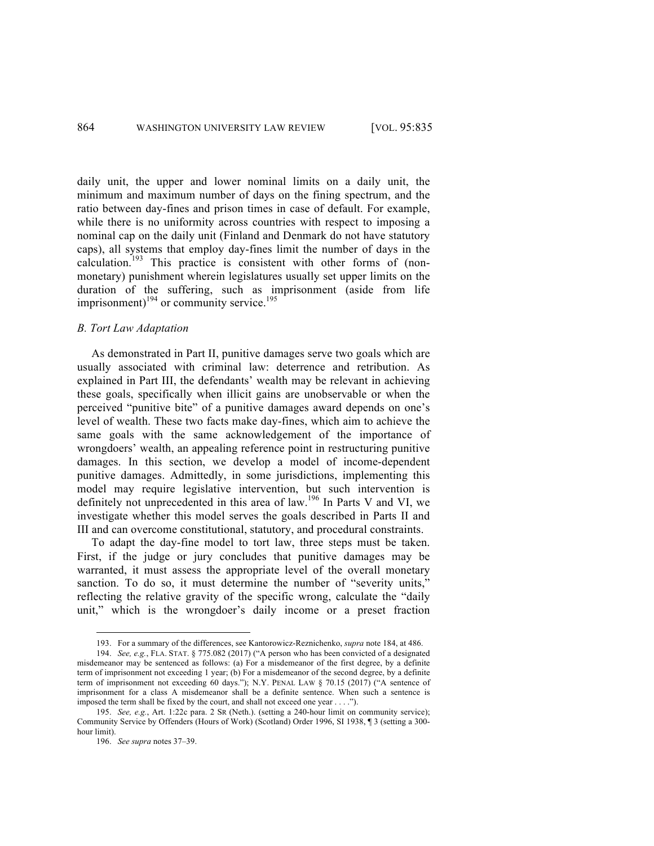daily unit, the upper and lower nominal limits on a daily unit, the minimum and maximum number of days on the fining spectrum, and the ratio between day-fines and prison times in case of default. For example, while there is no uniformity across countries with respect to imposing a nominal cap on the daily unit (Finland and Denmark do not have statutory caps), all systems that employ day-fines limit the number of days in the calculation. <sup>193</sup> This practice is consistent with other forms of (nonmonetary) punishment wherein legislatures usually set upper limits on the duration of the suffering, such as imprisonment (aside from life imprisonment) $^{194}$  or community service. $^{195}$ 

## *B. Tort Law Adaptation*

As demonstrated in Part II, punitive damages serve two goals which are usually associated with criminal law: deterrence and retribution. As explained in Part III, the defendants' wealth may be relevant in achieving these goals, specifically when illicit gains are unobservable or when the perceived "punitive bite" of a punitive damages award depends on one's level of wealth. These two facts make day-fines, which aim to achieve the same goals with the same acknowledgement of the importance of wrongdoers' wealth, an appealing reference point in restructuring punitive damages. In this section, we develop a model of income-dependent punitive damages. Admittedly, in some jurisdictions, implementing this model may require legislative intervention, but such intervention is definitely not unprecedented in this area of law.<sup>196</sup> In Parts V and VI, we investigate whether this model serves the goals described in Parts II and III and can overcome constitutional, statutory, and procedural constraints.

To adapt the day-fine model to tort law, three steps must be taken. First, if the judge or jury concludes that punitive damages may be warranted, it must assess the appropriate level of the overall monetary sanction. To do so, it must determine the number of "severity units," reflecting the relative gravity of the specific wrong, calculate the "daily unit," which is the wrongdoer's daily income or a preset fraction

 <sup>193.</sup> For a summary of the differences, see Kantorowicz-Reznichenko, *supra* note 184, at 486.

<sup>194.</sup> *See, e.g.*, FLA. STAT. § 775.082 (2017) ("A person who has been convicted of a designated misdemeanor may be sentenced as follows: (a) For a misdemeanor of the first degree, by a definite term of imprisonment not exceeding 1 year; (b) For a misdemeanor of the second degree, by a definite term of imprisonment not exceeding 60 days."); N.Y. PENAL LAW § 70.15 (2017) ("A sentence of imprisonment for a class A misdemeanor shall be a definite sentence. When such a sentence is imposed the term shall be fixed by the court, and shall not exceed one year . . . .").

<sup>195.</sup> *See, e.g.*, Art. 1:22c para. 2 SR (Neth.). (setting a 240-hour limit on community service); Community Service by Offenders (Hours of Work) (Scotland) Order 1996, SI 1938, ¶ 3 (setting a 300 hour limit).

<sup>196.</sup> *See supra* notes 37–39.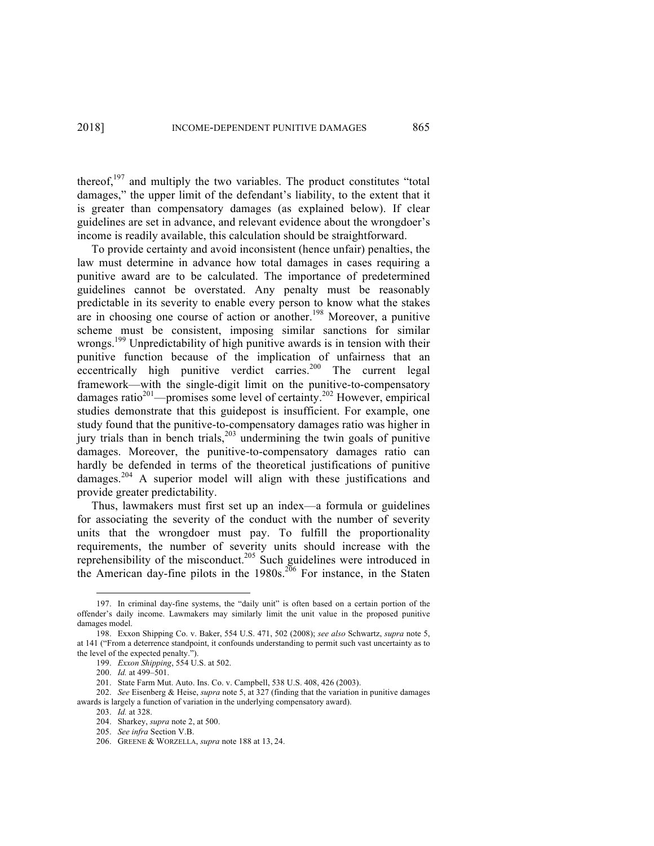thereof,<sup>197</sup> and multiply the two variables. The product constitutes "total damages," the upper limit of the defendant's liability, to the extent that it is greater than compensatory damages (as explained below). If clear guidelines are set in advance, and relevant evidence about the wrongdoer's income is readily available, this calculation should be straightforward.

To provide certainty and avoid inconsistent (hence unfair) penalties, the law must determine in advance how total damages in cases requiring a punitive award are to be calculated. The importance of predetermined guidelines cannot be overstated. Any penalty must be reasonably predictable in its severity to enable every person to know what the stakes are in choosing one course of action or another.<sup>198</sup> Moreover, a punitive scheme must be consistent, imposing similar sanctions for similar wrongs.<sup>199</sup> Unpredictability of high punitive awards is in tension with their punitive function because of the implication of unfairness that an eccentrically high punitive verdict carries.<sup>200</sup> The current legal framework—with the single-digit limit on the punitive-to-compensatory damages ratio<sup>201</sup>—promises some level of certainty.<sup>202</sup> However, empirical studies demonstrate that this guidepost is insufficient. For example, one study found that the punitive-to-compensatory damages ratio was higher in jury trials than in bench trials, <sup>203</sup> undermining the twin goals of punitive damages. Moreover, the punitive-to-compensatory damages ratio can hardly be defended in terms of the theoretical justifications of punitive damages.<sup>204</sup> A superior model will align with these justifications and provide greater predictability.

Thus, lawmakers must first set up an index—a formula or guidelines for associating the severity of the conduct with the number of severity units that the wrongdoer must pay. To fulfill the proportionality requirements, the number of severity units should increase with the reprehensibility of the misconduct.<sup>205</sup> Such guidelines were introduced in the American day-fine pilots in the  $1980s$ .<sup>206</sup> For instance, in the Staten

 <sup>197.</sup> In criminal day-fine systems, the "daily unit" is often based on a certain portion of the offender's daily income. Lawmakers may similarly limit the unit value in the proposed punitive damages model.

<sup>198.</sup> Exxon Shipping Co. v. Baker, 554 U.S. 471, 502 (2008); *see also* Schwartz, *supra* note 5, at 141 ("From a deterrence standpoint, it confounds understanding to permit such vast uncertainty as to the level of the expected penalty.").

<sup>199.</sup> *Exxon Shipping*, 554 U.S. at 502.

<sup>200.</sup> *Id.* at 499–501.

<sup>201.</sup> State Farm Mut. Auto. Ins. Co. v. Campbell, 538 U.S. 408, 426 (2003).

<sup>202.</sup> *See* Eisenberg & Heise, *supra* note 5, at 327 (finding that the variation in punitive damages awards is largely a function of variation in the underlying compensatory award).

<sup>203.</sup> *Id.* at 328.

<sup>204.</sup> Sharkey, *supra* note 2, at 500.

<sup>205.</sup> *See infra* Section V.B.

<sup>206.</sup> GREENE & WORZELLA, *supra* note 188 at 13, 24.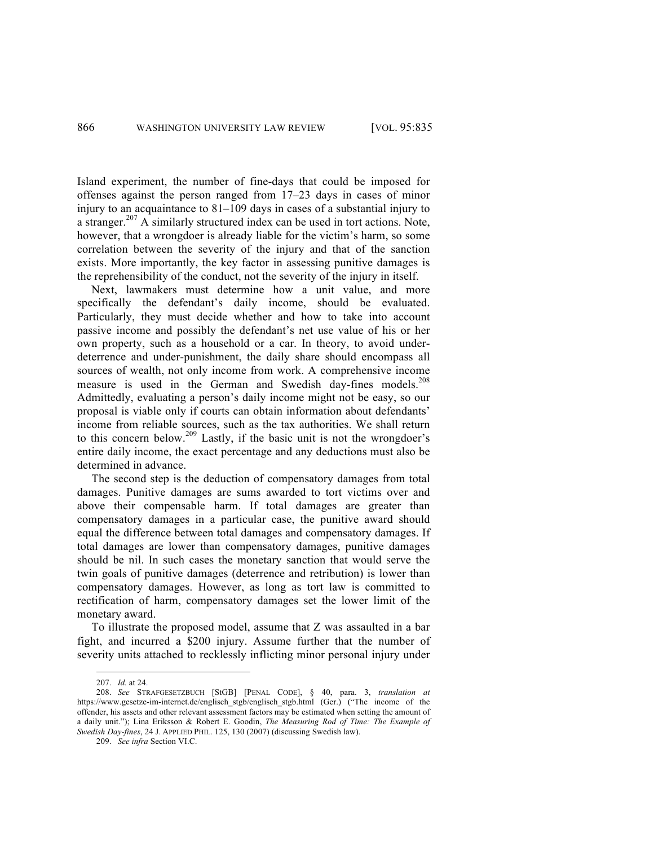Island experiment, the number of fine-days that could be imposed for offenses against the person ranged from 17–23 days in cases of minor injury to an acquaintance to 81–109 days in cases of a substantial injury to a stranger.<sup>207</sup> A similarly structured index can be used in tort actions. Note, however, that a wrongdoer is already liable for the victim's harm, so some correlation between the severity of the injury and that of the sanction exists. More importantly, the key factor in assessing punitive damages is the reprehensibility of the conduct, not the severity of the injury in itself.

Next, lawmakers must determine how a unit value, and more specifically the defendant's daily income, should be evaluated. Particularly, they must decide whether and how to take into account passive income and possibly the defendant's net use value of his or her own property, such as a household or a car. In theory, to avoid underdeterrence and under-punishment, the daily share should encompass all sources of wealth, not only income from work. A comprehensive income measure is used in the German and Swedish day-fines models.<sup>208</sup> Admittedly, evaluating a person's daily income might not be easy, so our proposal is viable only if courts can obtain information about defendants' income from reliable sources, such as the tax authorities. We shall return to this concern below.<sup>209</sup> Lastly, if the basic unit is not the wrongdoer's entire daily income, the exact percentage and any deductions must also be determined in advance.

The second step is the deduction of compensatory damages from total damages. Punitive damages are sums awarded to tort victims over and above their compensable harm. If total damages are greater than compensatory damages in a particular case, the punitive award should equal the difference between total damages and compensatory damages. If total damages are lower than compensatory damages, punitive damages should be nil. In such cases the monetary sanction that would serve the twin goals of punitive damages (deterrence and retribution) is lower than compensatory damages. However, as long as tort law is committed to rectification of harm, compensatory damages set the lower limit of the monetary award.

To illustrate the proposed model, assume that Z was assaulted in a bar fight, and incurred a \$200 injury. Assume further that the number of severity units attached to recklessly inflicting minor personal injury under

 <sup>207.</sup> *Id.* at 24.

<sup>208.</sup> *See* STRAFGESETZBUCH [StGB] [PENAL CODE], § 40, para. 3, *translation at*  https://www.gesetze-im-internet.de/englisch\_stgb/englisch\_stgb.html (Ger.) ("The income of the offender, his assets and other relevant assessment factors may be estimated when setting the amount of a daily unit."); Lina Eriksson & Robert E. Goodin, *The Measuring Rod of Time: The Example of Swedish Day-fines*, 24 J. APPLIED PHIL. 125, 130 (2007) (discussing Swedish law).

<sup>209.</sup> *See infra* Section VI.C.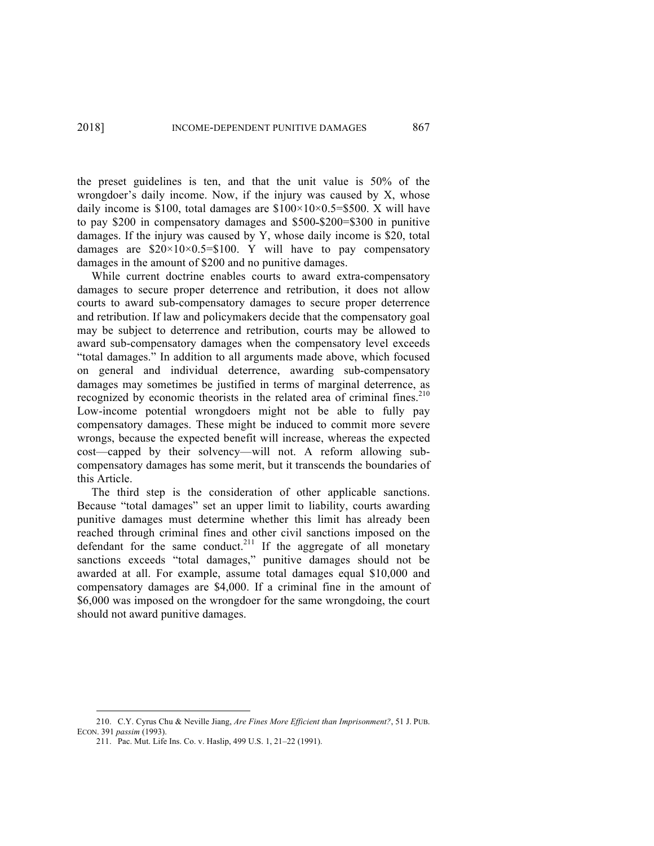the preset guidelines is ten, and that the unit value is 50% of the wrongdoer's daily income. Now, if the injury was caused by X, whose daily income is \$100, total damages are  $$100\times10\times0.5=$ \$500. X will have to pay  $$200$  in compensatory damages and  $$500-\$200=\$300$  in punitive damages. If the injury was caused by Y, whose daily income is \$20, total damages are  $$20\times10\times0.5=$100$ . Y will have to pay compensatory damages in the amount of \$200 and no punitive damages.

While current doctrine enables courts to award extra-compensatory damages to secure proper deterrence and retribution, it does not allow courts to award sub-compensatory damages to secure proper deterrence and retribution. If law and policymakers decide that the compensatory goal may be subject to deterrence and retribution, courts may be allowed to award sub-compensatory damages when the compensatory level exceeds "total damages." In addition to all arguments made above, which focused on general and individual deterrence, awarding sub-compensatory damages may sometimes be justified in terms of marginal deterrence, as recognized by economic theorists in the related area of criminal fines.<sup>210</sup> Low-income potential wrongdoers might not be able to fully pay compensatory damages. These might be induced to commit more severe wrongs, because the expected benefit will increase, whereas the expected cost—capped by their solvency—will not. A reform allowing subcompensatory damages has some merit, but it transcends the boundaries of this Article.

The third step is the consideration of other applicable sanctions. Because "total damages" set an upper limit to liability, courts awarding punitive damages must determine whether this limit has already been reached through criminal fines and other civil sanctions imposed on the defendant for the same conduct.<sup>211</sup> If the aggregate of all monetary sanctions exceeds "total damages," punitive damages should not be awarded at all. For example, assume total damages equal \$10,000 and compensatory damages are \$4,000. If a criminal fine in the amount of \$6,000 was imposed on the wrongdoer for the same wrongdoing, the court should not award punitive damages.

 <sup>210.</sup> C.Y. Cyrus Chu & Neville Jiang, *Are Fines More Efficient than Imprisonment?*, 51 J. PUB. ECON. 391 *passim* (1993).

<sup>211.</sup> Pac. Mut. Life Ins. Co. v. Haslip, 499 U.S. 1, 21–22 (1991).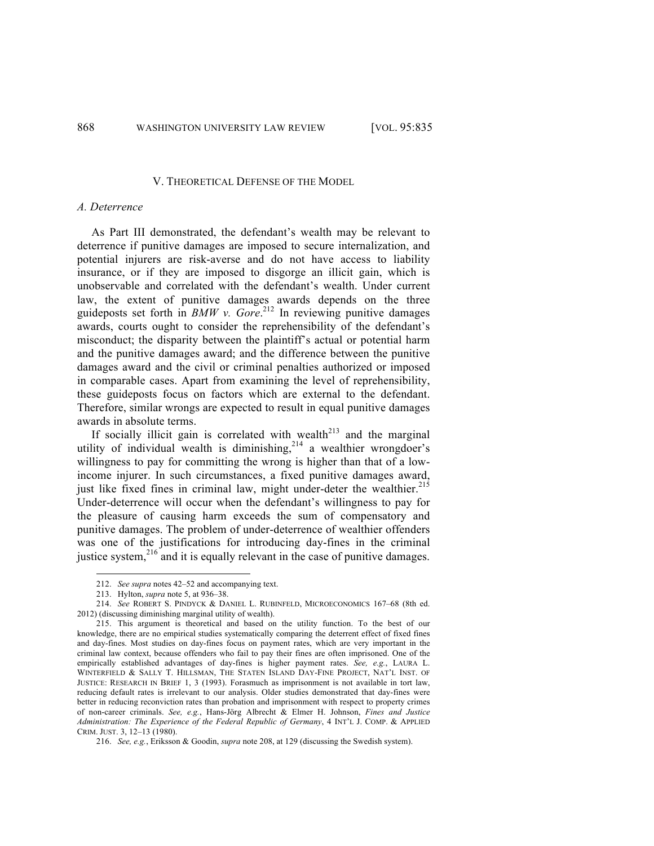#### V. THEORETICAL DEFENSE OF THE MODEL

## *A. Deterrence*

As Part III demonstrated, the defendant's wealth may be relevant to deterrence if punitive damages are imposed to secure internalization, and potential injurers are risk-averse and do not have access to liability insurance, or if they are imposed to disgorge an illicit gain, which is unobservable and correlated with the defendant's wealth. Under current law, the extent of punitive damages awards depends on the three guideposts set forth in *BMW v. Gore*. <sup>212</sup> In reviewing punitive damages awards, courts ought to consider the reprehensibility of the defendant's misconduct; the disparity between the plaintiff's actual or potential harm and the punitive damages award; and the difference between the punitive damages award and the civil or criminal penalties authorized or imposed in comparable cases. Apart from examining the level of reprehensibility, these guideposts focus on factors which are external to the defendant. Therefore, similar wrongs are expected to result in equal punitive damages awards in absolute terms.

If socially illicit gain is correlated with wealth<sup>213</sup> and the marginal utility of individual wealth is diminishing, $2^{14}$  a wealthier wrongdoer's willingness to pay for committing the wrong is higher than that of a lowincome injurer. In such circumstances, a fixed punitive damages award, just like fixed fines in criminal law, might under-deter the wealthier.<sup>215</sup> Under-deterrence will occur when the defendant's willingness to pay for the pleasure of causing harm exceeds the sum of compensatory and punitive damages. The problem of under-deterrence of wealthier offenders was one of the justifications for introducing day-fines in the criminal justice system,<sup>216</sup> and it is equally relevant in the case of punitive damages.

 <sup>212.</sup> *See supra* notes 42–52 and accompanying text.

<sup>213.</sup> Hylton, *supra* note 5, at 936–38.

<sup>214.</sup> *See* ROBERT S. PINDYCK & DANIEL L. RUBINFELD, MICROECONOMICS 167–68 (8th ed. 2012) (discussing diminishing marginal utility of wealth).

<sup>215.</sup> This argument is theoretical and based on the utility function. To the best of our knowledge, there are no empirical studies systematically comparing the deterrent effect of fixed fines and day-fines. Most studies on day-fines focus on payment rates, which are very important in the criminal law context, because offenders who fail to pay their fines are often imprisoned. One of the empirically established advantages of day-fines is higher payment rates. *See, e.g.*, LAURA L. WINTERFIELD & SALLY T. HILLSMAN, THE STATEN ISLAND DAY-FINE PROJECT, NAT'L INST. OF JUSTICE: RESEARCH IN BRIEF 1, 3 (1993). Forasmuch as imprisonment is not available in tort law, reducing default rates is irrelevant to our analysis. Older studies demonstrated that day-fines were better in reducing reconviction rates than probation and imprisonment with respect to property crimes of non-career criminals. *See, e.g.*, Hans-Jörg Albrecht & Elmer H. Johnson, *Fines and Justice Administration: The Experience of the Federal Republic of Germany*, 4 INT'L J. COMP. & APPLIED CRIM. JUST. 3, 12–13 (1980).

<sup>216.</sup> *See, e.g.*, Eriksson & Goodin, *supra* note 208, at 129 (discussing the Swedish system).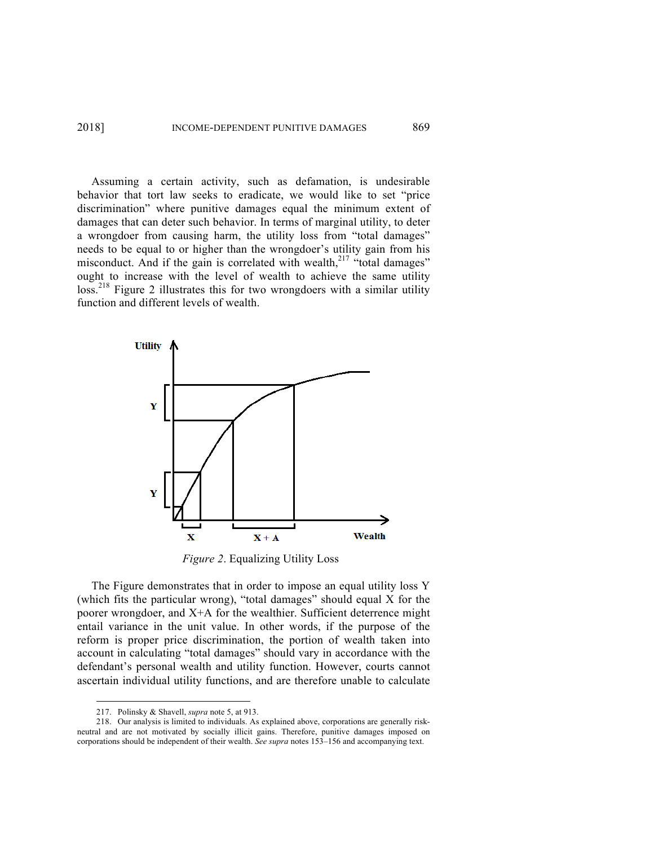Assuming a certain activity, such as defamation, is undesirable behavior that tort law seeks to eradicate, we would like to set "price discrimination" where punitive damages equal the minimum extent of damages that can deter such behavior. In terms of marginal utility, to deter a wrongdoer from causing harm, the utility loss from "total damages" needs to be equal to or higher than the wrongdoer's utility gain from his misconduct. And if the gain is correlated with wealth, $2^{17}$  "total damages" ought to increase with the level of wealth to achieve the same utility loss.<sup>218</sup> Figure 2 illustrates this for two wrongdoers with a similar utility function and different levels of wealth.



*Figure 2*. Equalizing Utility Loss

The Figure demonstrates that in order to impose an equal utility loss Y (which fits the particular wrong), "total damages" should equal X for the poorer wrongdoer, and X+A for the wealthier. Sufficient deterrence might entail variance in the unit value. In other words, if the purpose of the reform is proper price discrimination, the portion of wealth taken into account in calculating "total damages" should vary in accordance with the defendant's personal wealth and utility function. However, courts cannot ascertain individual utility functions, and are therefore unable to calculate

 <sup>217.</sup> Polinsky & Shavell, *supra* note 5, at 913.

<sup>218.</sup> Our analysis is limited to individuals. As explained above, corporations are generally riskneutral and are not motivated by socially illicit gains. Therefore, punitive damages imposed on corporations should be independent of their wealth. *See supra* notes 153–156 and accompanying text.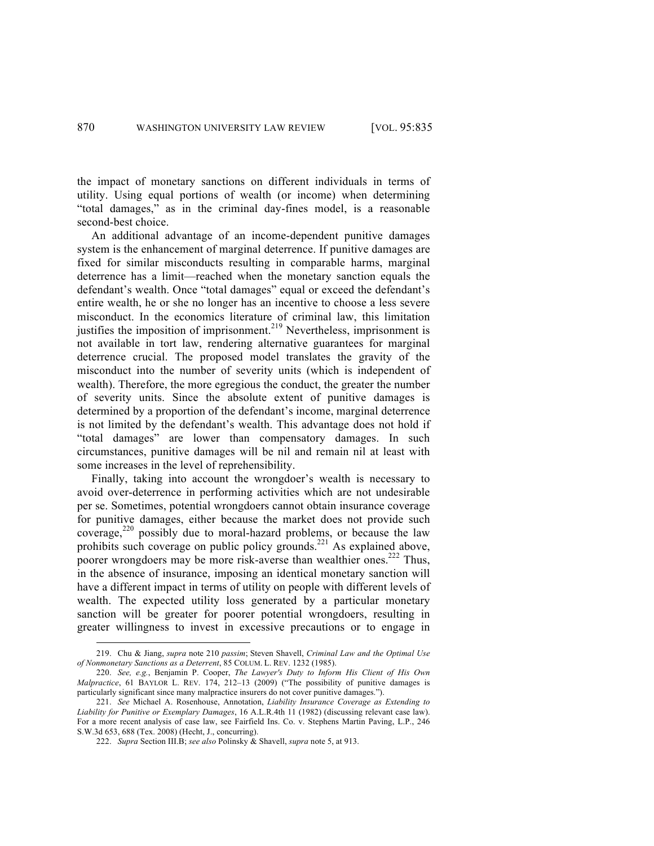the impact of monetary sanctions on different individuals in terms of utility. Using equal portions of wealth (or income) when determining "total damages," as in the criminal day-fines model, is a reasonable second-best choice.

An additional advantage of an income-dependent punitive damages system is the enhancement of marginal deterrence. If punitive damages are fixed for similar misconducts resulting in comparable harms, marginal deterrence has a limit—reached when the monetary sanction equals the defendant's wealth. Once "total damages" equal or exceed the defendant's entire wealth, he or she no longer has an incentive to choose a less severe misconduct. In the economics literature of criminal law, this limitation justifies the imposition of imprisonment.<sup>219</sup> Nevertheless, imprisonment is not available in tort law, rendering alternative guarantees for marginal deterrence crucial. The proposed model translates the gravity of the misconduct into the number of severity units (which is independent of wealth). Therefore, the more egregious the conduct, the greater the number of severity units. Since the absolute extent of punitive damages is determined by a proportion of the defendant's income, marginal deterrence is not limited by the defendant's wealth. This advantage does not hold if "total damages" are lower than compensatory damages. In such circumstances, punitive damages will be nil and remain nil at least with some increases in the level of reprehensibility.

Finally, taking into account the wrongdoer's wealth is necessary to avoid over-deterrence in performing activities which are not undesirable per se. Sometimes, potential wrongdoers cannot obtain insurance coverage for punitive damages, either because the market does not provide such coverage,<sup>220</sup> possibly due to moral-hazard problems, or because the law prohibits such coverage on public policy grounds.<sup>221</sup> As explained above, poorer wrongdoers may be more risk-averse than wealthier ones.<sup>222</sup> Thus, in the absence of insurance, imposing an identical monetary sanction will have a different impact in terms of utility on people with different levels of wealth. The expected utility loss generated by a particular monetary sanction will be greater for poorer potential wrongdoers, resulting in greater willingness to invest in excessive precautions or to engage in

 <sup>219.</sup> Chu & Jiang, *supra* note 210 *passim*; Steven Shavell, *Criminal Law and the Optimal Use of Nonmonetary Sanctions as a Deterrent*, 85 COLUM. L. REV. 1232 (1985).

<sup>220.</sup> *See, e.g.*, Benjamin P. Cooper, *The Lawyer's Duty to Inform His Client of His Own Malpractice*, 61 BAYLOR L. REV. 174, 212–13 (2009) ("The possibility of punitive damages is particularly significant since many malpractice insurers do not cover punitive damages.").

<sup>221.</sup> *See* Michael A. Rosenhouse, Annotation, *Liability Insurance Coverage as Extending to Liability for Punitive or Exemplary Damages*, 16 A.L.R.4th 11 (1982) (discussing relevant case law). For a more recent analysis of case law, see Fairfield Ins. Co. v. Stephens Martin Paving, L.P., 246 S.W.3d 653, 688 (Tex. 2008) (Hecht, J., concurring).

<sup>222.</sup> *Supra* Section III.B; *see also* Polinsky & Shavell, *supra* note 5, at 913.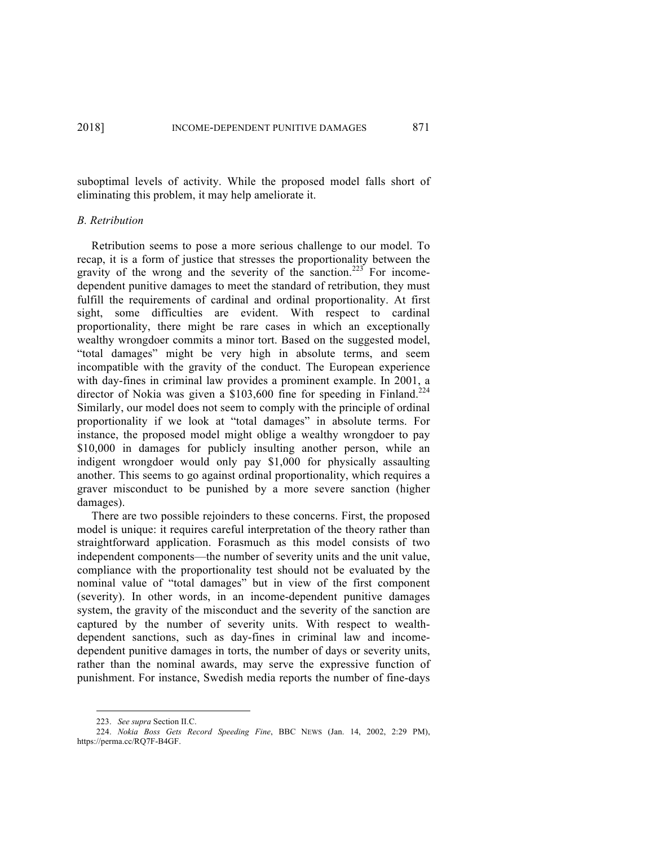suboptimal levels of activity. While the proposed model falls short of eliminating this problem, it may help ameliorate it.

## *B. Retribution*

Retribution seems to pose a more serious challenge to our model. To recap, it is a form of justice that stresses the proportionality between the gravity of the wrong and the severity of the sanction.<sup>223</sup> For incomedependent punitive damages to meet the standard of retribution, they must fulfill the requirements of cardinal and ordinal proportionality. At first sight, some difficulties are evident. With respect to cardinal proportionality, there might be rare cases in which an exceptionally wealthy wrongdoer commits a minor tort. Based on the suggested model, "total damages" might be very high in absolute terms, and seem incompatible with the gravity of the conduct. The European experience with day-fines in criminal law provides a prominent example. In 2001, a director of Nokia was given a  $$103,600$  fine for speeding in Finland.<sup>224</sup> Similarly, our model does not seem to comply with the principle of ordinal proportionality if we look at "total damages" in absolute terms. For instance, the proposed model might oblige a wealthy wrongdoer to pay \$10,000 in damages for publicly insulting another person, while an indigent wrongdoer would only pay \$1,000 for physically assaulting another. This seems to go against ordinal proportionality, which requires a graver misconduct to be punished by a more severe sanction (higher damages).

There are two possible rejoinders to these concerns. First, the proposed model is unique: it requires careful interpretation of the theory rather than straightforward application. Forasmuch as this model consists of two independent components—the number of severity units and the unit value, compliance with the proportionality test should not be evaluated by the nominal value of "total damages" but in view of the first component (severity). In other words, in an income-dependent punitive damages system, the gravity of the misconduct and the severity of the sanction are captured by the number of severity units. With respect to wealthdependent sanctions, such as day-fines in criminal law and incomedependent punitive damages in torts, the number of days or severity units, rather than the nominal awards, may serve the expressive function of punishment. For instance, Swedish media reports the number of fine-days

 <sup>223.</sup> *See supra* Section II.C.

<sup>224.</sup> *Nokia Boss Gets Record Speeding Fine*, BBC NEWS (Jan. 14, 2002, 2:29 PM), https://perma.cc/RQ7F-B4GF.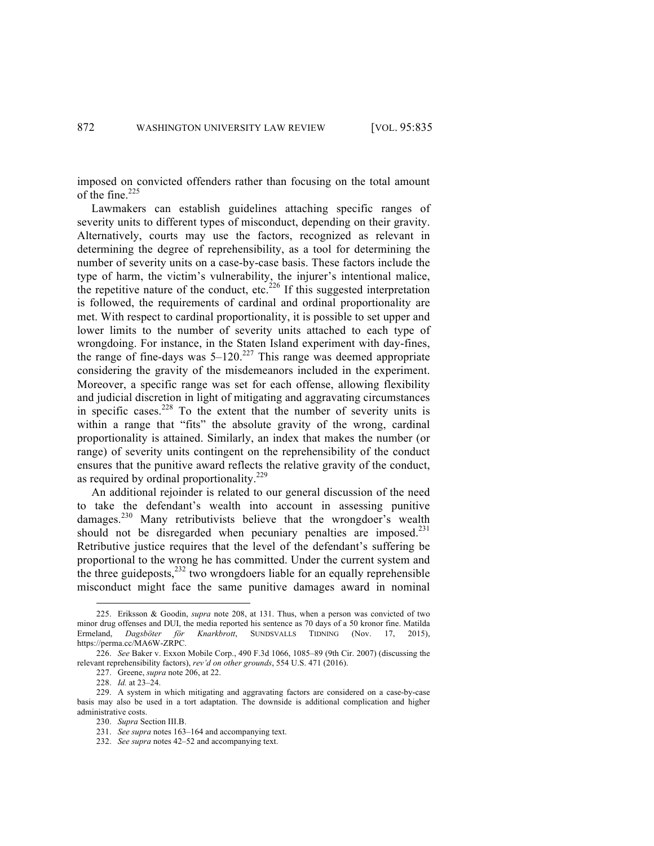imposed on convicted offenders rather than focusing on the total amount of the fine. $225$ 

Lawmakers can establish guidelines attaching specific ranges of severity units to different types of misconduct, depending on their gravity. Alternatively, courts may use the factors, recognized as relevant in determining the degree of reprehensibility, as a tool for determining the number of severity units on a case-by-case basis. These factors include the type of harm, the victim's vulnerability, the injurer's intentional malice, the repetitive nature of the conduct, etc.<sup>226</sup> If this suggested interpretation is followed, the requirements of cardinal and ordinal proportionality are met. With respect to cardinal proportionality, it is possible to set upper and lower limits to the number of severity units attached to each type of wrongdoing. For instance, in the Staten Island experiment with day-fines, the range of fine-days was  $5-120$ .<sup>227</sup> This range was deemed appropriate considering the gravity of the misdemeanors included in the experiment. Moreover, a specific range was set for each offense, allowing flexibility and judicial discretion in light of mitigating and aggravating circumstances in specific cases.<sup>228</sup> To the extent that the number of severity units is within a range that "fits" the absolute gravity of the wrong, cardinal proportionality is attained. Similarly, an index that makes the number (or range) of severity units contingent on the reprehensibility of the conduct ensures that the punitive award reflects the relative gravity of the conduct, as required by ordinal proportionality.<sup>229</sup>

An additional rejoinder is related to our general discussion of the need to take the defendant's wealth into account in assessing punitive damages.<sup>230</sup> Many retributivists believe that the wrongdoer's wealth should not be disregarded when pecuniary penalties are imposed.<sup>231</sup> Retributive justice requires that the level of the defendant's suffering be proportional to the wrong he has committed. Under the current system and the three guideposts,<sup>232</sup> two wrongdoers liable for an equally reprehensible misconduct might face the same punitive damages award in nominal

 <sup>225.</sup> Eriksson & Goodin, *supra* note 208, at 131. Thus, when a person was convicted of two minor drug offenses and DUI, the media reported his sentence as 70 days of a 50 kronor fine. Matilda Ermeland, Dagsböter för Knarkbrott, SUNDSVALLS TIDNING (Nov. 17, 2015), Ermeland, *Dagsböter för Knarkbrott*, SUNDSVALLS TIDNING (Nov. 17, 2015), https://perma.cc/MA6W-ZRPC.

<sup>226.</sup> *See* Baker v. Exxon Mobile Corp., 490 F.3d 1066, 1085–89 (9th Cir. 2007) (discussing the relevant reprehensibility factors), *rev'd on other grounds*, 554 U.S. 471 (2016).

<sup>227.</sup> Greene, *supra* note 206, at 22.

<sup>228.</sup> *Id.* at 23–24.

<sup>229.</sup> A system in which mitigating and aggravating factors are considered on a case-by-case basis may also be used in a tort adaptation. The downside is additional complication and higher administrative costs.

<sup>230.</sup> *Supra* Section III.B.

<sup>231.</sup> *See supra* notes 163–164 and accompanying text.

<sup>232.</sup> *See supra* notes 42–52 and accompanying text.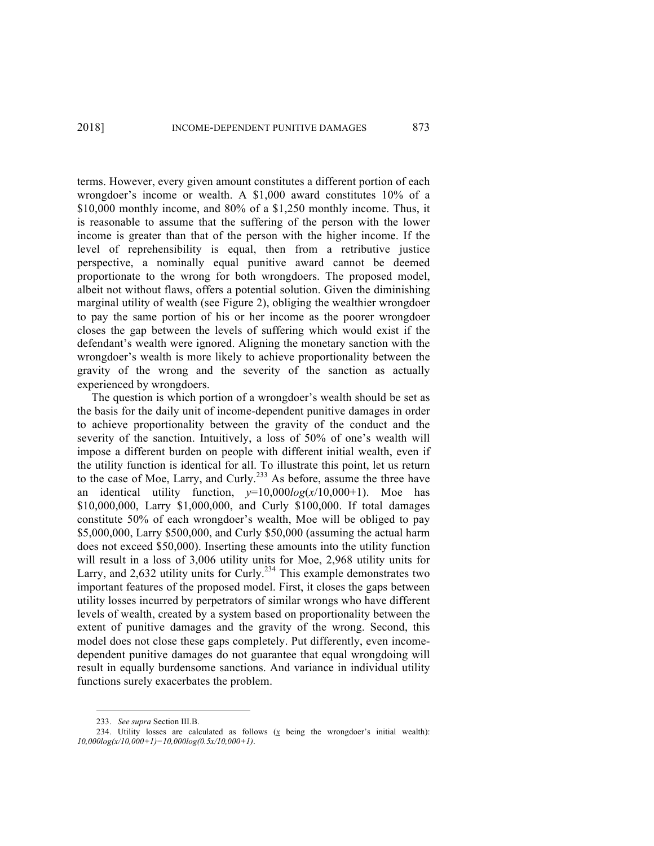terms. However, every given amount constitutes a different portion of each wrongdoer's income or wealth. A \$1,000 award constitutes 10% of a \$10,000 monthly income, and 80% of a \$1,250 monthly income. Thus, it is reasonable to assume that the suffering of the person with the lower income is greater than that of the person with the higher income. If the level of reprehensibility is equal, then from a retributive justice perspective, a nominally equal punitive award cannot be deemed proportionate to the wrong for both wrongdoers. The proposed model, albeit not without flaws, offers a potential solution. Given the diminishing marginal utility of wealth (see Figure 2), obliging the wealthier wrongdoer to pay the same portion of his or her income as the poorer wrongdoer closes the gap between the levels of suffering which would exist if the defendant's wealth were ignored. Aligning the monetary sanction with the wrongdoer's wealth is more likely to achieve proportionality between the gravity of the wrong and the severity of the sanction as actually experienced by wrongdoers.

The question is which portion of a wrongdoer's wealth should be set as the basis for the daily unit of income-dependent punitive damages in order to achieve proportionality between the gravity of the conduct and the severity of the sanction. Intuitively, a loss of 50% of one's wealth will impose a different burden on people with different initial wealth, even if the utility function is identical for all. To illustrate this point, let us return to the case of Moe, Larry, and Curly.<sup>233</sup> As before, assume the three have an identical utility function,  $y=10,000log(x/10,000+1)$ . Moe has \$10,000,000, Larry \$1,000,000, and Curly \$100,000. If total damages constitute 50% of each wrongdoer's wealth, Moe will be obliged to pay \$5,000,000, Larry \$500,000, and Curly \$50,000 (assuming the actual harm does not exceed \$50,000). Inserting these amounts into the utility function will result in a loss of 3,006 utility units for Moe, 2,968 utility units for Larry, and 2,632 utility units for Curly.<sup>234</sup> This example demonstrates two important features of the proposed model. First, it closes the gaps between utility losses incurred by perpetrators of similar wrongs who have different levels of wealth, created by a system based on proportionality between the extent of punitive damages and the gravity of the wrong. Second, this model does not close these gaps completely. Put differently, even incomedependent punitive damages do not guarantee that equal wrongdoing will result in equally burdensome sanctions. And variance in individual utility functions surely exacerbates the problem.

 <sup>233.</sup> *See supra* Section III.B.

<sup>234.</sup> Utility losses are calculated as follows  $(x$  being the wrongdoer's initial wealth): *10,000log(x/10,000+1)−10,000log(0.5x/10,000+1)*.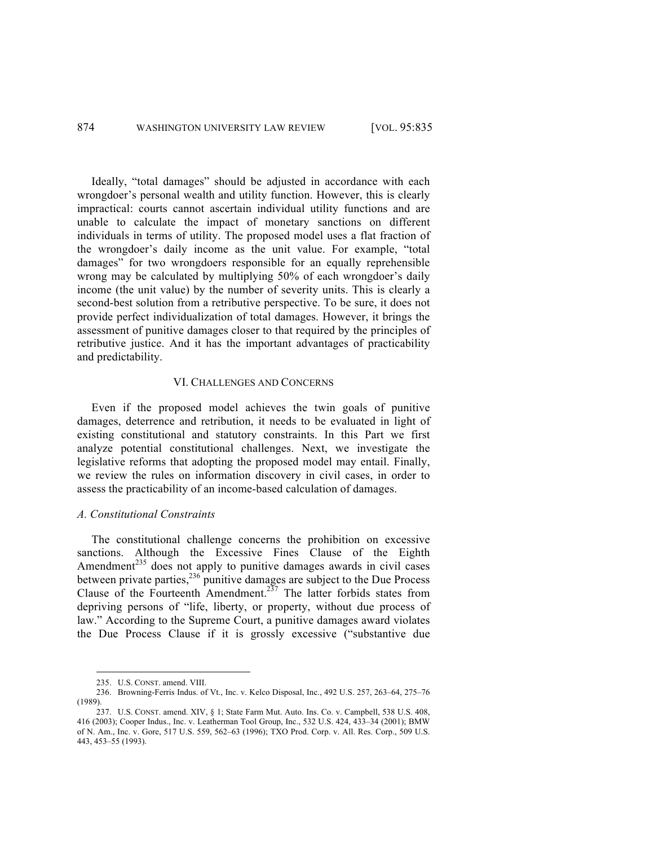Ideally, "total damages" should be adjusted in accordance with each wrongdoer's personal wealth and utility function. However, this is clearly impractical: courts cannot ascertain individual utility functions and are unable to calculate the impact of monetary sanctions on different individuals in terms of utility. The proposed model uses a flat fraction of the wrongdoer's daily income as the unit value. For example, "total damages" for two wrongdoers responsible for an equally reprehensible wrong may be calculated by multiplying 50% of each wrongdoer's daily income (the unit value) by the number of severity units. This is clearly a second-best solution from a retributive perspective. To be sure, it does not provide perfect individualization of total damages. However, it brings the assessment of punitive damages closer to that required by the principles of retributive justice. And it has the important advantages of practicability and predictability.

## VI. CHALLENGES AND CONCERNS

Even if the proposed model achieves the twin goals of punitive damages, deterrence and retribution, it needs to be evaluated in light of existing constitutional and statutory constraints. In this Part we first analyze potential constitutional challenges. Next, we investigate the legislative reforms that adopting the proposed model may entail. Finally, we review the rules on information discovery in civil cases, in order to assess the practicability of an income-based calculation of damages.

## *A. Constitutional Constraints*

The constitutional challenge concerns the prohibition on excessive sanctions. Although the Excessive Fines Clause of the Eighth Amendment $^{235}$  does not apply to punitive damages awards in civil cases between private parties,<sup>236</sup> punitive damages are subject to the Due Process Clause of the Fourteenth Amendment.<sup>237</sup> The latter forbids states from depriving persons of "life, liberty, or property, without due process of law." According to the Supreme Court, a punitive damages award violates the Due Process Clause if it is grossly excessive ("substantive due

 <sup>235.</sup> U.S. CONST. amend. VIII.

<sup>236.</sup> Browning-Ferris Indus. of Vt., Inc. v. Kelco Disposal, Inc., 492 U.S. 257, 263–64, 275–76 (1989).

<sup>237.</sup> U.S. CONST. amend. XIV, § 1; State Farm Mut. Auto. Ins. Co. v. Campbell, 538 U.S. 408, 416 (2003); Cooper Indus., Inc. v. Leatherman Tool Group, Inc., 532 U.S. 424, 433–34 (2001); BMW of N. Am., Inc. v. Gore, 517 U.S. 559, 562–63 (1996); TXO Prod. Corp. v. All. Res. Corp., 509 U.S. 443, 453–55 (1993).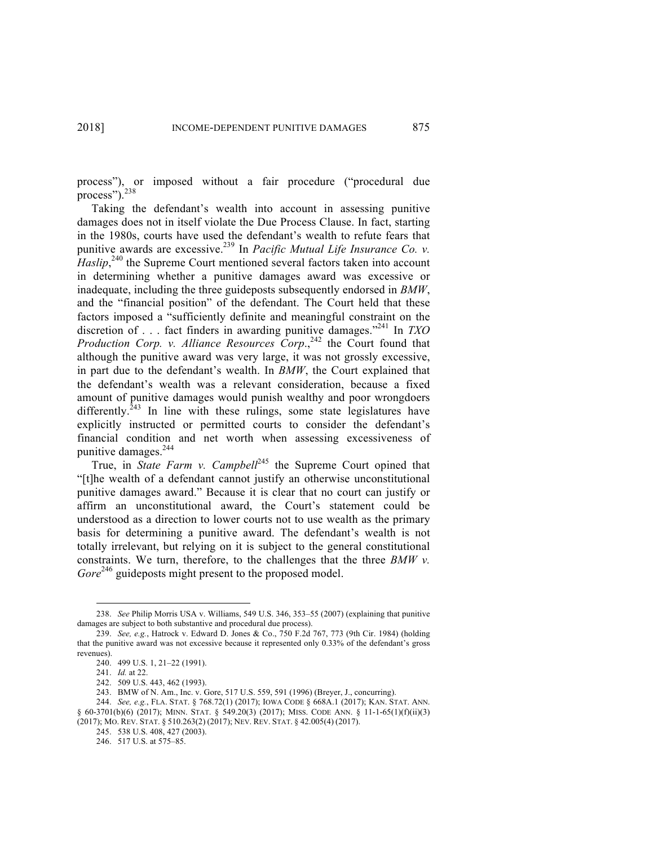process"), or imposed without a fair procedure ("procedural due process").<sup>238</sup>

Taking the defendant's wealth into account in assessing punitive damages does not in itself violate the Due Process Clause. In fact, starting in the 1980s, courts have used the defendant's wealth to refute fears that punitive awards are excessive.<sup>239</sup> In *Pacific Mutual Life Insurance Co. v. Haslip*,<sup>240</sup> the Supreme Court mentioned several factors taken into account in determining whether a punitive damages award was excessive or inadequate, including the three guideposts subsequently endorsed in *BMW*, and the "financial position" of the defendant. The Court held that these factors imposed a "sufficiently definite and meaningful constraint on the discretion of . . . fact finders in awarding punitive damages."241 In *TXO Production Corp. v. Alliance Resources Corp.*<sup>242</sup> the Court found that although the punitive award was very large, it was not grossly excessive, in part due to the defendant's wealth. In *BMW*, the Court explained that the defendant's wealth was a relevant consideration, because a fixed amount of punitive damages would punish wealthy and poor wrongdoers differently.<sup>243</sup> In line with these rulings, some state legislatures have explicitly instructed or permitted courts to consider the defendant's financial condition and net worth when assessing excessiveness of punitive damages.<sup>244</sup>

True, in *State Farm v. Campbell*<sup>245</sup> the Supreme Court opined that "[t]he wealth of a defendant cannot justify an otherwise unconstitutional punitive damages award." Because it is clear that no court can justify or affirm an unconstitutional award, the Court's statement could be understood as a direction to lower courts not to use wealth as the primary basis for determining a punitive award. The defendant's wealth is not totally irrelevant, but relying on it is subject to the general constitutional constraints. We turn, therefore, to the challenges that the three *BMW v. Gore*<sup>246</sup> guideposts might present to the proposed model.

246. 517 U.S. at 575–85.

 <sup>238.</sup> *See* Philip Morris USA v. Williams, 549 U.S. 346, 353–55 (2007) (explaining that punitive damages are subject to both substantive and procedural due process).

<sup>239.</sup> *See, e.g.*, Hatrock v. Edward D. Jones & Co., 750 F.2d 767, 773 (9th Cir. 1984) (holding that the punitive award was not excessive because it represented only 0.33% of the defendant's gross revenues).

<sup>240.</sup> 499 U.S. 1, 21–22 (1991).

<sup>241.</sup> *Id.* at 22.

<sup>242.</sup> 509 U.S. 443, 462 (1993).

<sup>243.</sup> BMW of N. Am., Inc. v. Gore, 517 U.S. 559, 591 (1996) (Breyer, J., concurring).

<sup>244.</sup> *See, e.g.*, FLA. STAT. § 768.72(1) (2017); IOWA CODE § 668A.1 (2017); KAN. STAT. ANN. § 60-3701(b)(6) (2017); MINN. STAT. § 549.20(3) (2017); MISS. CODE ANN. § 11-1-65(1)(f)(ii)(3) (2017); MO. REV. STAT. § 510.263(2) (2017); NEV. REV. STAT. § 42.005(4) (2017).

<sup>245.</sup> 538 U.S. 408, 427 (2003).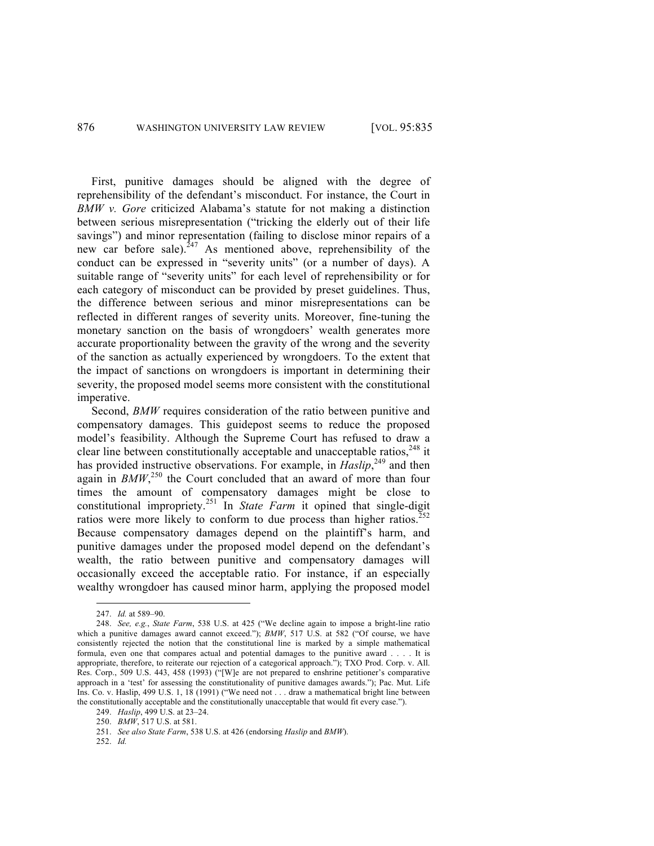First, punitive damages should be aligned with the degree of reprehensibility of the defendant's misconduct. For instance, the Court in *BMW v. Gore* criticized Alabama's statute for not making a distinction between serious misrepresentation ("tricking the elderly out of their life savings") and minor representation (failing to disclose minor repairs of a new car before sale).  $247$  As mentioned above, reprehensibility of the conduct can be expressed in "severity units" (or a number of days). A suitable range of "severity units" for each level of reprehensibility or for each category of misconduct can be provided by preset guidelines. Thus, the difference between serious and minor misrepresentations can be reflected in different ranges of severity units. Moreover, fine-tuning the monetary sanction on the basis of wrongdoers' wealth generates more accurate proportionality between the gravity of the wrong and the severity of the sanction as actually experienced by wrongdoers. To the extent that the impact of sanctions on wrongdoers is important in determining their severity, the proposed model seems more consistent with the constitutional imperative.

Second, *BMW* requires consideration of the ratio between punitive and compensatory damages. This guidepost seems to reduce the proposed model's feasibility. Although the Supreme Court has refused to draw a clear line between constitutionally acceptable and unacceptable ratios, <sup>248</sup> it has provided instructive observations. For example, in *Haslip*<sup>249</sup>, and then again in  $B\text{MW}^{250}$  the Court concluded that an award of more than four times the amount of compensatory damages might be close to constitutional impropriety. <sup>251</sup> In *State Farm* it opined that single-digit ratios were more likely to conform to due process than higher ratios.<sup>252</sup> Because compensatory damages depend on the plaintiff's harm, and punitive damages under the proposed model depend on the defendant's wealth, the ratio between punitive and compensatory damages will occasionally exceed the acceptable ratio. For instance, if an especially wealthy wrongdoer has caused minor harm, applying the proposed model

 <sup>247.</sup> *Id.* at 589–90.

<sup>248.</sup> *See, e.g.*, *State Farm*, 538 U.S. at 425 ("We decline again to impose a bright-line ratio which a punitive damages award cannot exceed."); *BMW*, 517 U.S. at 582 ("Of course, we have consistently rejected the notion that the constitutional line is marked by a simple mathematical formula, even one that compares actual and potential damages to the punitive award . . . . It is appropriate, therefore, to reiterate our rejection of a categorical approach."); TXO Prod. Corp. v. All. Res. Corp., 509 U.S. 443, 458 (1993) ("[W]e are not prepared to enshrine petitioner's comparative approach in a 'test' for assessing the constitutionality of punitive damages awards."); Pac. Mut. Life Ins. Co. v. Haslip, 499 U.S. 1, 18 (1991) ("We need not . . . draw a mathematical bright line between the constitutionally acceptable and the constitutionally unacceptable that would fit every case.").

<sup>249.</sup> *Haslip*, 499 U.S. at 23–24.

<sup>250.</sup> *BMW*, 517 U.S. at 581.

<sup>251.</sup> *See also State Farm*, 538 U.S. at 426 (endorsing *Haslip* and *BMW*).

<sup>252.</sup> *Id.*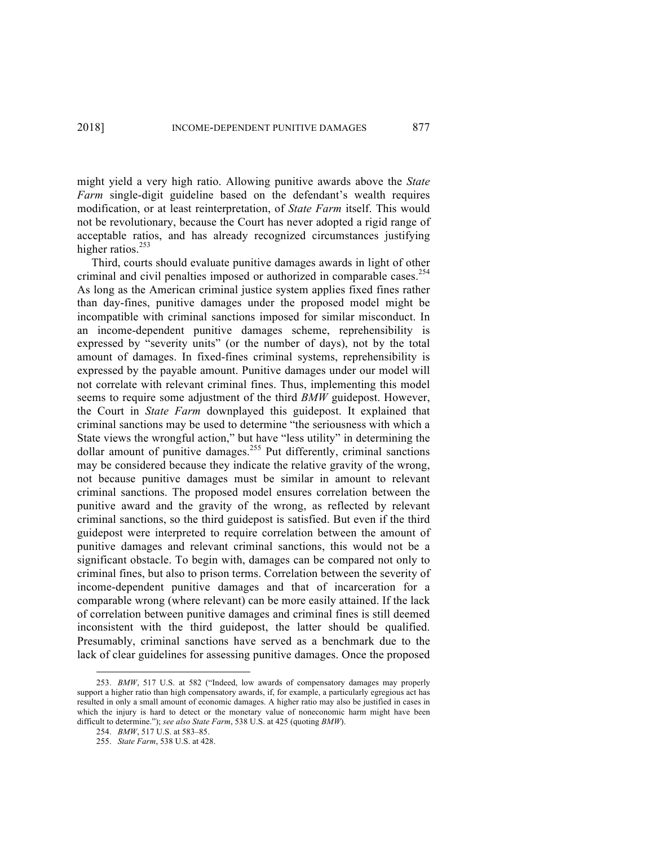might yield a very high ratio. Allowing punitive awards above the *State Farm* single-digit guideline based on the defendant's wealth requires modification, or at least reinterpretation, of *State Farm* itself. This would not be revolutionary, because the Court has never adopted a rigid range of acceptable ratios, and has already recognized circumstances justifying higher ratios. $253$ 

Third, courts should evaluate punitive damages awards in light of other criminal and civil penalties imposed or authorized in comparable cases.<sup>254</sup> As long as the American criminal justice system applies fixed fines rather than day-fines, punitive damages under the proposed model might be incompatible with criminal sanctions imposed for similar misconduct. In an income-dependent punitive damages scheme, reprehensibility is expressed by "severity units" (or the number of days), not by the total amount of damages. In fixed-fines criminal systems, reprehensibility is expressed by the payable amount. Punitive damages under our model will not correlate with relevant criminal fines. Thus, implementing this model seems to require some adjustment of the third *BMW* guidepost. However, the Court in *State Farm* downplayed this guidepost. It explained that criminal sanctions may be used to determine "the seriousness with which a State views the wrongful action," but have "less utility" in determining the dollar amount of punitive damages.<sup>255</sup> Put differently, criminal sanctions may be considered because they indicate the relative gravity of the wrong, not because punitive damages must be similar in amount to relevant criminal sanctions. The proposed model ensures correlation between the punitive award and the gravity of the wrong, as reflected by relevant criminal sanctions, so the third guidepost is satisfied. But even if the third guidepost were interpreted to require correlation between the amount of punitive damages and relevant criminal sanctions, this would not be a significant obstacle. To begin with, damages can be compared not only to criminal fines, but also to prison terms. Correlation between the severity of income-dependent punitive damages and that of incarceration for a comparable wrong (where relevant) can be more easily attained. If the lack of correlation between punitive damages and criminal fines is still deemed inconsistent with the third guidepost, the latter should be qualified. Presumably, criminal sanctions have served as a benchmark due to the lack of clear guidelines for assessing punitive damages. Once the proposed

 <sup>253.</sup> *BMW*, 517 U.S. at 582 ("Indeed, low awards of compensatory damages may properly support a higher ratio than high compensatory awards, if, for example, a particularly egregious act has resulted in only a small amount of economic damages. A higher ratio may also be justified in cases in which the injury is hard to detect or the monetary value of noneconomic harm might have been difficult to determine."); *see also State Farm*, 538 U.S. at 425 (quoting *BMW*).

<sup>254.</sup> *BMW*, 517 U.S. at 583–85.

<sup>255.</sup> *State Farm*, 538 U.S. at 428.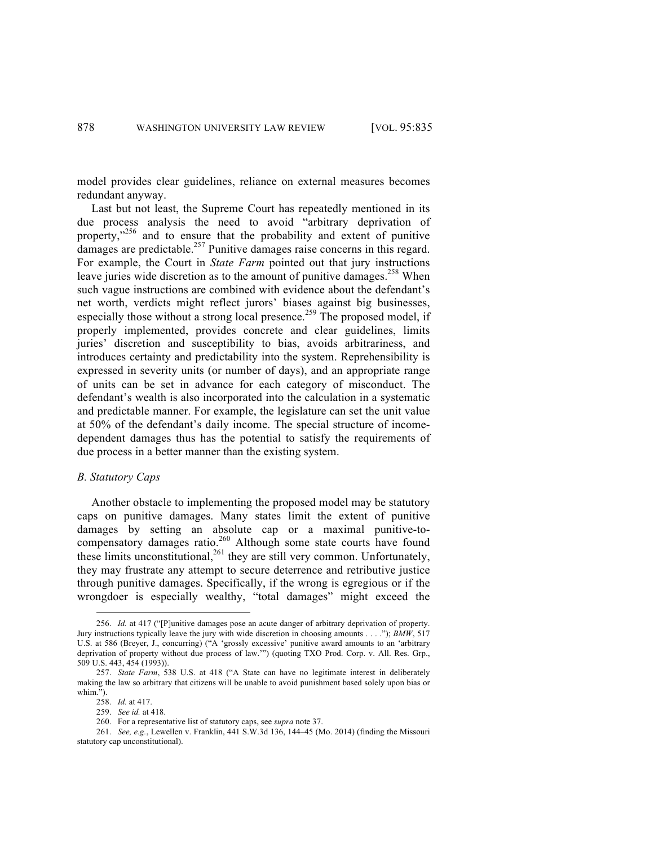model provides clear guidelines, reliance on external measures becomes redundant anyway.

Last but not least, the Supreme Court has repeatedly mentioned in its due process analysis the need to avoid "arbitrary deprivation of property,"<sup>256</sup> and to ensure that the probability and extent of punitive damages are predictable.<sup>257</sup> Punitive damages raise concerns in this regard. For example, the Court in *State Farm* pointed out that jury instructions leave juries wide discretion as to the amount of punitive damages.<sup>258</sup> When such vague instructions are combined with evidence about the defendant's net worth, verdicts might reflect jurors' biases against big businesses, especially those without a strong local presence.<sup>259</sup> The proposed model, if properly implemented, provides concrete and clear guidelines, limits juries' discretion and susceptibility to bias, avoids arbitrariness, and introduces certainty and predictability into the system. Reprehensibility is expressed in severity units (or number of days), and an appropriate range of units can be set in advance for each category of misconduct. The defendant's wealth is also incorporated into the calculation in a systematic and predictable manner. For example, the legislature can set the unit value at 50% of the defendant's daily income. The special structure of incomedependent damages thus has the potential to satisfy the requirements of due process in a better manner than the existing system.

## *B. Statutory Caps*

Another obstacle to implementing the proposed model may be statutory caps on punitive damages. Many states limit the extent of punitive damages by setting an absolute cap or a maximal punitive-tocompensatory damages ratio.<sup>260</sup> Although some state courts have found these limits unconstitutional,<sup>261</sup> they are still very common. Unfortunately, they may frustrate any attempt to secure deterrence and retributive justice through punitive damages. Specifically, if the wrong is egregious or if the wrongdoer is especially wealthy, "total damages" might exceed the

 <sup>256.</sup> *Id.* at 417 ("[P]unitive damages pose an acute danger of arbitrary deprivation of property. Jury instructions typically leave the jury with wide discretion in choosing amounts . . . ."); *BMW*, 517 U.S. at 586 (Breyer, J., concurring) ("A 'grossly excessive' punitive award amounts to an 'arbitrary deprivation of property without due process of law.'") (quoting TXO Prod. Corp. v. All. Res. Grp., 509 U.S. 443, 454 (1993)).

<sup>257.</sup> *State Farm*, 538 U.S. at 418 ("A State can have no legitimate interest in deliberately making the law so arbitrary that citizens will be unable to avoid punishment based solely upon bias or whim.").

<sup>258.</sup> *Id.* at 417. 259. *See id.* at 418.

<sup>260.</sup> For a representative list of statutory caps, see *supra* note 37.

<sup>261.</sup> *See, e.g.*, Lewellen v. Franklin, 441 S.W.3d 136, 144–45 (Mo. 2014) (finding the Missouri statutory cap unconstitutional).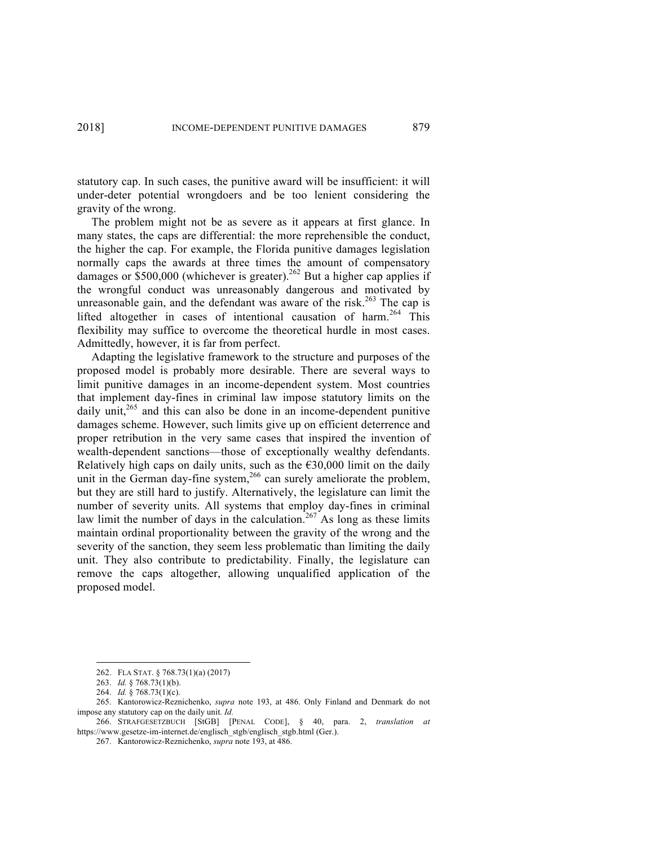statutory cap. In such cases, the punitive award will be insufficient: it will under-deter potential wrongdoers and be too lenient considering the gravity of the wrong.

The problem might not be as severe as it appears at first glance. In many states, the caps are differential: the more reprehensible the conduct, the higher the cap. For example, the Florida punitive damages legislation normally caps the awards at three times the amount of compensatory damages or  $$500,000$  (whichever is greater).<sup>262</sup> But a higher cap applies if the wrongful conduct was unreasonably dangerous and motivated by unreasonable gain, and the defendant was aware of the risk.<sup>263</sup> The cap is lifted altogether in cases of intentional causation of harm.<sup>264</sup> This flexibility may suffice to overcome the theoretical hurdle in most cases. Admittedly, however, it is far from perfect.

Adapting the legislative framework to the structure and purposes of the proposed model is probably more desirable. There are several ways to limit punitive damages in an income-dependent system. Most countries that implement day-fines in criminal law impose statutory limits on the daily unit,<sup>265</sup> and this can also be done in an income-dependent punitive damages scheme. However, such limits give up on efficient deterrence and proper retribution in the very same cases that inspired the invention of wealth-dependent sanctions—those of exceptionally wealthy defendants. Relatively high caps on daily units, such as the  $\epsilon$ 30,000 limit on the daily unit in the German day-fine system,<sup>266</sup> can surely ameliorate the problem, but they are still hard to justify. Alternatively, the legislature can limit the number of severity units. All systems that employ day-fines in criminal law limit the number of days in the calculation.<sup>267</sup> As long as these limits maintain ordinal proportionality between the gravity of the wrong and the severity of the sanction, they seem less problematic than limiting the daily unit. They also contribute to predictability. Finally, the legislature can remove the caps altogether, allowing unqualified application of the proposed model.

 <sup>262.</sup> FLA STAT. § 768.73(1)(a) (2017)

<sup>263.</sup> *Id.* § 768.73(1)(b).

<sup>264.</sup> *Id.* § 768.73(1)(c).

<sup>265.</sup> Kantorowicz-Reznichenko, *supra* note 193, at 486. Only Finland and Denmark do not impose any statutory cap on the daily unit. *Id.* 

<sup>266.</sup> STRAFGESETZBUCH [StGB] [PENAL CODE], § 40, para. 2, *translation at*  https://www.gesetze-im-internet.de/englisch\_stgb/englisch\_stgb.html (Ger.).

<sup>267.</sup> Kantorowicz-Reznichenko, *supra* note 193, at 486.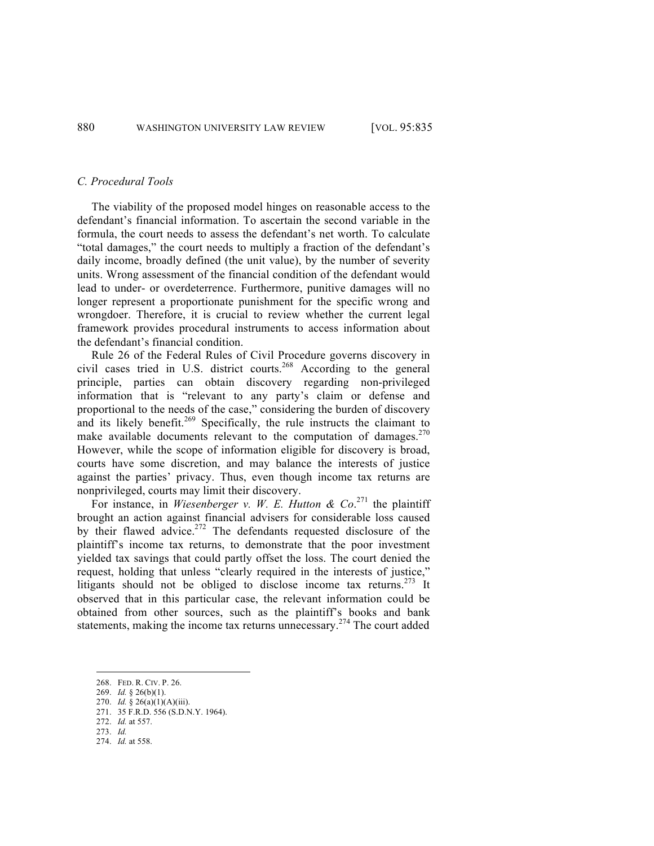#### *C. Procedural Tools*

The viability of the proposed model hinges on reasonable access to the defendant's financial information. To ascertain the second variable in the formula, the court needs to assess the defendant's net worth. To calculate "total damages," the court needs to multiply a fraction of the defendant's daily income, broadly defined (the unit value), by the number of severity units. Wrong assessment of the financial condition of the defendant would lead to under- or overdeterrence. Furthermore, punitive damages will no longer represent a proportionate punishment for the specific wrong and wrongdoer. Therefore, it is crucial to review whether the current legal framework provides procedural instruments to access information about the defendant's financial condition.

Rule 26 of the Federal Rules of Civil Procedure governs discovery in civil cases tried in U.S. district courts. <sup>268</sup> According to the general principle, parties can obtain discovery regarding non-privileged information that is "relevant to any party's claim or defense and proportional to the needs of the case," considering the burden of discovery and its likely benefit.<sup>269</sup> Specifically, the rule instructs the claimant to make available documents relevant to the computation of damages.<sup>270</sup> However, while the scope of information eligible for discovery is broad, courts have some discretion, and may balance the interests of justice against the parties' privacy. Thus, even though income tax returns are nonprivileged, courts may limit their discovery.

For instance, in *Wiesenberger v. W. E. Hutton & Co.*<sup>271</sup> the plaintiff brought an action against financial advisers for considerable loss caused by their flawed advice.<sup>272</sup> The defendants requested disclosure of the plaintiff's income tax returns, to demonstrate that the poor investment yielded tax savings that could partly offset the loss. The court denied the request, holding that unless "clearly required in the interests of justice," litigants should not be obliged to disclose income tax returns.<sup>273</sup> It observed that in this particular case, the relevant information could be obtained from other sources, such as the plaintiff's books and bank statements, making the income tax returns unnecessary.<sup>274</sup> The court added

 <sup>268.</sup> FED. R. CIV. P. 26.

<sup>269.</sup> *Id.* § 26(b)(1).

<sup>270.</sup> *Id.* § 26(a)(1)(A)(iii).

<sup>271.</sup> 35 F.R.D. 556 (S.D.N.Y. 1964).

<sup>272.</sup> *Id.* at 557.

<sup>273.</sup> *Id.*

<sup>274.</sup> *Id.* at 558.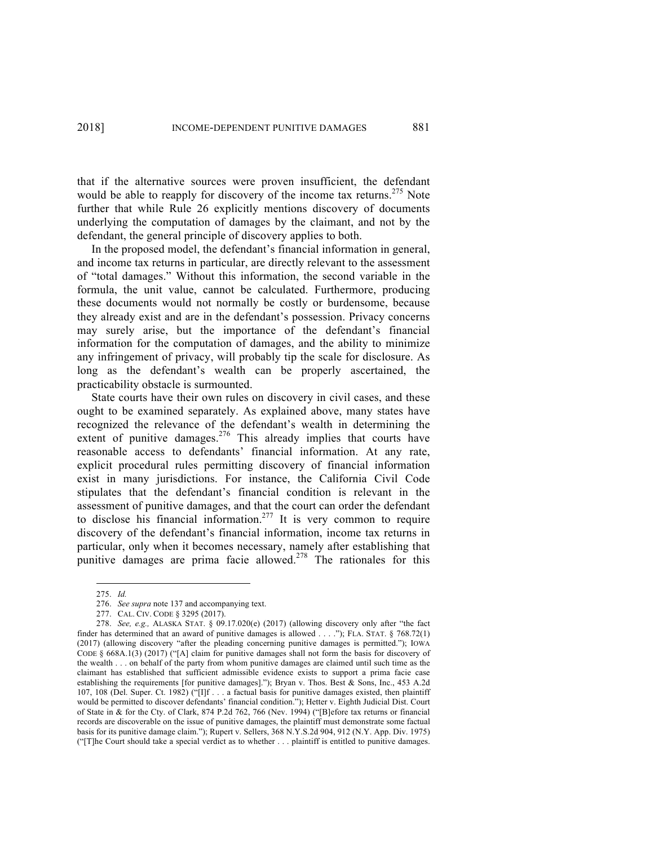that if the alternative sources were proven insufficient, the defendant would be able to reapply for discovery of the income tax returns.<sup>275</sup> Note further that while Rule 26 explicitly mentions discovery of documents underlying the computation of damages by the claimant, and not by the defendant, the general principle of discovery applies to both.

In the proposed model, the defendant's financial information in general, and income tax returns in particular, are directly relevant to the assessment of "total damages." Without this information, the second variable in the formula, the unit value, cannot be calculated. Furthermore, producing these documents would not normally be costly or burdensome, because they already exist and are in the defendant's possession. Privacy concerns may surely arise, but the importance of the defendant's financial information for the computation of damages, and the ability to minimize any infringement of privacy, will probably tip the scale for disclosure. As long as the defendant's wealth can be properly ascertained, the practicability obstacle is surmounted.

State courts have their own rules on discovery in civil cases, and these ought to be examined separately. As explained above, many states have recognized the relevance of the defendant's wealth in determining the extent of punitive damages.<sup>276</sup> This already implies that courts have reasonable access to defendants' financial information. At any rate, explicit procedural rules permitting discovery of financial information exist in many jurisdictions. For instance, the California Civil Code stipulates that the defendant's financial condition is relevant in the assessment of punitive damages, and that the court can order the defendant to disclose his financial information.<sup>277</sup> It is very common to require discovery of the defendant's financial information, income tax returns in particular, only when it becomes necessary, namely after establishing that punitive damages are prima facie allowed.<sup>278</sup> The rationales for this

 <sup>275.</sup> *Id.*

<sup>276.</sup> *See supra* note 137 and accompanying text.

<sup>277.</sup> CAL. CIV. CODE § 3295 (2017).

<sup>278.</sup> *See, e.g.,* ALASKA STAT. § 09.17.020(e) (2017) (allowing discovery only after "the fact finder has determined that an award of punitive damages is allowed . . . ."); FLA. STAT. § 768.72(1) (2017) (allowing discovery "after the pleading concerning punitive damages is permitted."); IOWA CODE § 668A.1(3) (2017) ("[A] claim for punitive damages shall not form the basis for discovery of the wealth . . . on behalf of the party from whom punitive damages are claimed until such time as the claimant has established that sufficient admissible evidence exists to support a prima facie case establishing the requirements [for punitive damages]."); Bryan v. Thos. Best & Sons, Inc., 453 A.2d 107, 108 (Del. Super. Ct. 1982) ("[I]f . . . a factual basis for punitive damages existed, then plaintiff would be permitted to discover defendants' financial condition."); Hetter v. Eighth Judicial Dist. Court of State in & for the Cty. of Clark, 874 P.2d 762, 766 (Nev. 1994) ("[B]efore tax returns or financial records are discoverable on the issue of punitive damages, the plaintiff must demonstrate some factual basis for its punitive damage claim."); Rupert v. Sellers, 368 N.Y.S.2d 904, 912 (N.Y. App. Div. 1975) ("[T]he Court should take a special verdict as to whether . . . plaintiff is entitled to punitive damages.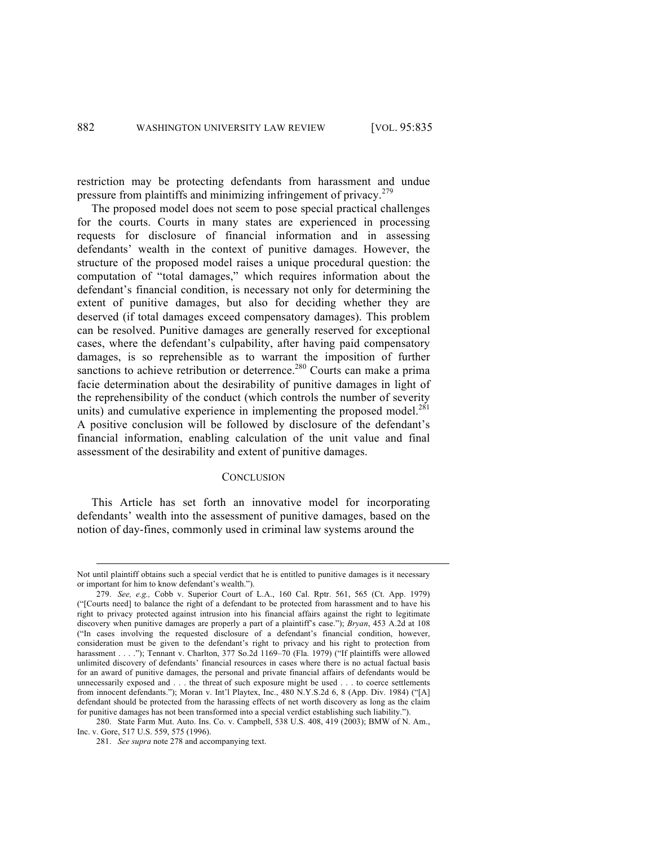restriction may be protecting defendants from harassment and undue pressure from plaintiffs and minimizing infringement of privacy.<sup>279</sup>

The proposed model does not seem to pose special practical challenges for the courts. Courts in many states are experienced in processing requests for disclosure of financial information and in assessing defendants' wealth in the context of punitive damages. However, the structure of the proposed model raises a unique procedural question: the computation of "total damages," which requires information about the defendant's financial condition, is necessary not only for determining the extent of punitive damages, but also for deciding whether they are deserved (if total damages exceed compensatory damages). This problem can be resolved. Punitive damages are generally reserved for exceptional cases, where the defendant's culpability, after having paid compensatory damages, is so reprehensible as to warrant the imposition of further sanctions to achieve retribution or deterrence.<sup>280</sup> Courts can make a prima facie determination about the desirability of punitive damages in light of the reprehensibility of the conduct (which controls the number of severity units) and cumulative experience in implementing the proposed model. $^{281}$ A positive conclusion will be followed by disclosure of the defendant's financial information, enabling calculation of the unit value and final assessment of the desirability and extent of punitive damages.

## **CONCLUSION**

This Article has set forth an innovative model for incorporating defendants' wealth into the assessment of punitive damages, based on the notion of day-fines, commonly used in criminal law systems around the

Not until plaintiff obtains such a special verdict that he is entitled to punitive damages is it necessary or important for him to know defendant's wealth.").

<sup>279.</sup> *See, e.g.,* Cobb v. Superior Court of L.A., 160 Cal. Rptr. 561, 565 (Ct. App. 1979) ("[Courts need] to balance the right of a defendant to be protected from harassment and to have his right to privacy protected against intrusion into his financial affairs against the right to legitimate discovery when punitive damages are properly a part of a plaintiff's case."); *Bryan*, 453 A.2d at 108 ("In cases involving the requested disclosure of a defendant's financial condition, however, consideration must be given to the defendant's right to privacy and his right to protection from harassment . . . ."); Tennant v. Charlton, 377 So.2d 1169-70 (Fla. 1979) ("If plaintiffs were allowed unlimited discovery of defendants' financial resources in cases where there is no actual factual basis for an award of punitive damages, the personal and private financial affairs of defendants would be unnecessarily exposed and . . . the threat of such exposure might be used . . . to coerce settlements from innocent defendants."); Moran v. Int'l Playtex, Inc., 480 N.Y.S.2d 6, 8 (App. Div. 1984) ("[A] defendant should be protected from the harassing effects of net worth discovery as long as the claim for punitive damages has not been transformed into a special verdict establishing such liability.").

<sup>280.</sup> State Farm Mut. Auto. Ins. Co. v. Campbell, 538 U.S. 408, 419 (2003); BMW of N. Am., Inc. v. Gore, 517 U.S. 559, 575 (1996).

<sup>281.</sup> *See supra* note 278 and accompanying text.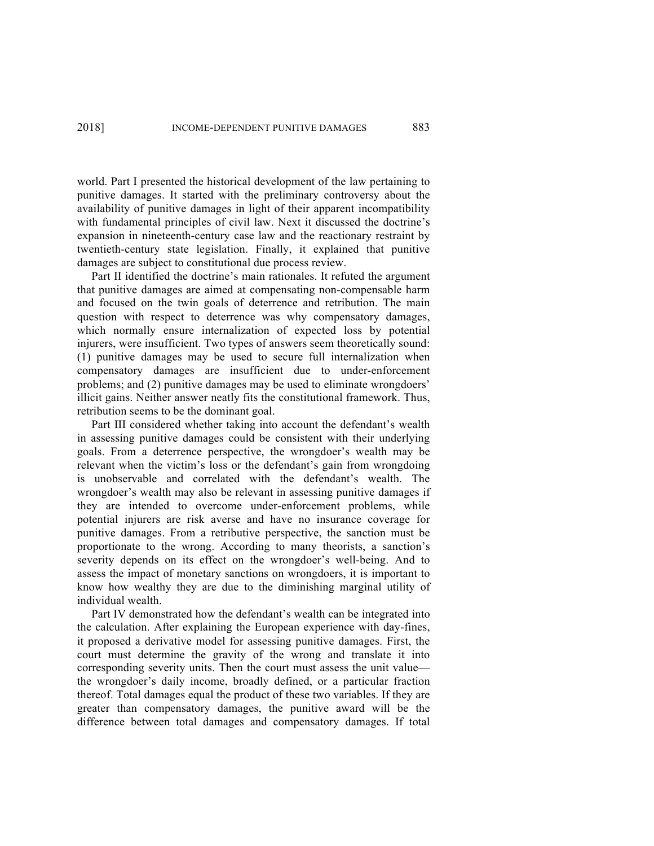world. Part I presented the historical development of the law pertaining to punitive damages. It started with the preliminary controversy about the availability of punitive damages in light of their apparent incompatibility with fundamental principles of civil law. Next it discussed the doctrine's expansion in nineteenth-century case law and the reactionary restraint by twentieth-century state legislation. Finally, it explained that punitive damages are subject to constitutional due process review.

Part II identified the doctrine's main rationales. It refuted the argument that punitive damages are aimed at compensating non-compensable harm and focused on the twin goals of deterrence and retribution. The main question with respect to deterrence was why compensatory damages, which normally ensure internalization of expected loss by potential injurers, were insufficient. Two types of answers seem theoretically sound: (1) punitive damages may be used to secure full internalization when compensatory damages are insufficient due to under-enforcement problems; and (2) punitive damages may be used to eliminate wrongdoers' illicit gains. Neither answer neatly fits the constitutional framework. Thus, retribution seems to be the dominant goal.

Part III considered whether taking into account the defendant's wealth in assessing punitive damages could be consistent with their underlying goals. From a deterrence perspective, the wrongdoer's wealth may be relevant when the victim's loss or the defendant's gain from wrongdoing is unobservable and correlated with the defendant's wealth. The wrongdoer's wealth may also be relevant in assessing punitive damages if they are intended to overcome under-enforcement problems, while potential injurers are risk averse and have no insurance coverage for punitive damages. From a retributive perspective, the sanction must be proportionate to the wrong. According to many theorists, a sanction's severity depends on its effect on the wrongdoer's well-being. And to assess the impact of monetary sanctions on wrongdoers, it is important to know how wealthy they are due to the diminishing marginal utility of individual wealth.

Part IV demonstrated how the defendant's wealth can be integrated into the calculation. After explaining the European experience with day-fines, it proposed a derivative model for assessing punitive damages. First, the court must determine the gravity of the wrong and translate it into corresponding severity units. Then the court must assess the unit value the wrongdoer's daily income, broadly defined, or a particular fraction thereof. Total damages equal the product of these two variables. If they are greater than compensatory damages, the punitive award will be the difference between total damages and compensatory damages. If total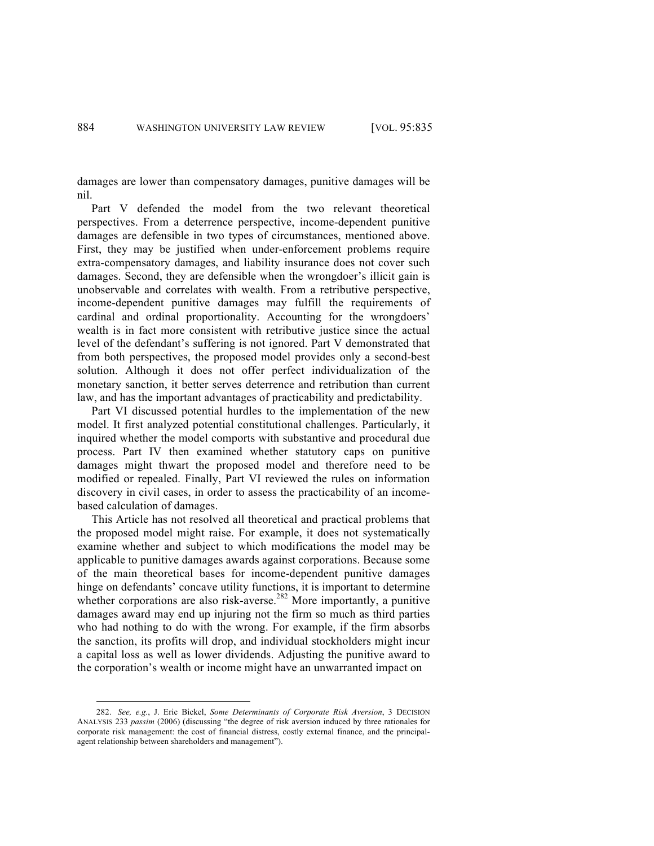damages are lower than compensatory damages, punitive damages will be nil.

Part V defended the model from the two relevant theoretical perspectives. From a deterrence perspective, income-dependent punitive damages are defensible in two types of circumstances, mentioned above. First, they may be justified when under-enforcement problems require extra-compensatory damages, and liability insurance does not cover such damages. Second, they are defensible when the wrongdoer's illicit gain is unobservable and correlates with wealth. From a retributive perspective, income-dependent punitive damages may fulfill the requirements of cardinal and ordinal proportionality. Accounting for the wrongdoers' wealth is in fact more consistent with retributive justice since the actual level of the defendant's suffering is not ignored. Part V demonstrated that from both perspectives, the proposed model provides only a second-best solution. Although it does not offer perfect individualization of the monetary sanction, it better serves deterrence and retribution than current law, and has the important advantages of practicability and predictability.

Part VI discussed potential hurdles to the implementation of the new model. It first analyzed potential constitutional challenges. Particularly, it inquired whether the model comports with substantive and procedural due process. Part IV then examined whether statutory caps on punitive damages might thwart the proposed model and therefore need to be modified or repealed. Finally, Part VI reviewed the rules on information discovery in civil cases, in order to assess the practicability of an incomebased calculation of damages.

This Article has not resolved all theoretical and practical problems that the proposed model might raise. For example, it does not systematically examine whether and subject to which modifications the model may be applicable to punitive damages awards against corporations. Because some of the main theoretical bases for income-dependent punitive damages hinge on defendants' concave utility functions, it is important to determine whether corporations are also risk-averse.<sup>282</sup> More importantly, a punitive damages award may end up injuring not the firm so much as third parties who had nothing to do with the wrong. For example, if the firm absorbs the sanction, its profits will drop, and individual stockholders might incur a capital loss as well as lower dividends. Adjusting the punitive award to the corporation's wealth or income might have an unwarranted impact on

 <sup>282.</sup> *See, e.g.*, J. Eric Bickel, *Some Determinants of Corporate Risk Aversion*, 3 DECISION ANALYSIS 233 *passim* (2006) (discussing "the degree of risk aversion induced by three rationales for corporate risk management: the cost of financial distress, costly external finance, and the principalagent relationship between shareholders and management").